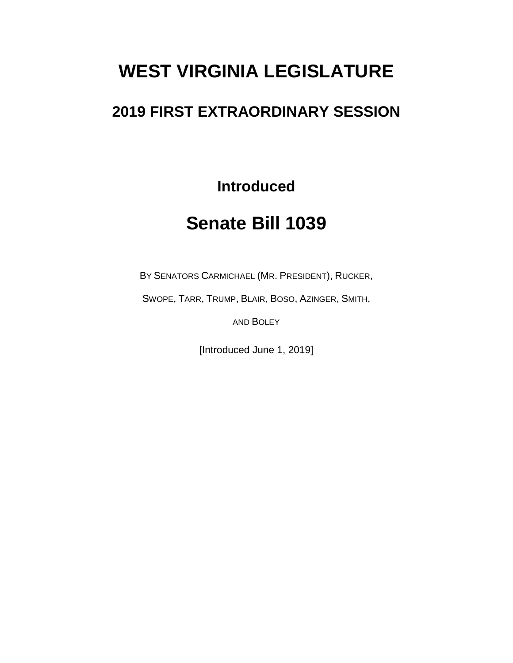# **WEST VIRGINIA LEGISLATURE**

## **2019 FIRST EXTRAORDINARY SESSION**

**Introduced**

## **Senate Bill 1039**

BY SENATORS CARMICHAEL (MR. PRESIDENT), RUCKER,

SWOPE, TARR, TRUMP, BLAIR, BOSO, AZINGER, SMITH,

AND BOLEY

[Introduced June 1, 2019]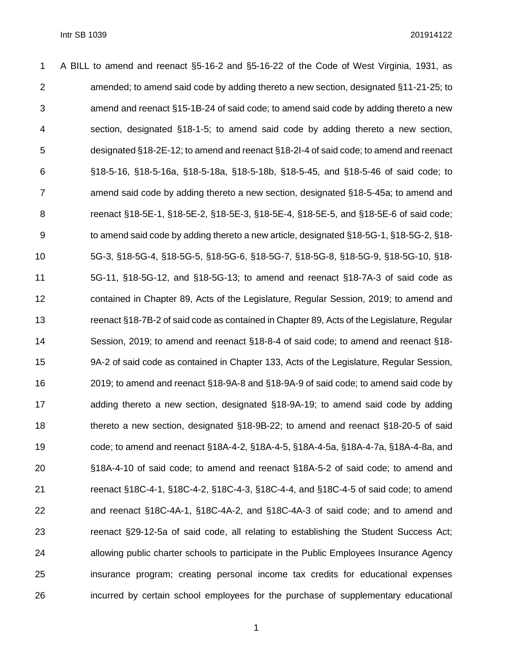| 1              | A BILL to amend and reenact §5-16-2 and §5-16-22 of the Code of West Virginia, 1931, as             |
|----------------|-----------------------------------------------------------------------------------------------------|
| $\overline{2}$ | amended; to amend said code by adding thereto a new section, designated §11-21-25; to               |
| 3              | amend and reenact §15-1B-24 of said code; to amend said code by adding thereto a new                |
| 4              | section, designated §18-1-5; to amend said code by adding thereto a new section,                    |
| 5              | designated §18-2E-12; to amend and reenact §18-2I-4 of said code; to amend and reenact              |
| 6              | §18-5-16, §18-5-16a, §18-5-18a, §18-5-18b, §18-5-45, and §18-5-46 of said code; to                  |
| $\overline{7}$ | amend said code by adding thereto a new section, designated §18-5-45a; to amend and                 |
| 8              | reenact §18-5E-1, §18-5E-2, §18-5E-3, §18-5E-4, §18-5E-5, and §18-5E-6 of said code;                |
| 9              | to amend said code by adding thereto a new article, designated $\S18$ -5G-1, $\S18$ -5G-2, $\S18$ - |
| 10             | 5G-3, §18-5G-4, §18-5G-5, §18-5G-6, §18-5G-7, §18-5G-8, §18-5G-9, §18-5G-10, §18-                   |
| 11             | 5G-11, $§$ 18-5G-12, and $§$ 18-5G-13; to amend and reenact $§$ 18-7A-3 of said code as             |
| 12             | contained in Chapter 89, Acts of the Legislature, Regular Session, 2019; to amend and               |
| 13             | reenact §18-7B-2 of said code as contained in Chapter 89, Acts of the Legislature, Regular          |
| 14             | Session, 2019; to amend and reenact §18-8-4 of said code; to amend and reenact §18-                 |
| 15             | 9A-2 of said code as contained in Chapter 133, Acts of the Legislature, Regular Session,            |
| 16             | 2019; to amend and reenact §18-9A-8 and §18-9A-9 of said code; to amend said code by                |
| 17             | adding thereto a new section, designated §18-9A-19; to amend said code by adding                    |
| 18             | thereto a new section, designated §18-9B-22; to amend and reenact §18-20-5 of said                  |
| 19             | code; to amend and reenact §18A-4-2, §18A-4-5, §18A-4-5a, §18A-4-7a, §18A-4-8a, and                 |
| 20             | §18A-4-10 of said code; to amend and reenact §18A-5-2 of said code; to amend and                    |
| 21             | reenact §18C-4-1, §18C-4-2, §18C-4-3, §18C-4-4, and §18C-4-5 of said code; to amend                 |
| 22             | and reenact §18C-4A-1, §18C-4A-2, and §18C-4A-3 of said code; and to amend and                      |
| 23             | reenact §29-12-5a of said code, all relating to establishing the Student Success Act;               |
| 24             | allowing public charter schools to participate in the Public Employees Insurance Agency             |
| 25             | insurance program; creating personal income tax credits for educational expenses                    |
| 26             | incurred by certain school employees for the purchase of supplementary educational                  |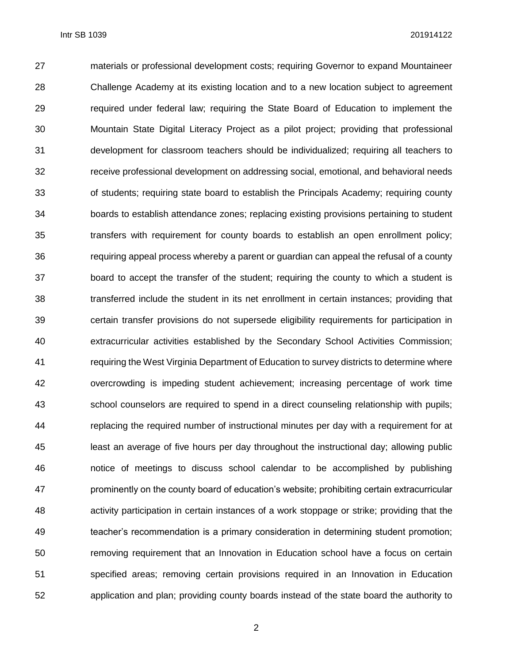materials or professional development costs; requiring Governor to expand Mountaineer Challenge Academy at its existing location and to a new location subject to agreement required under federal law; requiring the State Board of Education to implement the Mountain State Digital Literacy Project as a pilot project; providing that professional development for classroom teachers should be individualized; requiring all teachers to receive professional development on addressing social, emotional, and behavioral needs of students; requiring state board to establish the Principals Academy; requiring county boards to establish attendance zones; replacing existing provisions pertaining to student transfers with requirement for county boards to establish an open enrollment policy; requiring appeal process whereby a parent or guardian can appeal the refusal of a county board to accept the transfer of the student; requiring the county to which a student is transferred include the student in its net enrollment in certain instances; providing that certain transfer provisions do not supersede eligibility requirements for participation in extracurricular activities established by the Secondary School Activities Commission; requiring the West Virginia Department of Education to survey districts to determine where overcrowding is impeding student achievement; increasing percentage of work time school counselors are required to spend in a direct counseling relationship with pupils; replacing the required number of instructional minutes per day with a requirement for at least an average of five hours per day throughout the instructional day; allowing public notice of meetings to discuss school calendar to be accomplished by publishing prominently on the county board of education's website; prohibiting certain extracurricular activity participation in certain instances of a work stoppage or strike; providing that the teacher's recommendation is a primary consideration in determining student promotion; removing requirement that an Innovation in Education school have a focus on certain specified areas; removing certain provisions required in an Innovation in Education application and plan; providing county boards instead of the state board the authority to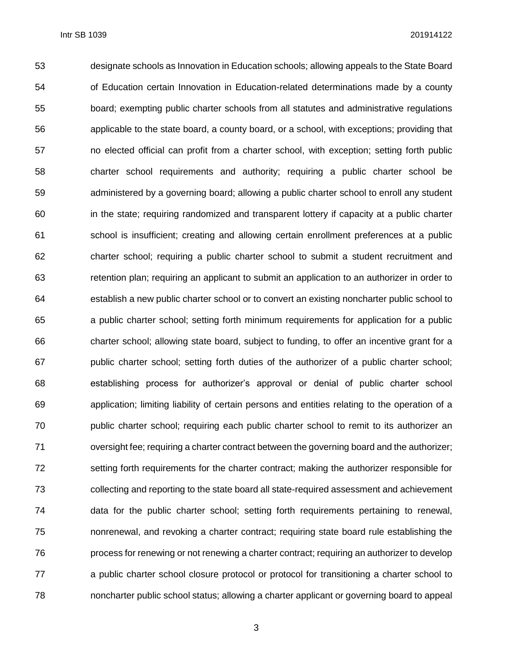designate schools as Innovation in Education schools; allowing appeals to the State Board of Education certain Innovation in Education-related determinations made by a county board; exempting public charter schools from all statutes and administrative regulations applicable to the state board, a county board, or a school, with exceptions; providing that no elected official can profit from a charter school, with exception; setting forth public charter school requirements and authority; requiring a public charter school be administered by a governing board; allowing a public charter school to enroll any student in the state; requiring randomized and transparent lottery if capacity at a public charter school is insufficient; creating and allowing certain enrollment preferences at a public charter school; requiring a public charter school to submit a student recruitment and retention plan; requiring an applicant to submit an application to an authorizer in order to establish a new public charter school or to convert an existing noncharter public school to a public charter school; setting forth minimum requirements for application for a public charter school; allowing state board, subject to funding, to offer an incentive grant for a public charter school; setting forth duties of the authorizer of a public charter school; establishing process for authorizer's approval or denial of public charter school application; limiting liability of certain persons and entities relating to the operation of a public charter school; requiring each public charter school to remit to its authorizer an oversight fee; requiring a charter contract between the governing board and the authorizer; setting forth requirements for the charter contract; making the authorizer responsible for collecting and reporting to the state board all state-required assessment and achievement data for the public charter school; setting forth requirements pertaining to renewal, nonrenewal, and revoking a charter contract; requiring state board rule establishing the process for renewing or not renewing a charter contract; requiring an authorizer to develop a public charter school closure protocol or protocol for transitioning a charter school to noncharter public school status; allowing a charter applicant or governing board to appeal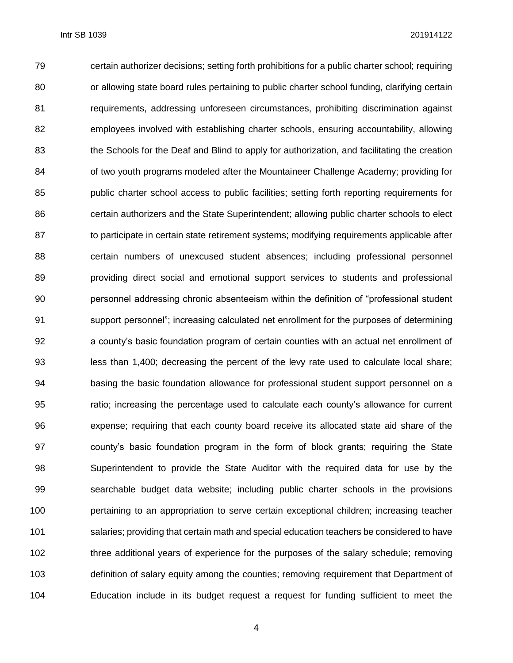certain authorizer decisions; setting forth prohibitions for a public charter school; requiring 80 or allowing state board rules pertaining to public charter school funding, clarifying certain requirements, addressing unforeseen circumstances, prohibiting discrimination against employees involved with establishing charter schools, ensuring accountability, allowing the Schools for the Deaf and Blind to apply for authorization, and facilitating the creation 84 of two youth programs modeled after the Mountaineer Challenge Academy; providing for public charter school access to public facilities; setting forth reporting requirements for certain authorizers and the State Superintendent; allowing public charter schools to elect to participate in certain state retirement systems; modifying requirements applicable after certain numbers of unexcused student absences; including professional personnel providing direct social and emotional support services to students and professional personnel addressing chronic absenteeism within the definition of "professional student support personnel"; increasing calculated net enrollment for the purposes of determining a county's basic foundation program of certain counties with an actual net enrollment of less than 1,400; decreasing the percent of the levy rate used to calculate local share; basing the basic foundation allowance for professional student support personnel on a ratio; increasing the percentage used to calculate each county's allowance for current expense; requiring that each county board receive its allocated state aid share of the county's basic foundation program in the form of block grants; requiring the State Superintendent to provide the State Auditor with the required data for use by the searchable budget data website; including public charter schools in the provisions pertaining to an appropriation to serve certain exceptional children; increasing teacher salaries; providing that certain math and special education teachers be considered to have three additional years of experience for the purposes of the salary schedule; removing definition of salary equity among the counties; removing requirement that Department of Education include in its budget request a request for funding sufficient to meet the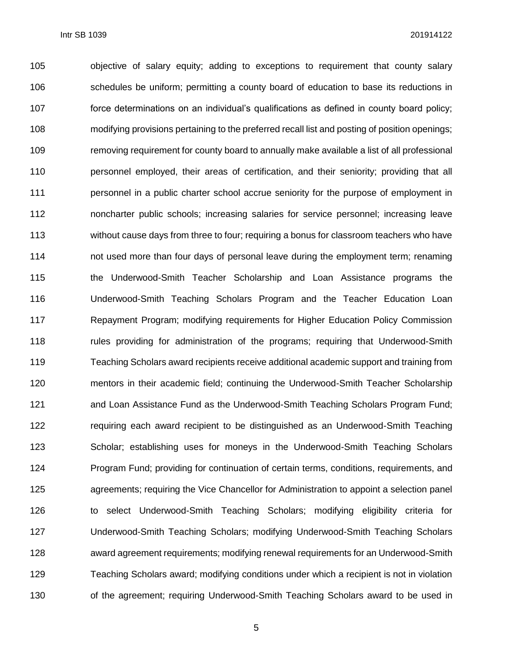objective of salary equity; adding to exceptions to requirement that county salary schedules be uniform; permitting a county board of education to base its reductions in force determinations on an individual's qualifications as defined in county board policy; modifying provisions pertaining to the preferred recall list and posting of position openings; removing requirement for county board to annually make available a list of all professional personnel employed, their areas of certification, and their seniority; providing that all personnel in a public charter school accrue seniority for the purpose of employment in noncharter public schools; increasing salaries for service personnel; increasing leave without cause days from three to four; requiring a bonus for classroom teachers who have not used more than four days of personal leave during the employment term; renaming the Underwood-Smith Teacher Scholarship and Loan Assistance programs the Underwood-Smith Teaching Scholars Program and the Teacher Education Loan Repayment Program; modifying requirements for Higher Education Policy Commission 118 rules providing for administration of the programs; requiring that Underwood-Smith Teaching Scholars award recipients receive additional academic support and training from mentors in their academic field; continuing the Underwood-Smith Teacher Scholarship 121 and Loan Assistance Fund as the Underwood-Smith Teaching Scholars Program Fund; requiring each award recipient to be distinguished as an Underwood-Smith Teaching Scholar; establishing uses for moneys in the Underwood-Smith Teaching Scholars Program Fund; providing for continuation of certain terms, conditions, requirements, and agreements; requiring the Vice Chancellor for Administration to appoint a selection panel to select Underwood-Smith Teaching Scholars; modifying eligibility criteria for Underwood-Smith Teaching Scholars; modifying Underwood-Smith Teaching Scholars award agreement requirements; modifying renewal requirements for an Underwood-Smith Teaching Scholars award; modifying conditions under which a recipient is not in violation 130 of the agreement; requiring Underwood-Smith Teaching Scholars award to be used in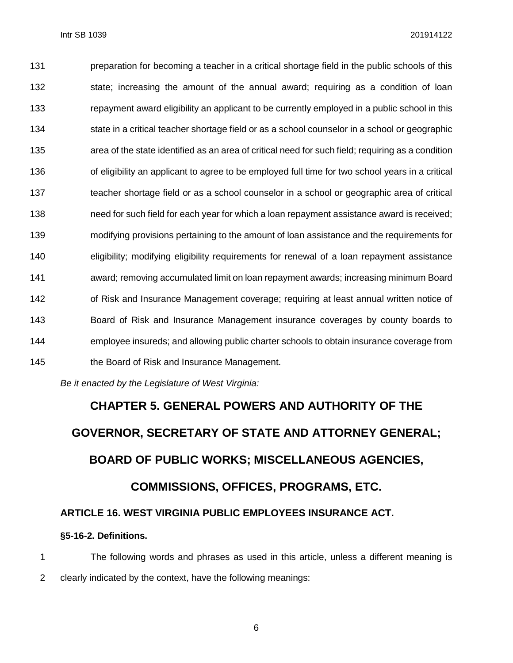preparation for becoming a teacher in a critical shortage field in the public schools of this 132 state; increasing the amount of the annual award; requiring as a condition of loan repayment award eligibility an applicant to be currently employed in a public school in this state in a critical teacher shortage field or as a school counselor in a school or geographic area of the state identified as an area of critical need for such field; requiring as a condition of eligibility an applicant to agree to be employed full time for two school years in a critical teacher shortage field or as a school counselor in a school or geographic area of critical need for such field for each year for which a loan repayment assistance award is received; modifying provisions pertaining to the amount of loan assistance and the requirements for eligibility; modifying eligibility requirements for renewal of a loan repayment assistance award; removing accumulated limit on loan repayment awards; increasing minimum Board of Risk and Insurance Management coverage; requiring at least annual written notice of Board of Risk and Insurance Management insurance coverages by county boards to employee insureds; and allowing public charter schools to obtain insurance coverage from the Board of Risk and Insurance Management.

*Be it enacted by the Legislature of West Virginia:*

# **CHAPTER 5. GENERAL POWERS AND AUTHORITY OF THE GOVERNOR, SECRETARY OF STATE AND ATTORNEY GENERAL; BOARD OF PUBLIC WORKS; MISCELLANEOUS AGENCIES, COMMISSIONS, OFFICES, PROGRAMS, ETC. ARTICLE 16. WEST VIRGINIA PUBLIC EMPLOYEES INSURANCE ACT.**

#### **§5-16-2. Definitions.**

 The following words and phrases as used in this article, unless a different meaning is clearly indicated by the context, have the following meanings: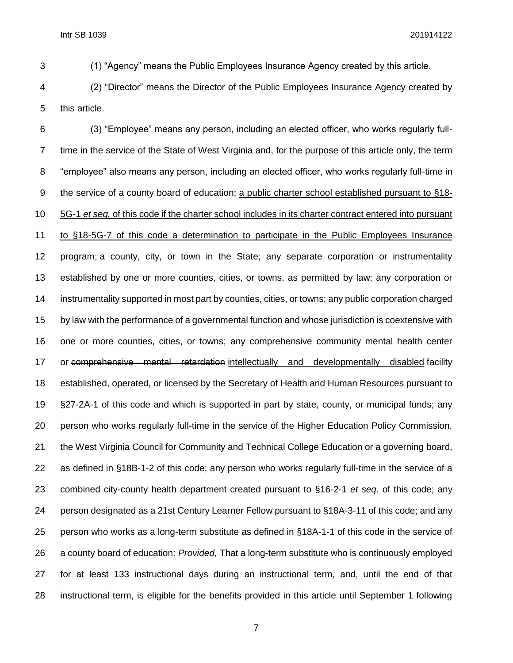(1) "Agency" means the Public Employees Insurance Agency created by this article.

 (2) "Director" means the Director of the Public Employees Insurance Agency created by this article.

 (3) "Employee" means any person, including an elected officer, who works regularly full- time in the service of the State of West Virginia and, for the purpose of this article only, the term "employee" also means any person, including an elected officer, who works regularly full-time in the service of a county board of education; a public charter school established pursuant to §18- 5G-1 *et seq.* of this code if the charter school includes in its charter contract entered into pursuant to §18-5G-7 of this code a determination to participate in the Public Employees Insurance program; a county, city, or town in the State; any separate corporation or instrumentality established by one or more counties, cities, or towns, as permitted by law; any corporation or instrumentality supported in most part by counties, cities, or towns; any public corporation charged by law with the performance of a governmental function and whose jurisdiction is coextensive with one or more counties, cities, or towns; any comprehensive community mental health center 17 or comprehensive mental retardation intellectually and developmentally disabled facility established, operated, or licensed by the Secretary of Health and Human Resources pursuant to §27-2A-1 of this code and which is supported in part by state, county, or municipal funds; any person who works regularly full-time in the service of the Higher Education Policy Commission, the West Virginia Council for Community and Technical College Education or a governing board, as defined in §18B-1-2 of this code; any person who works regularly full-time in the service of a combined city-county health department created pursuant to §16-2-1 *et seq.* of this code; any person designated as a 21st Century Learner Fellow pursuant to §18A-3-11 of this code; and any person who works as a long-term substitute as defined in §18A-1-1 of this code in the service of a county board of education: *Provided,* That a long-term substitute who is continuously employed for at least 133 instructional days during an instructional term, and, until the end of that instructional term, is eligible for the benefits provided in this article until September 1 following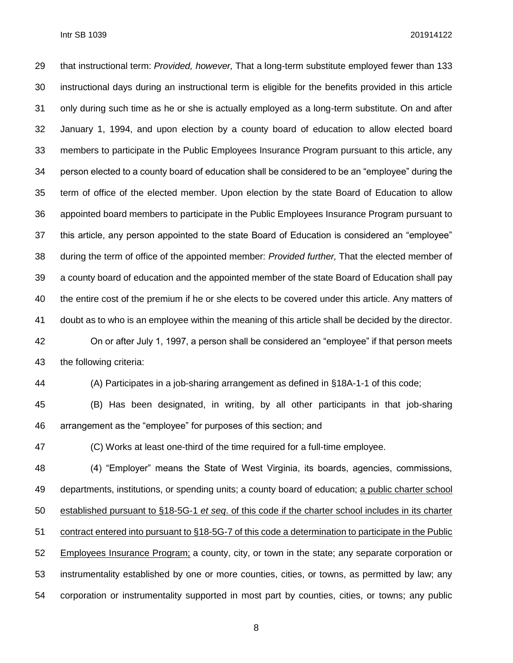that instructional term: *Provided, however,* That a long-term substitute employed fewer than 133 instructional days during an instructional term is eligible for the benefits provided in this article only during such time as he or she is actually employed as a long-term substitute. On and after January 1, 1994, and upon election by a county board of education to allow elected board members to participate in the Public Employees Insurance Program pursuant to this article, any person elected to a county board of education shall be considered to be an "employee" during the term of office of the elected member. Upon election by the state Board of Education to allow appointed board members to participate in the Public Employees Insurance Program pursuant to this article, any person appointed to the state Board of Education is considered an "employee" during the term of office of the appointed member: *Provided further,* That the elected member of a county board of education and the appointed member of the state Board of Education shall pay the entire cost of the premium if he or she elects to be covered under this article. Any matters of doubt as to who is an employee within the meaning of this article shall be decided by the director. On or after July 1, 1997, a person shall be considered an "employee" if that person meets the following criteria:

(A) Participates in a job-sharing arrangement as defined in §18A-1-1 of this code;

 (B) Has been designated, in writing, by all other participants in that job-sharing arrangement as the "employee" for purposes of this section; and

(C) Works at least one-third of the time required for a full-time employee.

 (4) "Employer" means the State of West Virginia, its boards, agencies, commissions, departments, institutions, or spending units; a county board of education; a public charter school established pursuant to §18-5G-1 *et seq*. of this code if the charter school includes in its charter contract entered into pursuant to §18-5G-7 of this code a determination to participate in the Public Employees Insurance Program; a county, city, or town in the state; any separate corporation or instrumentality established by one or more counties, cities, or towns, as permitted by law; any corporation or instrumentality supported in most part by counties, cities, or towns; any public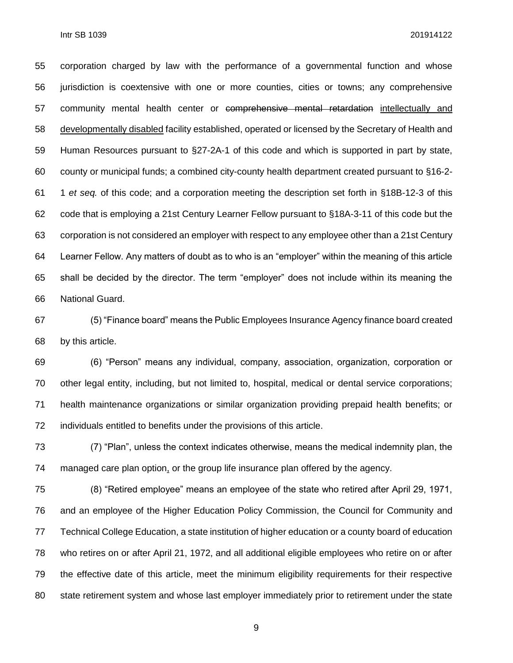corporation charged by law with the performance of a governmental function and whose jurisdiction is coextensive with one or more counties, cities or towns; any comprehensive community mental health center or comprehensive mental retardation intellectually and developmentally disabled facility established, operated or licensed by the Secretary of Health and Human Resources pursuant to §27-2A-1 of this code and which is supported in part by state, county or municipal funds; a combined city-county health department created pursuant to §16-2- 1 *et seq.* of this code; and a corporation meeting the description set forth in §18B-12-3 of this code that is employing a 21st Century Learner Fellow pursuant to §18A-3-11 of this code but the corporation is not considered an employer with respect to any employee other than a 21st Century Learner Fellow. Any matters of doubt as to who is an "employer" within the meaning of this article shall be decided by the director. The term "employer" does not include within its meaning the National Guard.

 (5) "Finance board" means the Public Employees Insurance Agency finance board created by this article.

 (6) "Person" means any individual, company, association, organization, corporation or other legal entity, including, but not limited to, hospital, medical or dental service corporations; health maintenance organizations or similar organization providing prepaid health benefits; or individuals entitled to benefits under the provisions of this article.

 (7) "Plan", unless the context indicates otherwise, means the medical indemnity plan, the managed care plan option, or the group life insurance plan offered by the agency.

 (8) "Retired employee" means an employee of the state who retired after April 29, 1971, and an employee of the Higher Education Policy Commission, the Council for Community and Technical College Education, a state institution of higher education or a county board of education who retires on or after April 21, 1972, and all additional eligible employees who retire on or after the effective date of this article, meet the minimum eligibility requirements for their respective state retirement system and whose last employer immediately prior to retirement under the state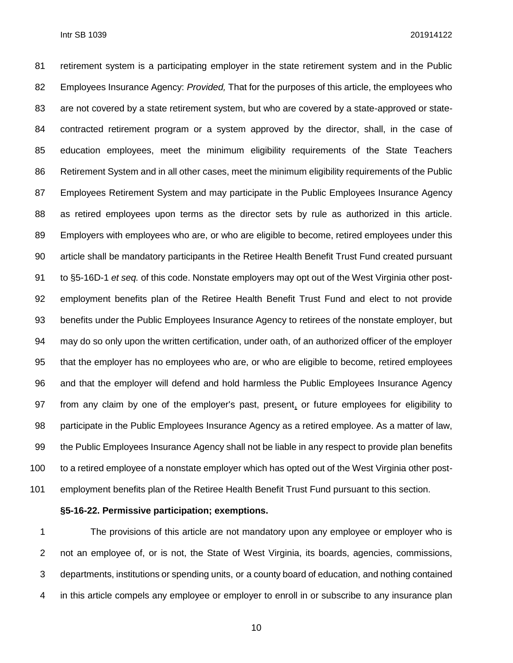retirement system is a participating employer in the state retirement system and in the Public Employees Insurance Agency: *Provided,* That for the purposes of this article, the employees who are not covered by a state retirement system, but who are covered by a state-approved or state- contracted retirement program or a system approved by the director, shall, in the case of education employees, meet the minimum eligibility requirements of the State Teachers Retirement System and in all other cases, meet the minimum eligibility requirements of the Public Employees Retirement System and may participate in the Public Employees Insurance Agency as retired employees upon terms as the director sets by rule as authorized in this article. Employers with employees who are, or who are eligible to become, retired employees under this article shall be mandatory participants in the Retiree Health Benefit Trust Fund created pursuant to §5-16D-1 *et seq.* of this code. Nonstate employers may opt out of the West Virginia other post- employment benefits plan of the Retiree Health Benefit Trust Fund and elect to not provide benefits under the Public Employees Insurance Agency to retirees of the nonstate employer, but may do so only upon the written certification, under oath, of an authorized officer of the employer that the employer has no employees who are, or who are eligible to become, retired employees and that the employer will defend and hold harmless the Public Employees Insurance Agency from any claim by one of the employer's past, present, or future employees for eligibility to participate in the Public Employees Insurance Agency as a retired employee. As a matter of law, the Public Employees Insurance Agency shall not be liable in any respect to provide plan benefits to a retired employee of a nonstate employer which has opted out of the West Virginia other post-employment benefits plan of the Retiree Health Benefit Trust Fund pursuant to this section.

#### **§5-16-22. Permissive participation; exemptions.**

 The provisions of this article are not mandatory upon any employee or employer who is not an employee of, or is not, the State of West Virginia, its boards, agencies, commissions, departments, institutions or spending units, or a county board of education, and nothing contained in this article compels any employee or employer to enroll in or subscribe to any insurance plan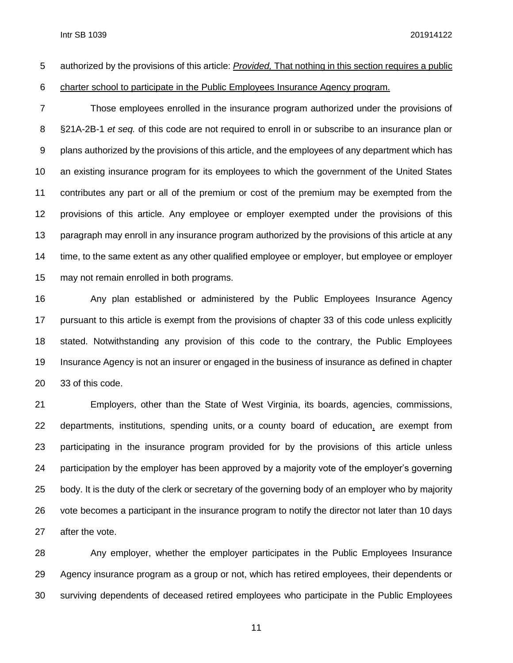authorized by the provisions of this article: *Provided,* That nothing in this section requires a public

charter school to participate in the Public Employees Insurance Agency program.

 Those employees enrolled in the insurance program authorized under the provisions of §21A-2B-1 *et seq.* of this code are not required to enroll in or subscribe to an insurance plan or plans authorized by the provisions of this article, and the employees of any department which has an existing insurance program for its employees to which the government of the United States contributes any part or all of the premium or cost of the premium may be exempted from the provisions of this article. Any employee or employer exempted under the provisions of this paragraph may enroll in any insurance program authorized by the provisions of this article at any time, to the same extent as any other qualified employee or employer, but employee or employer may not remain enrolled in both programs.

 Any plan established or administered by the Public Employees Insurance Agency pursuant to this article is exempt from the provisions of chapter 33 of this code unless explicitly stated. Notwithstanding any provision of this code to the contrary, the Public Employees Insurance Agency is not an insurer or engaged in the business of insurance as defined in chapter 33 of this code.

 Employers, other than the State of West Virginia, its boards, agencies, commissions, departments, institutions, spending units, or a county board of education, are exempt from participating in the insurance program provided for by the provisions of this article unless participation by the employer has been approved by a majority vote of the employer's governing body. It is the duty of the clerk or secretary of the governing body of an employer who by majority vote becomes a participant in the insurance program to notify the director not later than 10 days after the vote.

 Any employer, whether the employer participates in the Public Employees Insurance Agency insurance program as a group or not, which has retired employees, their dependents or surviving dependents of deceased retired employees who participate in the Public Employees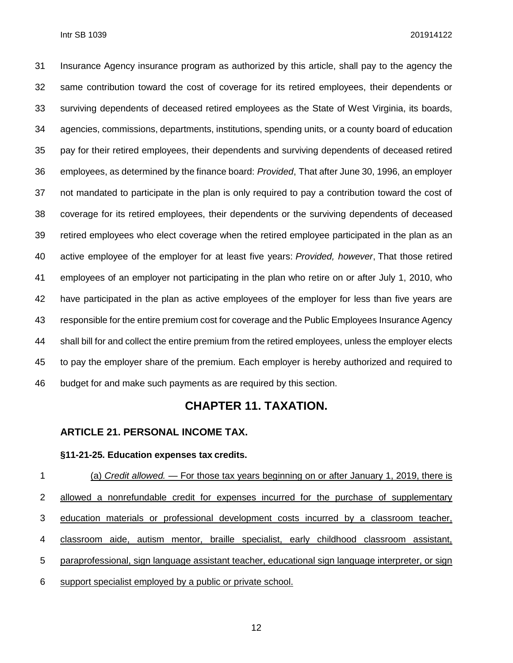Insurance Agency insurance program as authorized by this article, shall pay to the agency the same contribution toward the cost of coverage for its retired employees, their dependents or surviving dependents of deceased retired employees as the State of West Virginia, its boards, agencies, commissions, departments, institutions, spending units, or a county board of education pay for their retired employees, their dependents and surviving dependents of deceased retired employees, as determined by the finance board: *Provided*, That after June 30, 1996, an employer not mandated to participate in the plan is only required to pay a contribution toward the cost of coverage for its retired employees, their dependents or the surviving dependents of deceased retired employees who elect coverage when the retired employee participated in the plan as an active employee of the employer for at least five years: *Provided, however*, That those retired employees of an employer not participating in the plan who retire on or after July 1, 2010, who have participated in the plan as active employees of the employer for less than five years are responsible for the entire premium cost for coverage and the Public Employees Insurance Agency shall bill for and collect the entire premium from the retired employees, unless the employer elects to pay the employer share of the premium. Each employer is hereby authorized and required to budget for and make such payments as are required by this section.

#### **CHAPTER 11. TAXATION.**

#### **ARTICLE 21. PERSONAL INCOME TAX.**

#### **§11-21-25. Education expenses tax credits.**

 (a) *Credit allowed.* — For those tax years beginning on or after January 1, 2019, there is 2 allowed a nonrefundable credit for expenses incurred for the purchase of supplementary education materials or professional development costs incurred by a classroom teacher, classroom aide, autism mentor, braille specialist, early childhood classroom assistant, paraprofessional, sign language assistant teacher, educational sign language interpreter, or sign support specialist employed by a public or private school.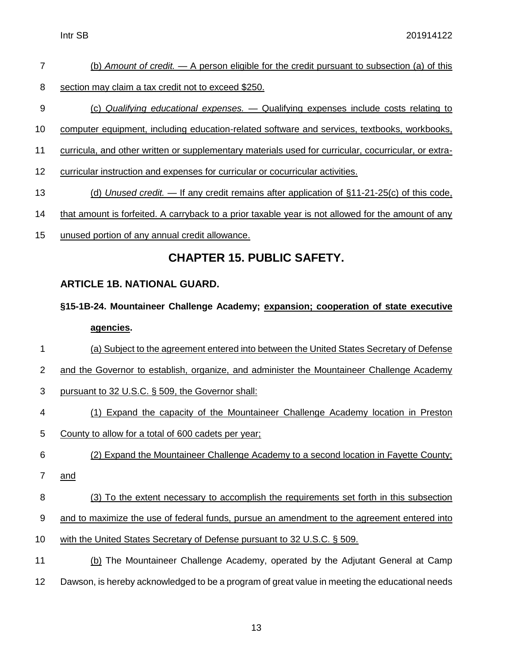- (b) *Amount of credit.* A person eligible for the credit pursuant to subsection (a) of this
- 8 section may claim a tax credit not to exceed \$250.
- (c) *Qualifying educational expenses.* Qualifying expenses include costs relating to
- computer equipment, including education-related software and services, textbooks, workbooks,
- curricula, and other written or supplementary materials used for curricular, cocurricular, or extra-
- curricular instruction and expenses for curricular or cocurricular activities.
- (d) *Unused credit.* If any credit remains after application of §11-21-25(c) of this code,
- that amount is forfeited. A carryback to a prior taxable year is not allowed for the amount of any
- unused portion of any annual credit allowance.

### **CHAPTER 15. PUBLIC SAFETY.**

#### **ARTICLE 1B. NATIONAL GUARD.**

- **§15-1B-24. Mountaineer Challenge Academy; expansion; cooperation of state executive agencies.**
- (a) Subject to the agreement entered into between the United States Secretary of Defense
- and the Governor to establish, organize, and administer the Mountaineer Challenge Academy
- pursuant to 32 U.S.C. § 509, the Governor shall:
- (1) Expand the capacity of the Mountaineer Challenge Academy location in Preston
- County to allow for a total of 600 cadets per year;
- (2) Expand the Mountaineer Challenge Academy to a second location in Fayette County;
- and
- (3) To the extent necessary to accomplish the requirements set forth in this subsection
- and to maximize the use of federal funds, pursue an amendment to the agreement entered into
- with the United States Secretary of Defense pursuant to 32 U.S.C. § 509.
- (b) The Mountaineer Challenge Academy, operated by the Adjutant General at Camp Dawson, is hereby acknowledged to be a program of great value in meeting the educational needs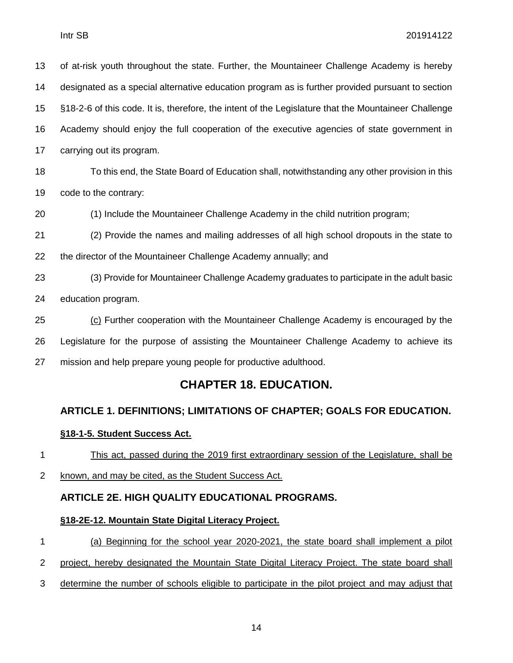of at-risk youth throughout the state. Further, the Mountaineer Challenge Academy is hereby designated as a special alternative education program as is further provided pursuant to section §18-2-6 of this code. It is, therefore, the intent of the Legislature that the Mountaineer Challenge Academy should enjoy the full cooperation of the executive agencies of state government in carrying out its program.

 To this end, the State Board of Education shall, notwithstanding any other provision in this code to the contrary:

(1) Include the Mountaineer Challenge Academy in the child nutrition program;

 (2) Provide the names and mailing addresses of all high school dropouts in the state to the director of the Mountaineer Challenge Academy annually; and

 (3) Provide for Mountaineer Challenge Academy graduates to participate in the adult basic education program.

 (c) Further cooperation with the Mountaineer Challenge Academy is encouraged by the Legislature for the purpose of assisting the Mountaineer Challenge Academy to achieve its mission and help prepare young people for productive adulthood.

#### **CHAPTER 18. EDUCATION.**

#### **ARTICLE 1. DEFINITIONS; LIMITATIONS OF CHAPTER; GOALS FOR EDUCATION.**

#### **§18-1-5. Student Success Act.**

This act, passed during the 2019 first extraordinary session of the Legislature, shall be

known, and may be cited, as the Student Success Act.

#### **ARTICLE 2E. HIGH QUALITY EDUCATIONAL PROGRAMS.**

#### **§18-2E-12. Mountain State Digital Literacy Project.**

- (a) Beginning for the school year 2020-2021, the state board shall implement a pilot
- project, hereby designated the Mountain State Digital Literacy Project. The state board shall
- determine the number of schools eligible to participate in the pilot project and may adjust that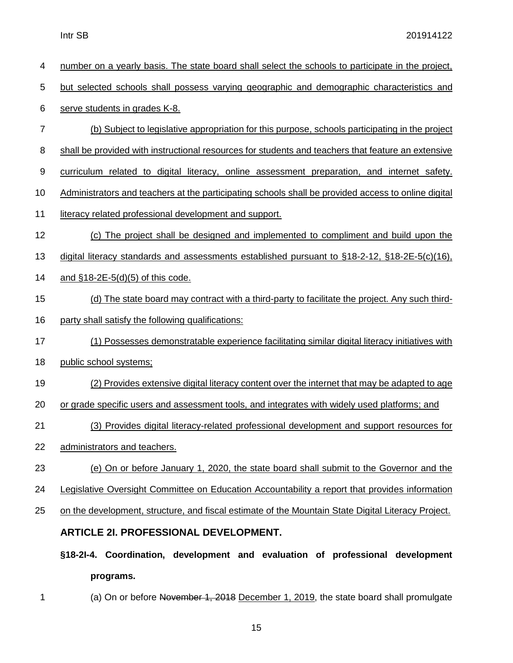| 4     | number on a yearly basis. The state board shall select the schools to participate in the project,   |  |  |  |
|-------|-----------------------------------------------------------------------------------------------------|--|--|--|
| 5     | but selected schools shall possess varying geographic and demographic characteristics and           |  |  |  |
| $\,6$ | serve students in grades K-8.                                                                       |  |  |  |
| 7     | (b) Subject to legislative appropriation for this purpose, schools participating in the project     |  |  |  |
| 8     | shall be provided with instructional resources for students and teachers that feature an extensive  |  |  |  |
| 9     | curriculum related to digital literacy, online assessment preparation, and internet safety.         |  |  |  |
| 10    | Administrators and teachers at the participating schools shall be provided access to online digital |  |  |  |
| 11    | literacy related professional development and support.                                              |  |  |  |
| 12    | (c) The project shall be designed and implemented to compliment and build upon the                  |  |  |  |
| 13    | digital literacy standards and assessments established pursuant to $§18-2-12$ , $§18-2E-5(c)(16)$ , |  |  |  |
| 14    | and $$18-2E-5(d)(5)$ of this code.                                                                  |  |  |  |
| 15    | (d) The state board may contract with a third-party to facilitate the project. Any such third-      |  |  |  |
| 16    | party shall satisfy the following qualifications:                                                   |  |  |  |
| 17    | (1) Possesses demonstratable experience facilitating similar digital literacy initiatives with      |  |  |  |
| 18    | public school systems;                                                                              |  |  |  |
| 19    | (2) Provides extensive digital literacy content over the internet that may be adapted to age        |  |  |  |
| 20    | or grade specific users and assessment tools, and integrates with widely used platforms; and        |  |  |  |
| 21    | (3) Provides digital literacy-related professional development and support resources for            |  |  |  |
| 22    | administrators and teachers.                                                                        |  |  |  |
| 23    | (e) On or before January 1, 2020, the state board shall submit to the Governor and the              |  |  |  |
| 24    | Legislative Oversight Committee on Education Accountability a report that provides information      |  |  |  |
| 25    | on the development, structure, and fiscal estimate of the Mountain State Digital Literacy Project.  |  |  |  |
|       | <b>ARTICLE 21. PROFESSIONAL DEVELOPMENT.</b>                                                        |  |  |  |
|       | §18-2I-4. Coordination, development and evaluation of professional development                      |  |  |  |
|       | programs.                                                                                           |  |  |  |

1 (a) On or before November 1, 2018 December 1, 2019, the state board shall promulgate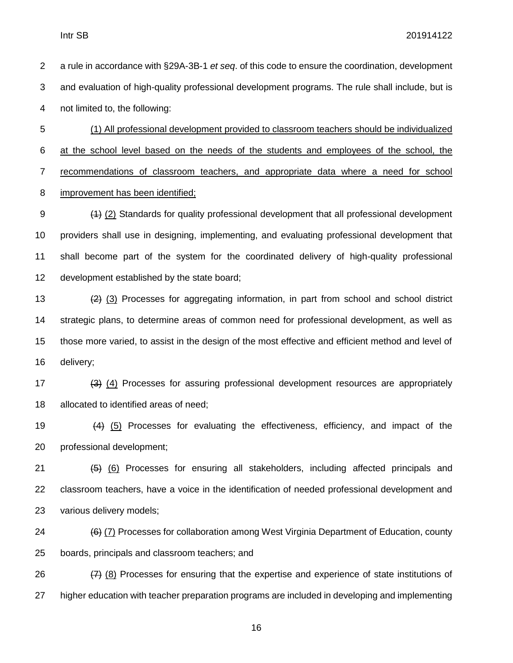a rule in accordance with §29A-3B-1 *et seq*. of this code to ensure the coordination, development and evaluation of high-quality professional development programs. The rule shall include, but is not limited to, the following: (1) All professional development provided to classroom teachers should be individualized at the school level based on the needs of the students and employees of the school, the recommendations of classroom teachers, and appropriate data where a need for school

improvement has been identified;

 (1) (2) Standards for quality professional development that all professional development providers shall use in designing, implementing, and evaluating professional development that shall become part of the system for the coordinated delivery of high-quality professional development established by the state board;

13 (2) (3) Processes for aggregating information, in part from school and school district strategic plans, to determine areas of common need for professional development, as well as those more varied, to assist in the design of the most effective and efficient method and level of delivery;

17 (3) (4) Processes for assuring professional development resources are appropriately allocated to identified areas of need;

 (4) (5) Processes for evaluating the effectiveness, efficiency, and impact of the professional development;

21  $(5)$  (6) Processes for ensuring all stakeholders, including affected principals and classroom teachers, have a voice in the identification of needed professional development and various delivery models;

24 (6) (7) Processes for collaboration among West Virginia Department of Education, county boards, principals and classroom teachers; and

26  $(7)$  (8) Processes for ensuring that the expertise and experience of state institutions of higher education with teacher preparation programs are included in developing and implementing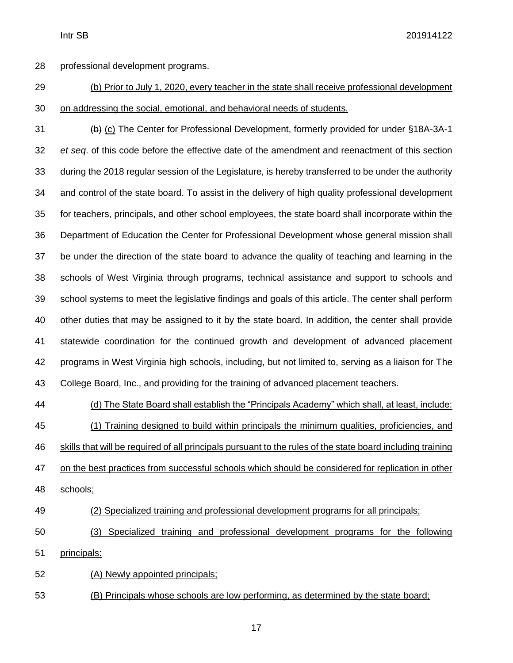professional development programs.

## (b) Prior to July 1, 2020, every teacher in the state shall receive professional development on addressing the social, emotional, and behavioral needs of students.

 (b) (c) The Center for Professional Development, formerly provided for under §18A-3A-1 *et seq*. of this code before the effective date of the amendment and reenactment of this section during the 2018 regular session of the Legislature, is hereby transferred to be under the authority and control of the state board. To assist in the delivery of high quality professional development for teachers, principals, and other school employees, the state board shall incorporate within the Department of Education the Center for Professional Development whose general mission shall be under the direction of the state board to advance the quality of teaching and learning in the schools of West Virginia through programs, technical assistance and support to schools and school systems to meet the legislative findings and goals of this article. The center shall perform other duties that may be assigned to it by the state board. In addition, the center shall provide statewide coordination for the continued growth and development of advanced placement programs in West Virginia high schools, including, but not limited to, serving as a liaison for The College Board, Inc., and providing for the training of advanced placement teachers.

 (d) The State Board shall establish the "Principals Academy" which shall, at least, include: (1) Training designed to build within principals the minimum qualities, proficiencies, and skills that will be required of all principals pursuant to the rules of the state board including training on the best practices from successful schools which should be considered for replication in other schools;

#### (2) Specialized training and professional development programs for all principals;

 (3) Specialized training and professional development programs for the following principals:

(A) Newly appointed principals;

(B) Principals whose schools are low performing, as determined by the state board;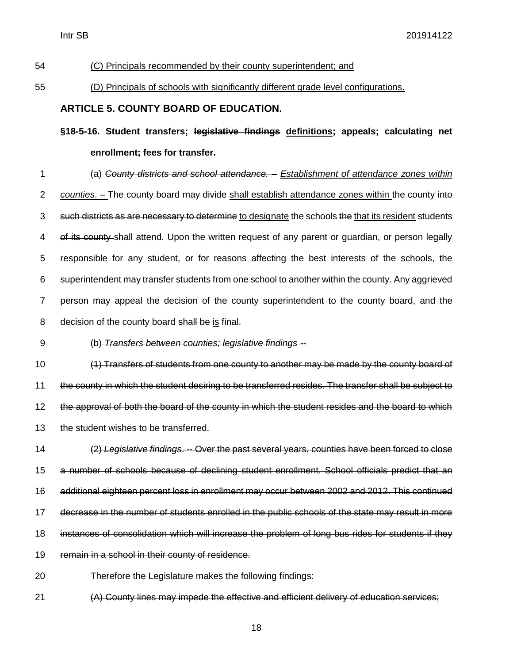#### (C) Principals recommended by their county superintendent; and

#### (D) Principals of schools with significantly different grade level configurations.

#### **ARTICLE 5. COUNTY BOARD OF EDUCATION.**

**§18-5-16. Student transfers; legislative findings definitions; appeals; calculating net enrollment; fees for transfer.**

 (a) *County districts and school attendance.* – *Establishment of attendance zones within counties*. – The county board may divide shall establish attendance zones within the county into 3 such districts as are necessary to determine to designate the schools the that its resident students 4 of its county shall attend. Upon the written request of any parent or quardian, or person legally responsible for any student, or for reasons affecting the best interests of the schools, the superintendent may transfer students from one school to another within the county. Any aggrieved person may appeal the decision of the county superintendent to the county board, and the 8 decision of the county board shall be is final.

(b) *Transfers between counties; legislative findings --*

 (1) Transfers of students from one county to another may be made by the county board of the county in which the student desiring to be transferred resides. The transfer shall be subject to the approval of both the board of the county in which the student resides and the board to which 13 the student wishes to be transferred.

 (2) *Legislative findings*. -- Over the past several years, counties have been forced to close a number of schools because of declining student enrollment. School officials predict that an additional eighteen percent loss in enrollment may occur between 2002 and 2012. This continued decrease in the number of students enrolled in the public schools of the state may result in more instances of consolidation which will increase the problem of long bus rides for students if they remain in a school in their county of residence.

Therefore the Legislature makes the following findings:

(A) County lines may impede the effective and efficient delivery of education services;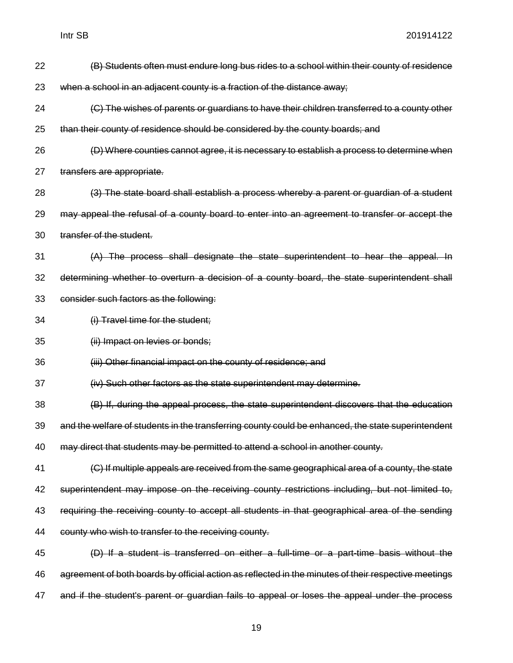| 22 | (B) Students often must endure long bus rides to a school within their county of residence           |  |  |
|----|------------------------------------------------------------------------------------------------------|--|--|
| 23 | when a school in an adjacent county is a fraction of the distance away;                              |  |  |
| 24 | (C) The wishes of parents or guardians to have their children transferred to a county other          |  |  |
| 25 | than their county of residence should be considered by the county boards; and                        |  |  |
| 26 | (D) Where counties cannot agree, it is necessary to establish a process to determine when            |  |  |
| 27 | transfers are appropriate.                                                                           |  |  |
| 28 | (3) The state board shall establish a process whereby a parent or guardian of a student              |  |  |
| 29 | may appeal the refusal of a county board to enter into an agreement to transfer or accept the        |  |  |
| 30 | transfer of the student.                                                                             |  |  |
| 31 | (A) The process shall designate the state superintendent to hear the appeal. In                      |  |  |
| 32 | determining whether to overturn a decision of a county board, the state superintendent shall         |  |  |
| 33 | consider such factors as the following:                                                              |  |  |
| 34 | (i) Travel time for the student;                                                                     |  |  |
| 35 | (ii) Impact on levies or bonds;                                                                      |  |  |
| 36 | (iii) Other financial impact on the county of residence; and                                         |  |  |
| 37 | (iv) Such other factors as the state superintendent may determine.                                   |  |  |
| 38 | (B) If, during the appeal process, the state superintendent discovers that the education             |  |  |
| 39 | and the welfare of students in the transferring county could be enhanced, the state superintendent   |  |  |
| 40 | may direct that students may be permitted to attend a school in another county.                      |  |  |
| 41 | (C) If multiple appeals are received from the same geographical area of a county, the state          |  |  |
| 42 | superintendent may impose on the receiving county restrictions including, but not limited to,        |  |  |
| 43 | requiring the receiving county to accept all students in that geographical area of the sending       |  |  |
| 44 | county who wish to transfer to the receiving county.                                                 |  |  |
| 45 | (D) If a student is transferred on either a full-time or a part-time basis without the               |  |  |
| 46 | agreement of both boards by official action as reflected in the minutes of their respective meetings |  |  |
| 47 | and if the student's parent or guardian fails to appeal or loses the appeal under the process        |  |  |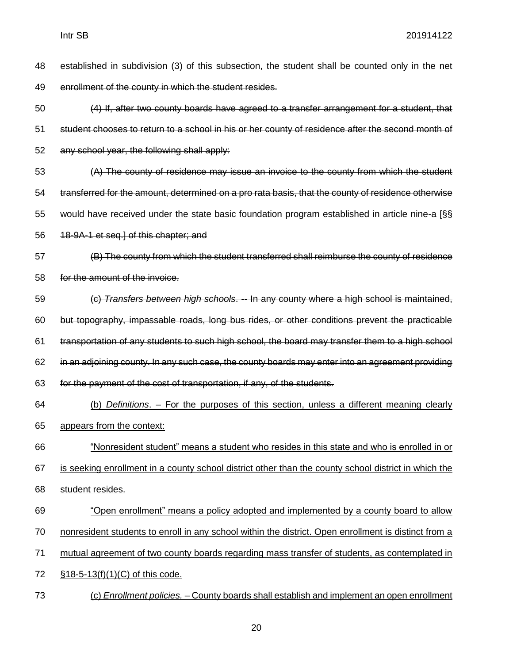| 48 | established in subdivision (3) of this subsection, the student shall be counted only in the net      |  |  |
|----|------------------------------------------------------------------------------------------------------|--|--|
| 49 | enrollment of the county in which the student resides.                                               |  |  |
| 50 | (4) If, after two county boards have agreed to a transfer arrangement for a student, that            |  |  |
| 51 | student chooses to return to a school in his or her county of residence after the second month of    |  |  |
| 52 | any school year, the following shall apply:                                                          |  |  |
| 53 | (A) The county of residence may issue an invoice to the county from which the student                |  |  |
| 54 | transferred for the amount, determined on a pro rata basis, that the county of residence otherwise   |  |  |
| 55 | would have received under the state basic foundation program established in article nine-a [§§       |  |  |
| 56 | 18-9A-1 et seq.] of this chapter; and                                                                |  |  |
| 57 | (B) The county from which the student transferred shall reimburse the county of residence            |  |  |
| 58 | for the amount of the invoice.                                                                       |  |  |
| 59 | (c) Transfers between high schools. -- In any county where a high school is maintained,              |  |  |
| 60 | but topography, impassable roads, long bus rides, or other conditions prevent the practicable        |  |  |
| 61 | transportation of any students to such high school, the board may transfer them to a high school     |  |  |
| 62 | in an adjoining county. In any such case, the county boards may enter into an agreement providing    |  |  |
| 63 | for the payment of the cost of transportation, if any, of the students.                              |  |  |
| 64 | (b) Definitions. – For the purposes of this section, unless a different meaning clearly              |  |  |
| 65 | appears from the context:                                                                            |  |  |
| 66 | "Nonresident student" means a student who resides in this state and who is enrolled in or            |  |  |
| 67 | is seeking enrollment in a county school district other than the county school district in which the |  |  |
| 68 | student resides.                                                                                     |  |  |
| 69 | "Open enrollment" means a policy adopted and implemented by a county board to allow                  |  |  |
| 70 | nonresident students to enroll in any school within the district. Open enrollment is distinct from a |  |  |
| 71 | mutual agreement of two county boards regarding mass transfer of students, as contemplated in        |  |  |
| 72 | $$18-5-13(f)(1)(C)$ of this code.                                                                    |  |  |
| 73 | (c) Enrollment policies. - County boards shall establish and implement an open enrollment            |  |  |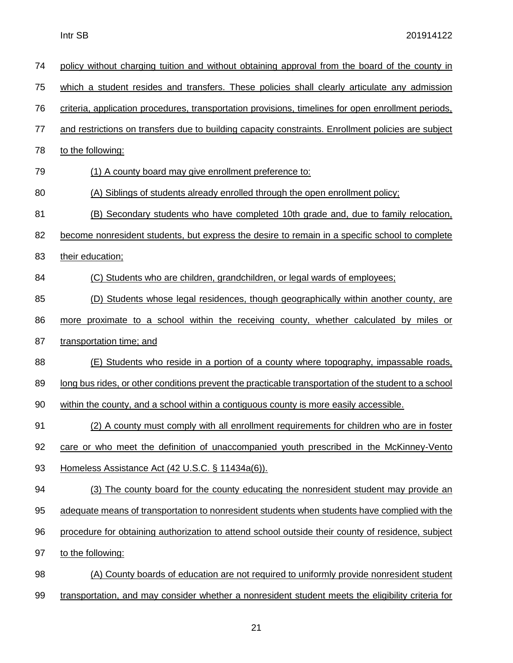| 74 | policy without charging tuition and without obtaining approval from the board of the county in        |  |  |  |
|----|-------------------------------------------------------------------------------------------------------|--|--|--|
| 75 | which a student resides and transfers. These policies shall clearly articulate any admission          |  |  |  |
| 76 | criteria, application procedures, transportation provisions, timelines for open enrollment periods,   |  |  |  |
| 77 | and restrictions on transfers due to building capacity constraints. Enrollment policies are subject   |  |  |  |
| 78 | to the following:                                                                                     |  |  |  |
| 79 | (1) A county board may give enrollment preference to:                                                 |  |  |  |
| 80 | (A) Siblings of students already enrolled through the open enrollment policy;                         |  |  |  |
| 81 | (B) Secondary students who have completed 10th grade and, due to family relocation,                   |  |  |  |
| 82 | become nonresident students, but express the desire to remain in a specific school to complete        |  |  |  |
| 83 | their education;                                                                                      |  |  |  |
| 84 | (C) Students who are children, grandchildren, or legal wards of employees;                            |  |  |  |
| 85 | (D) Students whose legal residences, though geographically within another county, are                 |  |  |  |
| 86 | more proximate to a school within the receiving county, whether calculated by miles or                |  |  |  |
| 87 | transportation time; and                                                                              |  |  |  |
| 88 | <u>(E) Students who reside in a portion of a county where topography, impassable roads,</u>           |  |  |  |
| 89 | long bus rides, or other conditions prevent the practicable transportation of the student to a school |  |  |  |
| 90 | within the county, and a school within a contiguous county is more easily accessible.                 |  |  |  |
| 91 | (2) A county must comply with all enrollment requirements for children who are in foster              |  |  |  |
| 92 | care or who meet the definition of unaccompanied youth prescribed in the McKinney-Vento               |  |  |  |
| 93 | Homeless Assistance Act (42 U.S.C. § 11434a(6)).                                                      |  |  |  |
| 94 | (3) The county board for the county educating the nonresident student may provide an                  |  |  |  |
| 95 | adequate means of transportation to nonresident students when students have complied with the         |  |  |  |
| 96 | procedure for obtaining authorization to attend school outside their county of residence, subject     |  |  |  |
| 97 | to the following:                                                                                     |  |  |  |
| 98 | (A) County boards of education are not required to uniformly provide nonresident student              |  |  |  |
| 99 | transportation, and may consider whether a nonresident student meets the eligibility criteria for     |  |  |  |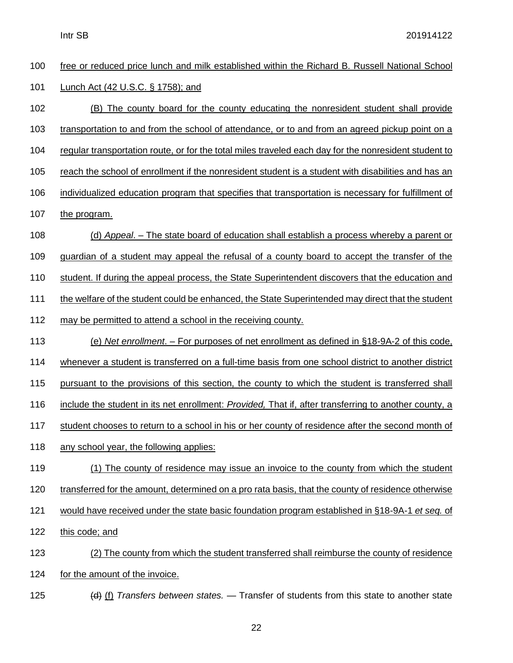| 100 | free or reduced price lunch and milk established within the Richard B. Russell National School        |  |
|-----|-------------------------------------------------------------------------------------------------------|--|
| 101 | Lunch Act (42 U.S.C. § 1758); and                                                                     |  |
| 102 | (B) The county board for the county educating the nonresident student shall provide                   |  |
| 103 | transportation to and from the school of attendance, or to and from an agreed pickup point on a       |  |
| 104 | requiar transportation route, or for the total miles traveled each day for the nonresident student to |  |
| 105 | reach the school of enrollment if the nonresident student is a student with disabilities and has an   |  |
| 106 | individualized education program that specifies that transportation is necessary for fulfillment of   |  |
| 107 | the program.                                                                                          |  |
| 108 | (d) Appeal. – The state board of education shall establish a process whereby a parent or              |  |
| 109 | guardian of a student may appeal the refusal of a county board to accept the transfer of the          |  |
| 110 | student. If during the appeal process, the State Superintendent discovers that the education and      |  |
| 111 | the welfare of the student could be enhanced, the State Superintended may direct that the student     |  |
| 112 | may be permitted to attend a school in the receiving county.                                          |  |
| 113 | (e) Net enrollment. – For purposes of net enrollment as defined in §18-9A-2 of this code,             |  |
| 114 | whenever a student is transferred on a full-time basis from one school district to another district   |  |
| 115 | pursuant to the provisions of this section, the county to which the student is transferred shall      |  |
| 116 | include the student in its net enrollment: Provided, That if, after transferring to another county, a |  |
| 117 | student chooses to return to a school in his or her county of residence after the second month of     |  |
| 118 | any school year, the following applies:                                                               |  |
| 119 | (1) The county of residence may issue an invoice to the county from which the student                 |  |
| 120 | transferred for the amount, determined on a pro rata basis, that the county of residence otherwise    |  |
| 121 | would have received under the state basic foundation program established in §18-9A-1 et seq. of       |  |
| 122 | this code; and                                                                                        |  |
| 123 | (2) The county from which the student transferred shall reimburse the county of residence             |  |
| 124 | for the amount of the invoice.                                                                        |  |
|     |                                                                                                       |  |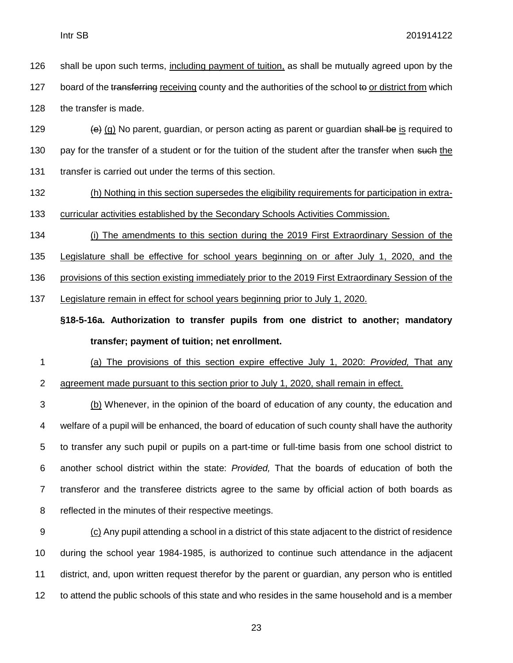shall be upon such terms, including payment of tuition, as shall be mutually agreed upon by the 127 board of the transferring receiving county and the authorities of the school to or district from which the transfer is made.

129  $\left\{\n\begin{array}{l}\n\text{ (a) No parent, quadrant, or person on action as parent or quadrant }\n\end{array}\n\right\}$  is required to 130 pay for the transfer of a student or for the tuition of the student after the transfer when such the transfer is carried out under the terms of this section.

 (h) Nothing in this section supersedes the eligibility requirements for participation in extra-curricular activities established by the Secondary Schools Activities Commission.

 (i) The amendments to this section during the 2019 First Extraordinary Session of the Legislature shall be effective for school years beginning on or after July 1, 2020, and the provisions of this section existing immediately prior to the 2019 First Extraordinary Session of the Legislature remain in effect for school years beginning prior to July 1, 2020.

**§18-5-16a. Authorization to transfer pupils from one district to another; mandatory transfer; payment of tuition; net enrollment.**

 (a) The provisions of this section expire effective July 1, 2020: *Provided,* That any agreement made pursuant to this section prior to July 1, 2020, shall remain in effect.

 (b) Whenever, in the opinion of the board of education of any county, the education and welfare of a pupil will be enhanced, the board of education of such county shall have the authority to transfer any such pupil or pupils on a part-time or full-time basis from one school district to another school district within the state: *Provided,* That the boards of education of both the transferor and the transferee districts agree to the same by official action of both boards as reflected in the minutes of their respective meetings.

 (c) Any pupil attending a school in a district of this state adjacent to the district of residence during the school year 1984-1985, is authorized to continue such attendance in the adjacent district, and, upon written request therefor by the parent or guardian, any person who is entitled to attend the public schools of this state and who resides in the same household and is a member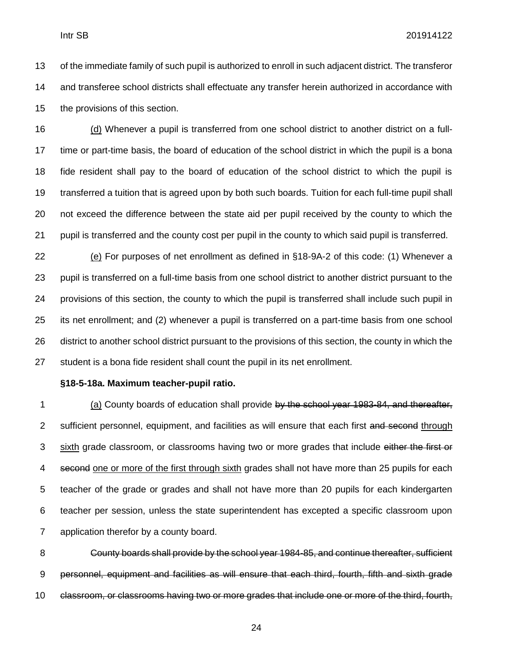of the immediate family of such pupil is authorized to enroll in such adjacent district. The transferor and transferee school districts shall effectuate any transfer herein authorized in accordance with the provisions of this section.

 (d) Whenever a pupil is transferred from one school district to another district on a full- time or part-time basis, the board of education of the school district in which the pupil is a bona fide resident shall pay to the board of education of the school district to which the pupil is transferred a tuition that is agreed upon by both such boards. Tuition for each full-time pupil shall not exceed the difference between the state aid per pupil received by the county to which the pupil is transferred and the county cost per pupil in the county to which said pupil is transferred.

 (e) For purposes of net enrollment as defined in §18-9A-2 of this code: (1) Whenever a pupil is transferred on a full-time basis from one school district to another district pursuant to the provisions of this section, the county to which the pupil is transferred shall include such pupil in its net enrollment; and (2) whenever a pupil is transferred on a part-time basis from one school district to another school district pursuant to the provisions of this section, the county in which the student is a bona fide resident shall count the pupil in its net enrollment.

#### **§18-5-18a. Maximum teacher-pupil ratio.**

1 (a) County boards of education shall provide by the school year 1983-84, and thereafter, 2 sufficient personnel, equipment, and facilities as will ensure that each first and second through 3 sixth grade classroom, or classrooms having two or more grades that include either the first or 4 second one or more of the first through sixth grades shall not have more than 25 pupils for each teacher of the grade or grades and shall not have more than 20 pupils for each kindergarten teacher per session, unless the state superintendent has excepted a specific classroom upon application therefor by a county board.

 County boards shall provide by the school year 1984-85, and continue thereafter, sufficient personnel, equipment and facilities as will ensure that each third, fourth, fifth and sixth grade classroom, or classrooms having two or more grades that include one or more of the third, fourth,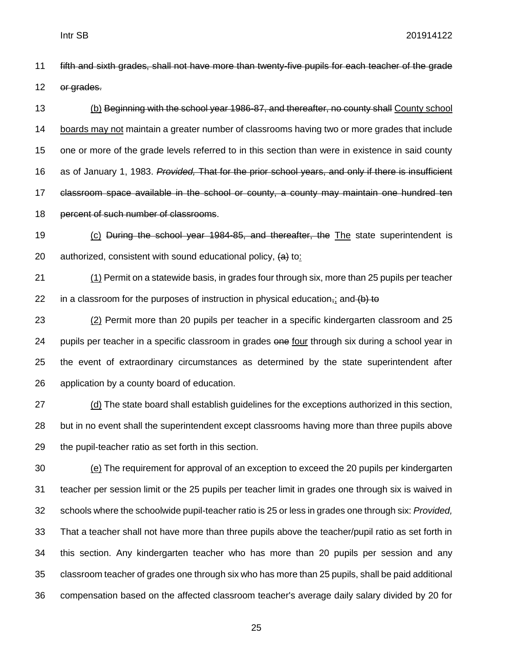fifth and sixth grades, shall not have more than twenty-five pupils for each teacher of the grade or grades.

13 (b) Beginning with the school year 1986-87, and thereafter, no county shall County school boards may not maintain a greater number of classrooms having two or more grades that include one or more of the grade levels referred to in this section than were in existence in said county as of January 1, 1983. *Provided,* That for the prior school years, and only if there is insufficient classroom space available in the school or county, a county may maintain one hundred ten 18 percent of such number of classrooms.

 (c) During the school year 1984-85, and thereafter, the The state superintendent is 20 authorized, consistent with sound educational policy,  $\left\langle a\right\rangle$  to:

 (1) Permit on a statewide basis, in grades four through six, more than 25 pupils per teacher 22 in a classroom for the purposes of instruction in physical education<sub>7</sub>; and (b) to

 (2) Permit more than 20 pupils per teacher in a specific kindergarten classroom and 25 24 pupils per teacher in a specific classroom in grades one four through six during a school year in the event of extraordinary circumstances as determined by the state superintendent after application by a county board of education.

 (d) The state board shall establish guidelines for the exceptions authorized in this section, but in no event shall the superintendent except classrooms having more than three pupils above the pupil-teacher ratio as set forth in this section.

 (e) The requirement for approval of an exception to exceed the 20 pupils per kindergarten teacher per session limit or the 25 pupils per teacher limit in grades one through six is waived in schools where the schoolwide pupil-teacher ratio is 25 or less in grades one through six: *Provided,* That a teacher shall not have more than three pupils above the teacher/pupil ratio as set forth in this section. Any kindergarten teacher who has more than 20 pupils per session and any classroom teacher of grades one through six who has more than 25 pupils, shall be paid additional compensation based on the affected classroom teacher's average daily salary divided by 20 for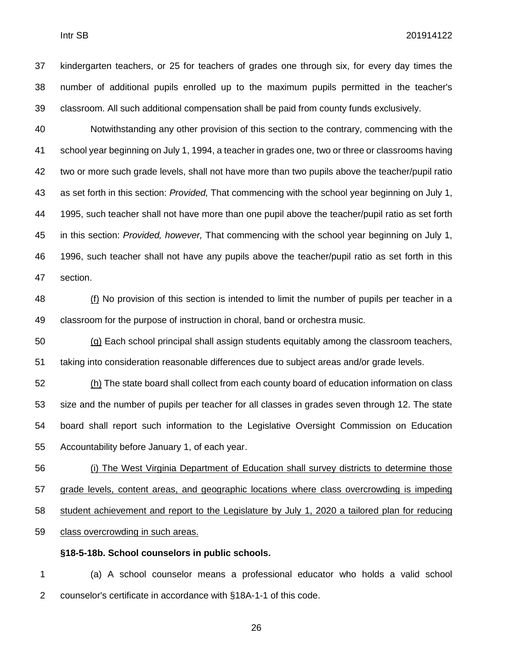kindergarten teachers, or 25 for teachers of grades one through six, for every day times the number of additional pupils enrolled up to the maximum pupils permitted in the teacher's classroom. All such additional compensation shall be paid from county funds exclusively.

 Notwithstanding any other provision of this section to the contrary, commencing with the school year beginning on July 1, 1994, a teacher in grades one, two or three or classrooms having two or more such grade levels, shall not have more than two pupils above the teacher/pupil ratio as set forth in this section: *Provided,* That commencing with the school year beginning on July 1, 1995, such teacher shall not have more than one pupil above the teacher/pupil ratio as set forth in this section: *Provided, however,* That commencing with the school year beginning on July 1, 1996, such teacher shall not have any pupils above the teacher/pupil ratio as set forth in this section.

48 (f) No provision of this section is intended to limit the number of pupils per teacher in a classroom for the purpose of instruction in choral, band or orchestra music.

 (g) Each school principal shall assign students equitably among the classroom teachers, taking into consideration reasonable differences due to subject areas and/or grade levels.

 (h) The state board shall collect from each county board of education information on class size and the number of pupils per teacher for all classes in grades seven through 12. The state board shall report such information to the Legislative Oversight Commission on Education Accountability before January 1, of each year.

 (i) The West Virginia Department of Education shall survey districts to determine those grade levels, content areas, and geographic locations where class overcrowding is impeding student achievement and report to the Legislature by July 1, 2020 a tailored plan for reducing class overcrowding in such areas.

#### **§18-5-18b. School counselors in public schools.**

 (a) A school counselor means a professional educator who holds a valid school counselor's certificate in accordance with §18A-1-1 of this code.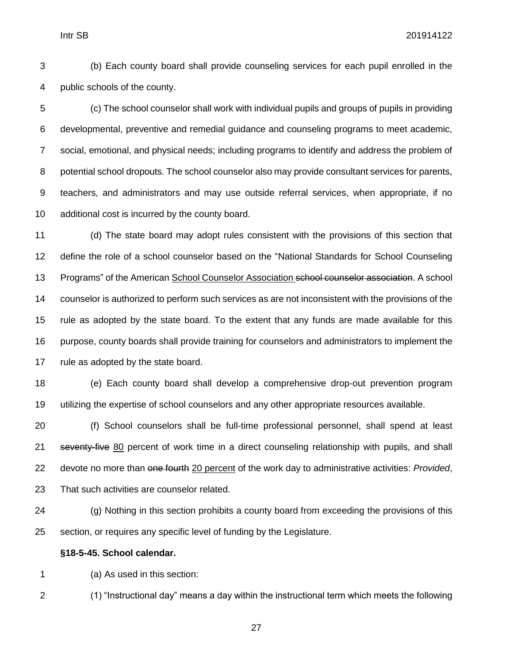(b) Each county board shall provide counseling services for each pupil enrolled in the public schools of the county.

 (c) The school counselor shall work with individual pupils and groups of pupils in providing developmental, preventive and remedial guidance and counseling programs to meet academic, social, emotional, and physical needs; including programs to identify and address the problem of potential school dropouts. The school counselor also may provide consultant services for parents, teachers, and administrators and may use outside referral services, when appropriate, if no additional cost is incurred by the county board.

 (d) The state board may adopt rules consistent with the provisions of this section that define the role of a school counselor based on the "National Standards for School Counseling Programs" of the American School Counselor Association school counselor association. A school counselor is authorized to perform such services as are not inconsistent with the provisions of the rule as adopted by the state board. To the extent that any funds are made available for this purpose, county boards shall provide training for counselors and administrators to implement the rule as adopted by the state board.

 (e) Each county board shall develop a comprehensive drop-out prevention program utilizing the expertise of school counselors and any other appropriate resources available.

 (f) School counselors shall be full-time professional personnel, shall spend at least 21 seventy-five 80 percent of work time in a direct counseling relationship with pupils, and shall devote no more than one fourth 20 percent of the work day to administrative activities: *Provided*, That such activities are counselor related.

 (g) Nothing in this section prohibits a county board from exceeding the provisions of this section, or requires any specific level of funding by the Legislature.

#### **§18-5-45. School calendar.**

(a) As used in this section:

(1) "Instructional day" means a day within the instructional term which meets the following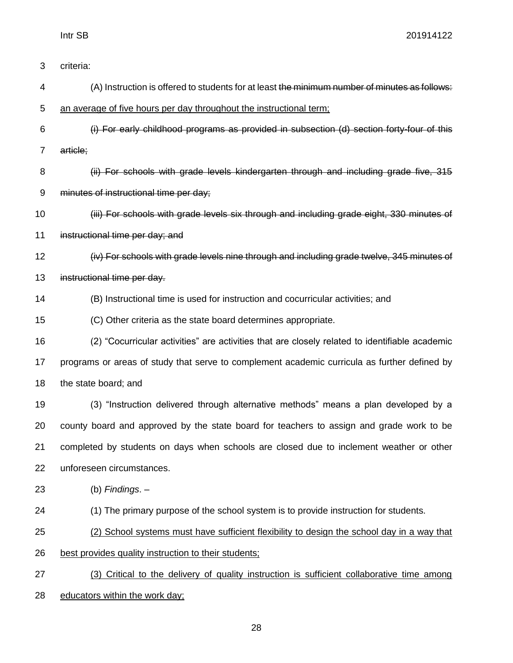| 3  | criteria:                                                                                      |  |  |
|----|------------------------------------------------------------------------------------------------|--|--|
| 4  | (A) Instruction is offered to students for at least the minimum number of minutes as follows:  |  |  |
| 5  | an average of five hours per day throughout the instructional term;                            |  |  |
| 6  | (i) For early childhood programs as provided in subsection (d) section forty-four of this      |  |  |
| 7  | article;                                                                                       |  |  |
| 8  | (ii) For schools with grade levels kindergarten through and including grade five, 315          |  |  |
| 9  | minutes of instructional time per day;                                                         |  |  |
| 10 | (iii) For schools with grade levels six through and including grade eight, 330 minutes of      |  |  |
| 11 | instructional time per day; and                                                                |  |  |
| 12 | (iv) For schools with grade levels nine through and including grade twelve, 345 minutes of     |  |  |
| 13 | instructional time per day.                                                                    |  |  |
| 14 | (B) Instructional time is used for instruction and cocurricular activities; and                |  |  |
| 15 | (C) Other criteria as the state board determines appropriate.                                  |  |  |
| 16 | (2) "Cocurricular activities" are activities that are closely related to identifiable academic |  |  |
| 17 | programs or areas of study that serve to complement academic curricula as further defined by   |  |  |
| 18 | the state board; and                                                                           |  |  |
| 19 | (3) "Instruction delivered through alternative methods" means a plan developed by a            |  |  |
| 20 | county board and approved by the state board for teachers to assign and grade work to be       |  |  |
| 21 | completed by students on days when schools are closed due to inclement weather or other        |  |  |
| 22 | unforeseen circumstances.                                                                      |  |  |
| 23 | (b) Findings. $-$                                                                              |  |  |
| 24 | (1) The primary purpose of the school system is to provide instruction for students.           |  |  |
| 25 | (2) School systems must have sufficient flexibility to design the school day in a way that     |  |  |
| 26 | best provides quality instruction to their students;                                           |  |  |
| 27 | (3) Critical to the delivery of quality instruction is sufficient collaborative time among     |  |  |
| 28 | educators within the work day;                                                                 |  |  |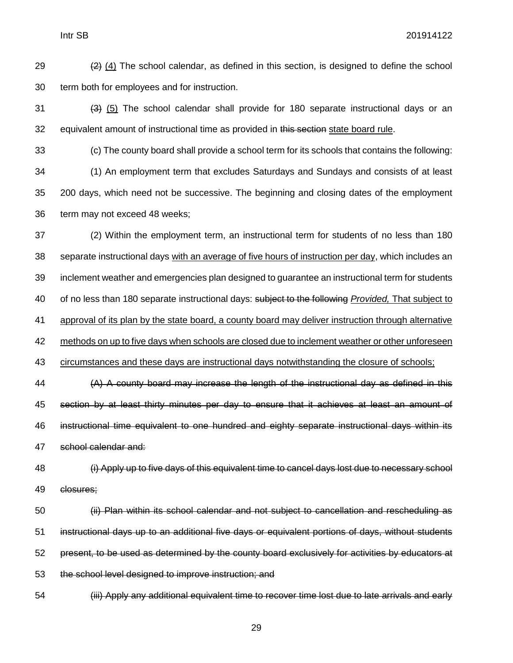29  $(2)$  (4) The school calendar, as defined in this section, is designed to define the school term both for employees and for instruction.

 $(3)$  (5) The school calendar shall provide for 180 separate instructional days or an 32 equivalent amount of instructional time as provided in this section state board rule.

 (c) The county board shall provide a school term for its schools that contains the following: (1) An employment term that excludes Saturdays and Sundays and consists of at least 200 days, which need not be successive. The beginning and closing dates of the employment term may not exceed 48 weeks;

 (2) Within the employment term, an instructional term for students of no less than 180 separate instructional days with an average of five hours of instruction per day, which includes an inclement weather and emergencies plan designed to guarantee an instructional term for students of no less than 180 separate instructional days: subject to the following *Provided,* That subject to approval of its plan by the state board, a county board may deliver instruction through alternative 42 methods on up to five days when schools are closed due to inclement weather or other unforeseen circumstances and these days are instructional days notwithstanding the closure of schools;

 (A) A county board may increase the length of the instructional day as defined in this section by at least thirty minutes per day to ensure that it achieves at least an amount of instructional time equivalent to one hundred and eighty separate instructional days within its school calendar and:

 (i) Apply up to five days of this equivalent time to cancel days lost due to necessary school closures;

 (ii) Plan within its school calendar and not subject to cancellation and rescheduling as instructional days up to an additional five days or equivalent portions of days, without students present, to be used as determined by the county board exclusively for activities by educators at the school level designed to improve instruction; and

(iii) Apply any additional equivalent time to recover time lost due to late arrivals and early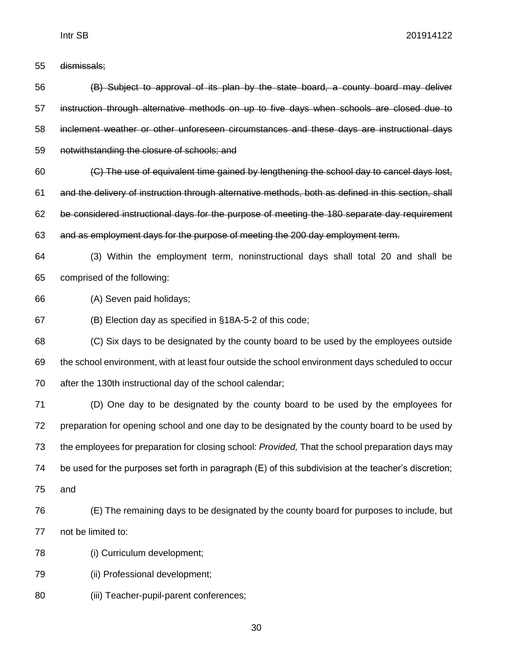dismissals;

 (B) Subject to approval of its plan by the state board, a county board may deliver instruction through alternative methods on up to five days when schools are closed due to inclement weather or other unforeseen circumstances and these days are instructional days notwithstanding the closure of schools; and (C) The use of equivalent time gained by lengthening the school day to cancel days lost,

 and the delivery of instruction through alternative methods, both as defined in this section, shall be considered instructional days for the purpose of meeting the 180 separate day requirement and as employment days for the purpose of meeting the 200 day employment term.

 (3) Within the employment term, noninstructional days shall total 20 and shall be comprised of the following:

(A) Seven paid holidays;

(B) Election day as specified in §18A-5-2 of this code;

 (C) Six days to be designated by the county board to be used by the employees outside the school environment, with at least four outside the school environment days scheduled to occur after the 130th instructional day of the school calendar;

 (D) One day to be designated by the county board to be used by the employees for preparation for opening school and one day to be designated by the county board to be used by the employees for preparation for closing school: *Provided,* That the school preparation days may be used for the purposes set forth in paragraph (E) of this subdivision at the teacher's discretion; and

- (E) The remaining days to be designated by the county board for purposes to include, but not be limited to:
- (i) Curriculum development;
- (ii) Professional development;
- (iii) Teacher-pupil-parent conferences;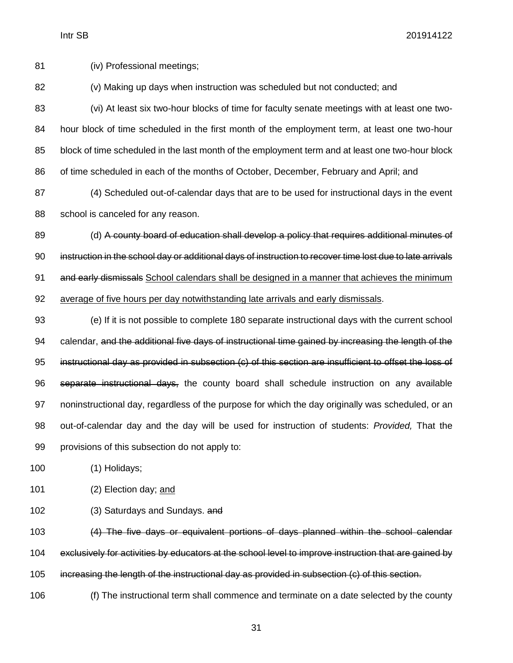(iv) Professional meetings;

(v) Making up days when instruction was scheduled but not conducted; and

 (vi) At least six two-hour blocks of time for faculty senate meetings with at least one two- hour block of time scheduled in the first month of the employment term, at least one two-hour block of time scheduled in the last month of the employment term and at least one two-hour block of time scheduled in each of the months of October, December, February and April; and

 (4) Scheduled out-of-calendar days that are to be used for instructional days in the event 88 school is canceled for any reason.

89 (d) A county board of education shall develop a policy that requires additional minutes of instruction in the school day or additional days of instruction to recover time lost due to late arrivals 91 and early dismissals School calendars shall be designed in a manner that achieves the minimum average of five hours per day notwithstanding late arrivals and early dismissals.

 (e) If it is not possible to complete 180 separate instructional days with the current school 94 calendar, and the additional five days of instructional time gained by increasing the length of the instructional day as provided in subsection (c) of this section are insufficient to offset the loss of separate instructional days, the county board shall schedule instruction on any available noninstructional day, regardless of the purpose for which the day originally was scheduled, or an out-of-calendar day and the day will be used for instruction of students: *Provided,* That the provisions of this subsection do not apply to:

(1) Holidays;

(2) Election day; and

(3) Saturdays and Sundays. and

 (4) The five days or equivalent portions of days planned within the school calendar exclusively for activities by educators at the school level to improve instruction that are gained by increasing the length of the instructional day as provided in subsection (c) of this section.

(f) The instructional term shall commence and terminate on a date selected by the county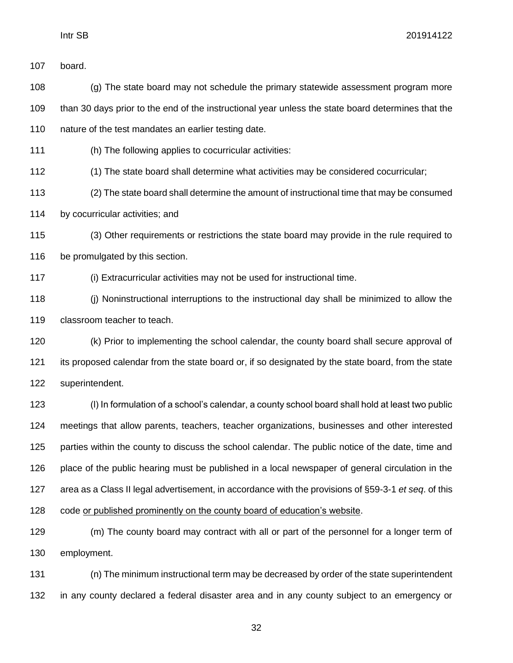board.

 (g) The state board may not schedule the primary statewide assessment program more than 30 days prior to the end of the instructional year unless the state board determines that the 110 nature of the test mandates an earlier testing date.

(h) The following applies to cocurricular activities:

(1) The state board shall determine what activities may be considered cocurricular;

(2) The state board shall determine the amount of instructional time that may be consumed

by cocurricular activities; and

 (3) Other requirements or restrictions the state board may provide in the rule required to 116 be promulgated by this section.

(i) Extracurricular activities may not be used for instructional time.

 (j) Noninstructional interruptions to the instructional day shall be minimized to allow the classroom teacher to teach.

 (k) Prior to implementing the school calendar, the county board shall secure approval of its proposed calendar from the state board or, if so designated by the state board, from the state superintendent.

 (l) In formulation of a school's calendar, a county school board shall hold at least two public meetings that allow parents, teachers, teacher organizations, businesses and other interested parties within the county to discuss the school calendar. The public notice of the date, time and place of the public hearing must be published in a local newspaper of general circulation in the area as a Class II legal advertisement, in accordance with the provisions of §59-3-1 *et seq*. of this code or published prominently on the county board of education's website.

 (m) The county board may contract with all or part of the personnel for a longer term of employment.

 (n) The minimum instructional term may be decreased by order of the state superintendent in any county declared a federal disaster area and in any county subject to an emergency or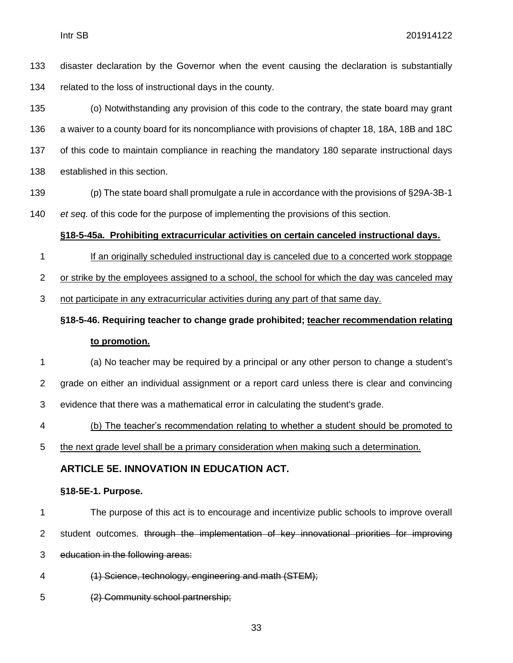disaster declaration by the Governor when the event causing the declaration is substantially related to the loss of instructional days in the county.

 (o) Notwithstanding any provision of this code to the contrary, the state board may grant a waiver to a county board for its noncompliance with provisions of chapter 18, 18A, 18B and 18C of this code to maintain compliance in reaching the mandatory 180 separate instructional days established in this section.

- (p) The state board shall promulgate a rule in accordance with the provisions of §29A-3B-1
- *et seq*. of this code for the purpose of implementing the provisions of this section.

#### **§18-5-45a. Prohibiting extracurricular activities on certain canceled instructional days.**

If an originally scheduled instructional day is canceled due to a concerted work stoppage

or strike by the employees assigned to a school, the school for which the day was canceled may

not participate in any extracurricular activities during any part of that same day.

## **§18-5-46. Requiring teacher to change grade prohibited; teacher recommendation relating to promotion.**

- (a) No teacher may be required by a principal or any other person to change a student's grade on either an individual assignment or a report card unless there is clear and convincing evidence that there was a mathematical error in calculating the student's grade.
- (b) The teacher's recommendation relating to whether a student should be promoted to
- the next grade level shall be a primary consideration when making such a determination.

#### **ARTICLE 5E. INNOVATION IN EDUCATION ACT.**

#### **§18-5E-1. Purpose.**

The purpose of this act is to encourage and incentivize public schools to improve overall

- 2 student outcomes. through the implementation of key innovational priorities for improving
- education in the following areas:
- (1) Science, technology, engineering and math (STEM);
- (2) Community school partnership;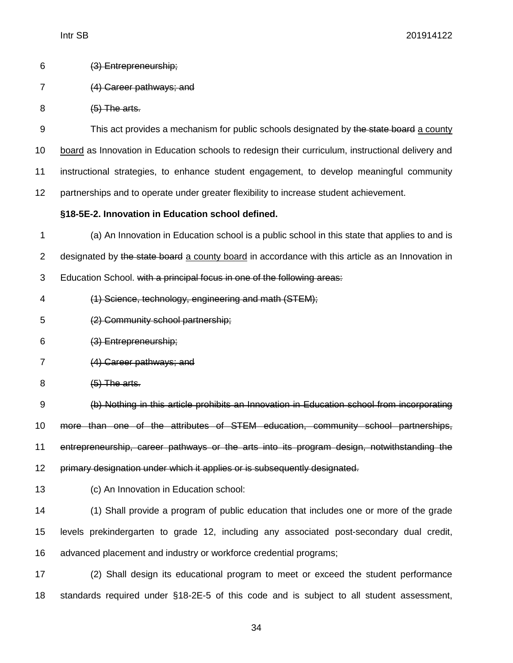| 6 | (3) Entrepreneurchin: |
|---|-----------------------|
|   | $\overline{y}$        |

- (4) Career pathways; and
- 8 (5) The arts.

9 This act provides a mechanism for public schools designated by the state board a county board as Innovation in Education schools to redesign their curriculum, instructional delivery and instructional strategies, to enhance student engagement, to develop meaningful community partnerships and to operate under greater flexibility to increase student achievement.

**§18-5E-2. Innovation in Education school defined.**

 (a) An Innovation in Education school is a public school in this state that applies to and is 2 designated by the state board a county board in accordance with this article as an Innovation in Education School. with a principal focus in one of the following areas:

- (1) Science, technology, engineering and math (STEM);
- (2) Community school partnership;
- (3) Entrepreneurship;
- (4) Career pathways; and
- 8 (5) The arts.

 (b) Nothing in this article prohibits an Innovation in Education school from incorporating more than one of the attributes of STEM education, community school partnerships, entrepreneurship, career pathways or the arts into its program design, notwithstanding the primary designation under which it applies or is subsequently designated.

(c) An Innovation in Education school:

 (1) Shall provide a program of public education that includes one or more of the grade levels prekindergarten to grade 12, including any associated post-secondary dual credit, advanced placement and industry or workforce credential programs;

 (2) Shall design its educational program to meet or exceed the student performance standards required under §18-2E-5 of this code and is subject to all student assessment,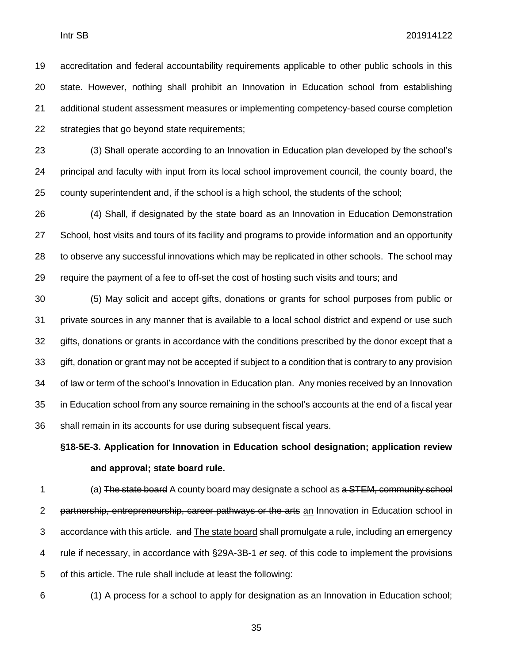accreditation and federal accountability requirements applicable to other public schools in this state. However, nothing shall prohibit an Innovation in Education school from establishing additional student assessment measures or implementing competency-based course completion strategies that go beyond state requirements;

 (3) Shall operate according to an Innovation in Education plan developed by the school's principal and faculty with input from its local school improvement council, the county board, the county superintendent and, if the school is a high school, the students of the school;

 (4) Shall, if designated by the state board as an Innovation in Education Demonstration School, host visits and tours of its facility and programs to provide information and an opportunity to observe any successful innovations which may be replicated in other schools. The school may require the payment of a fee to off-set the cost of hosting such visits and tours; and

 (5) May solicit and accept gifts, donations or grants for school purposes from public or private sources in any manner that is available to a local school district and expend or use such 32 gifts, donations or grants in accordance with the conditions prescribed by the donor except that a gift, donation or grant may not be accepted if subject to a condition that is contrary to any provision of law or term of the school's Innovation in Education plan. Any monies received by an Innovation in Education school from any source remaining in the school's accounts at the end of a fiscal year shall remain in its accounts for use during subsequent fiscal years.

## **§18-5E-3. Application for Innovation in Education school designation; application review and approval; state board rule.**

1 (a) The state board A county board may designate a school as a STEM, community school 2 partnership, entrepreneurship, career pathways or the arts an Innovation in Education school in accordance with this article. and The state board shall promulgate a rule, including an emergency rule if necessary, in accordance with §29A-3B-1 *et seq*. of this code to implement the provisions of this article. The rule shall include at least the following:

(1) A process for a school to apply for designation as an Innovation in Education school;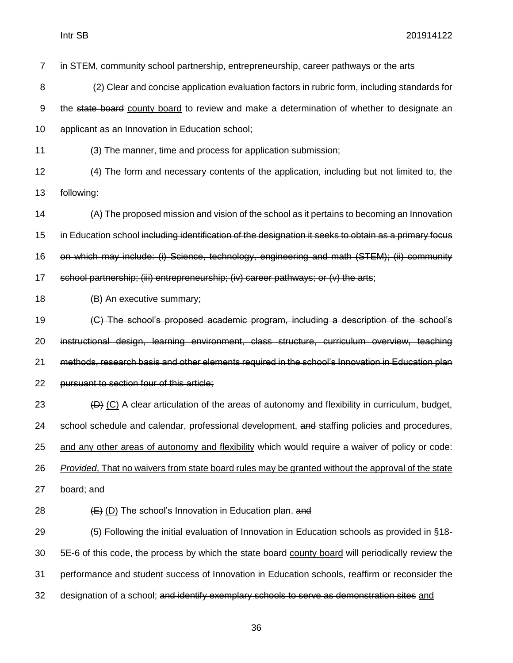in STEM, community school partnership, entrepreneurship, career pathways or the arts

- (2) Clear and concise application evaluation factors in rubric form, including standards for 9 the state board county board to review and make a determination of whether to designate an applicant as an Innovation in Education school;
- (3) The manner, time and process for application submission;
- (4) The form and necessary contents of the application, including but not limited to, the following:
- (A) The proposed mission and vision of the school as it pertains to becoming an Innovation 15 in Education school including identification of the designation it seeks to obtain as a primary focus on which may include: (i) Science, technology, engineering and math (STEM); (ii) community school partnership; (iii) entrepreneurship; (iv) career pathways; or (v) the arts;
- (B) An executive summary;
- (C) The school's proposed academic program, including a description of the school's instructional design, learning environment, class structure, curriculum overview, teaching methods, research basis and other elements required in the school's Innovation in Education plan pursuant to section four of this article;
- (D) (C) A clear articulation of the areas of autonomy and flexibility in curriculum, budget, school schedule and calendar, professional development, and staffing policies and procedures, and any other areas of autonomy and flexibility which would require a waiver of policy or code: *Provided*, That no waivers from state board rules may be granted without the approval of the state
- board; and
- 28  $(E)$  (D) The school's Innovation in Education plan. and
- (5) Following the initial evaluation of Innovation in Education schools as provided in §18- 30 5E-6 of this code, the process by which the state board county board will periodically review the performance and student success of Innovation in Education schools, reaffirm or reconsider the 32 designation of a school; and identify exemplary schools to serve as demonstration sites and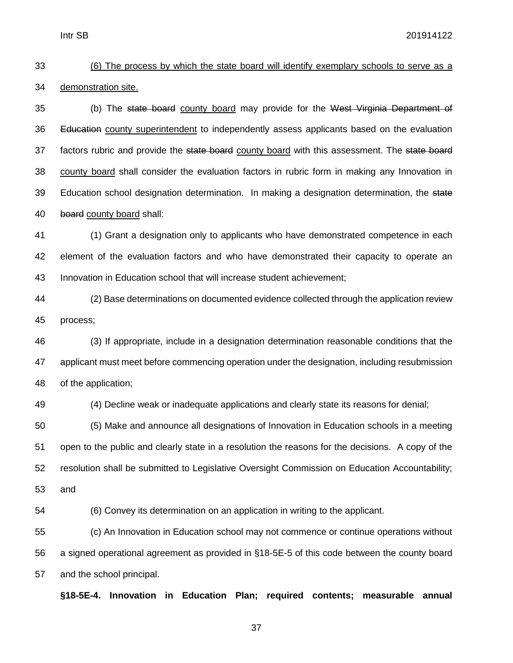# (6) The process by which the state board will identify exemplary schools to serve as a demonstration site.

35 (b) The state board county board may provide for the West Virginia Department of 36 Education county superintendent to independently assess applicants based on the evaluation 37 factors rubric and provide the state board county board with this assessment. The state board county board shall consider the evaluation factors in rubric form in making any Innovation in 39 Education school designation determination. In making a designation determination, the state board county board shall:

 (1) Grant a designation only to applicants who have demonstrated competence in each element of the evaluation factors and who have demonstrated their capacity to operate an Innovation in Education school that will increase student achievement;

 (2) Base determinations on documented evidence collected through the application review process;

 (3) If appropriate, include in a designation determination reasonable conditions that the applicant must meet before commencing operation under the designation, including resubmission of the application;

(4) Decline weak or inadequate applications and clearly state its reasons for denial;

 (5) Make and announce all designations of Innovation in Education schools in a meeting open to the public and clearly state in a resolution the reasons for the decisions. A copy of the resolution shall be submitted to Legislative Oversight Commission on Education Accountability; and

(6) Convey its determination on an application in writing to the applicant.

 (c) An Innovation in Education school may not commence or continue operations without a signed operational agreement as provided in §18-5E-5 of this code between the county board and the school principal.

**§18-5E-4. Innovation in Education Plan; required contents; measurable annual**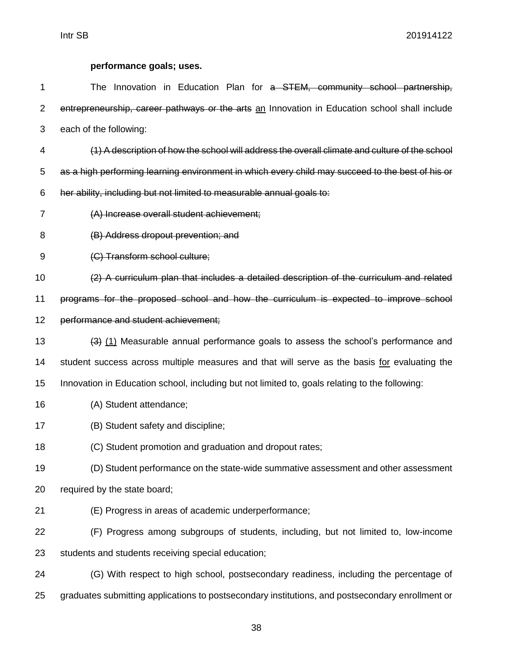# **performance goals; uses.**

| 1              | The Innovation in Education Plan for a STEM, community school partnership,                                |
|----------------|-----------------------------------------------------------------------------------------------------------|
| $\overline{2}$ | entrepreneurship, career pathways or the arts an Innovation in Education school shall include             |
| 3              | each of the following:                                                                                    |
| 4              | (1) A description of how the school will address the overall climate and culture of the school            |
| 5              | as a high performing learning environment in which every child may succeed to the best of his or          |
| 6              | her ability, including but not limited to measurable annual goals to:                                     |
| 7              | (A) Increase overall student achievement;                                                                 |
| 8              | (B) Address dropout prevention; and                                                                       |
| 9              | (C) Transform school culture;                                                                             |
| 10             | (2) A curriculum plan that includes a detailed description of the curriculum and related                  |
| 11             | programs for the proposed school and how the curriculum is expected to improve school                     |
| 12             | performance and student achievement;                                                                      |
| 13             | $\left(\frac{3}{2}\right)$ (1) Measurable annual performance goals to assess the school's performance and |
| 14             | student success across multiple measures and that will serve as the basis for evaluating the              |
| 15             | Innovation in Education school, including but not limited to, goals relating to the following:            |
| 16             | (A) Student attendance;                                                                                   |
| 17             | (B) Student safety and discipline;                                                                        |
| 18             | (C) Student promotion and graduation and dropout rates;                                                   |
| 19             | (D) Student performance on the state-wide summative assessment and other assessment                       |
| 20             | required by the state board;                                                                              |
| 21             | (E) Progress in areas of academic underperformance;                                                       |
| 22             | (F) Progress among subgroups of students, including, but not limited to, low-income                       |
| 23             | students and students receiving special education;                                                        |
| 24             | (G) With respect to high school, postsecondary readiness, including the percentage of                     |
| 25             | graduates submitting applications to postsecondary institutions, and postsecondary enrollment or          |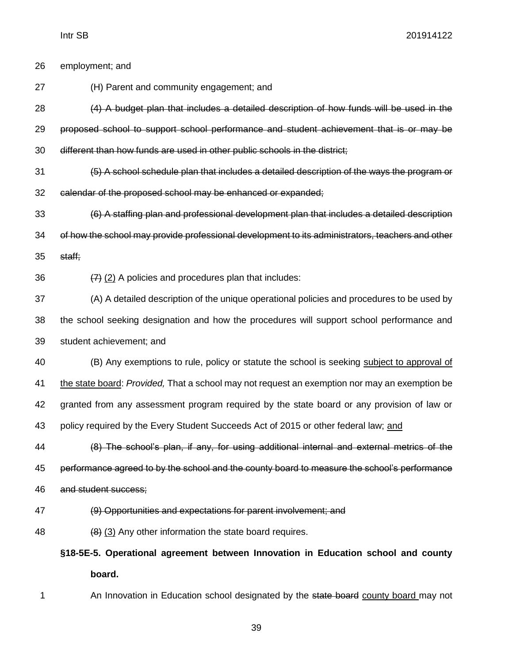| 26 | employment; and                                                                                  |
|----|--------------------------------------------------------------------------------------------------|
| 27 | (H) Parent and community engagement; and                                                         |
| 28 | (4) A budget plan that includes a detailed description of how funds will be used in the          |
| 29 | proposed school to support school performance and student achievement that is or may be          |
| 30 | different than how funds are used in other public schools in the district;                       |
| 31 | (5) A school schedule plan that includes a detailed description of the ways the program or       |
| 32 | calendar of the proposed school may be enhanced or expanded;                                     |
| 33 | (6) A staffing plan and professional development plan that includes a detailed description       |
| 34 | of how the school may provide professional development to its administrators, teachers and other |
| 35 | staff;                                                                                           |
| 36 | $(7)$ (2) A policies and procedures plan that includes:                                          |
| 37 | (A) A detailed description of the unique operational policies and procedures to be used by       |
| 38 | the school seeking designation and how the procedures will support school performance and        |
| 39 | student achievement; and                                                                         |
| 40 | (B) Any exemptions to rule, policy or statute the school is seeking subject to approval of       |
| 41 | the state board: Provided, That a school may not request an exemption nor may an exemption be    |
| 42 | granted from any assessment program required by the state board or any provision of law or       |
| 43 | policy required by the Every Student Succeeds Act of 2015 or other federal law; and              |
| 44 | (8) The school's plan, if any, for using additional internal and external metrics of the         |
| 45 | performance agreed to by the school and the county board to measure the school's performance     |
| 46 | and student success;                                                                             |
| 47 | (9) Opportunities and expectations for parent involvement; and                                   |
| 48 | (8) (3) Any other information the state board requires.                                          |
|    | §18-5E-5. Operational agreement between Innovation in Education school and county                |
|    | board.                                                                                           |

- 
- 1 An Innovation in Education school designated by the state board county board may not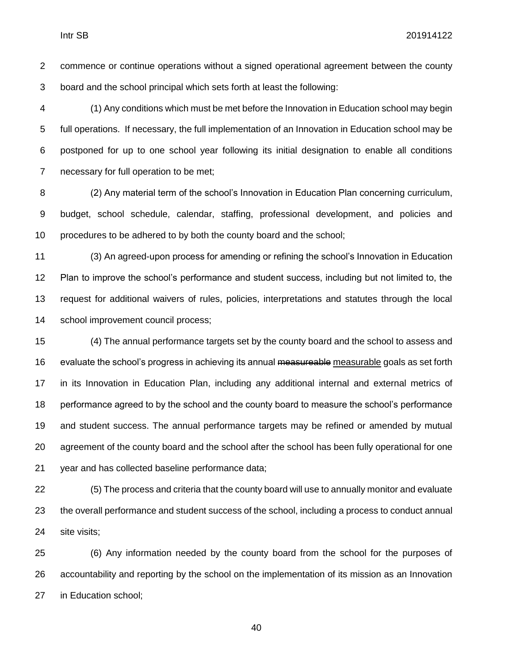commence or continue operations without a signed operational agreement between the county board and the school principal which sets forth at least the following:

 (1) Any conditions which must be met before the Innovation in Education school may begin full operations. If necessary, the full implementation of an Innovation in Education school may be postponed for up to one school year following its initial designation to enable all conditions necessary for full operation to be met;

 (2) Any material term of the school's Innovation in Education Plan concerning curriculum, budget, school schedule, calendar, staffing, professional development, and policies and procedures to be adhered to by both the county board and the school;

 (3) An agreed-upon process for amending or refining the school's Innovation in Education Plan to improve the school's performance and student success, including but not limited to, the request for additional waivers of rules, policies, interpretations and statutes through the local school improvement council process;

 (4) The annual performance targets set by the county board and the school to assess and 16 evaluate the school's progress in achieving its annual measureable measurable goals as set forth in its Innovation in Education Plan, including any additional internal and external metrics of performance agreed to by the school and the county board to measure the school's performance and student success. The annual performance targets may be refined or amended by mutual agreement of the county board and the school after the school has been fully operational for one year and has collected baseline performance data;

 (5) The process and criteria that the county board will use to annually monitor and evaluate the overall performance and student success of the school, including a process to conduct annual site visits;

 (6) Any information needed by the county board from the school for the purposes of accountability and reporting by the school on the implementation of its mission as an Innovation in Education school;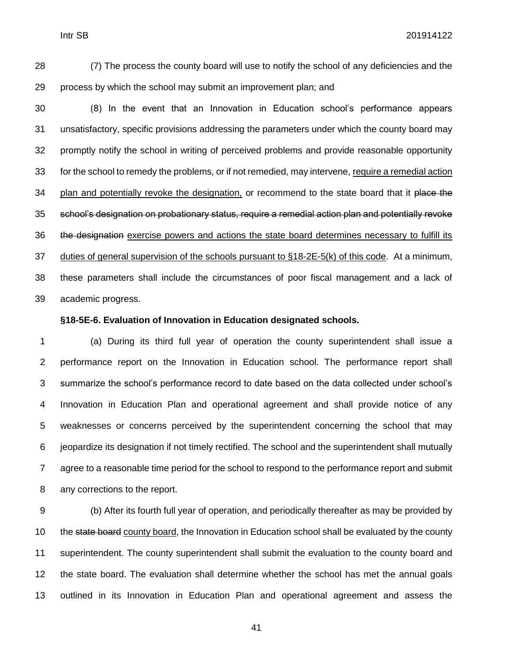(7) The process the county board will use to notify the school of any deficiencies and the process by which the school may submit an improvement plan; and

 (8) In the event that an Innovation in Education school's performance appears unsatisfactory, specific provisions addressing the parameters under which the county board may promptly notify the school in writing of perceived problems and provide reasonable opportunity for the school to remedy the problems, or if not remedied, may intervene, require a remedial action 34 plan and potentially revoke the designation, or recommend to the state board that it place the school's designation on probationary status, require a remedial action plan and potentially revoke 36 the designation exercise powers and actions the state board determines necessary to fulfill its duties of general supervision of the schools pursuant to §18-2E-5(k) of this code. At a minimum, these parameters shall include the circumstances of poor fiscal management and a lack of academic progress.

#### **§18-5E-6. Evaluation of Innovation in Education designated schools.**

 (a) During its third full year of operation the county superintendent shall issue a performance report on the Innovation in Education school. The performance report shall summarize the school's performance record to date based on the data collected under school's Innovation in Education Plan and operational agreement and shall provide notice of any weaknesses or concerns perceived by the superintendent concerning the school that may jeopardize its designation if not timely rectified. The school and the superintendent shall mutually agree to a reasonable time period for the school to respond to the performance report and submit any corrections to the report.

 (b) After its fourth full year of operation, and periodically thereafter as may be provided by 10 the state board county board, the Innovation in Education school shall be evaluated by the county superintendent. The county superintendent shall submit the evaluation to the county board and the state board. The evaluation shall determine whether the school has met the annual goals outlined in its Innovation in Education Plan and operational agreement and assess the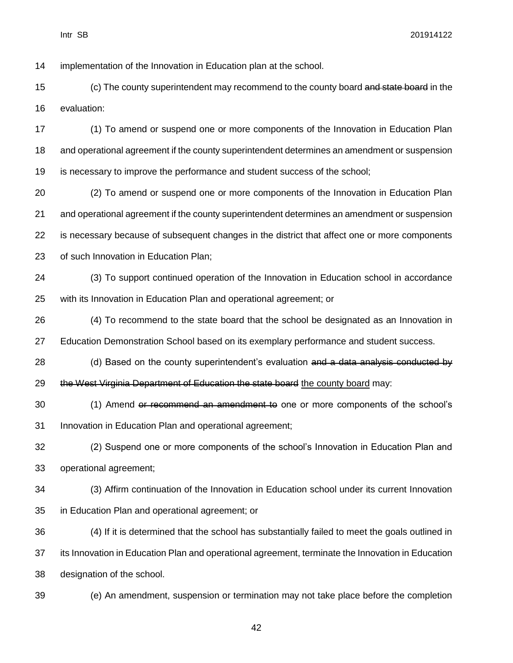implementation of the Innovation in Education plan at the school.

15 (c) The county superintendent may recommend to the county board and state board in the evaluation:

 (1) To amend or suspend one or more components of the Innovation in Education Plan and operational agreement if the county superintendent determines an amendment or suspension is necessary to improve the performance and student success of the school;

 (2) To amend or suspend one or more components of the Innovation in Education Plan and operational agreement if the county superintendent determines an amendment or suspension is necessary because of subsequent changes in the district that affect one or more components of such Innovation in Education Plan;

 (3) To support continued operation of the Innovation in Education school in accordance with its Innovation in Education Plan and operational agreement; or

 (4) To recommend to the state board that the school be designated as an Innovation in Education Demonstration School based on its exemplary performance and student success.

28 (d) Based on the county superintendent's evaluation and a data analysis conducted by 29 the West Virginia Department of Education the state board the county board may:

 (1) Amend or recommend an amendment to one or more components of the school's Innovation in Education Plan and operational agreement;

 (2) Suspend one or more components of the school's Innovation in Education Plan and operational agreement;

 (3) Affirm continuation of the Innovation in Education school under its current Innovation in Education Plan and operational agreement; or

 (4) If it is determined that the school has substantially failed to meet the goals outlined in its Innovation in Education Plan and operational agreement, terminate the Innovation in Education designation of the school.

(e) An amendment, suspension or termination may not take place before the completion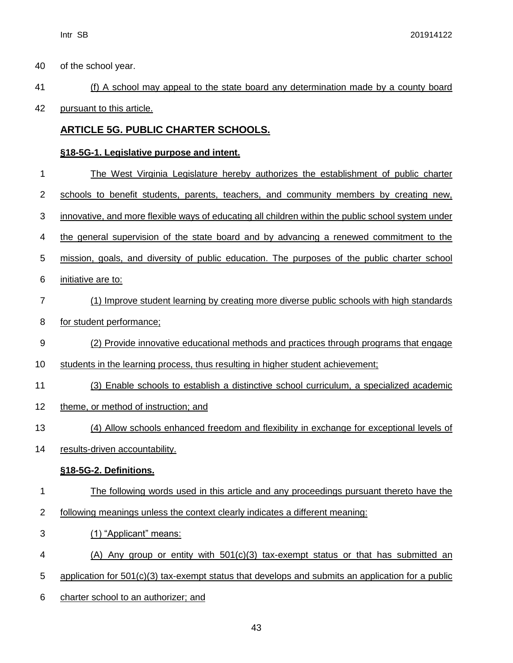of the school year.

# (f) A school may appeal to the state board any determination made by a county board

pursuant to this article.

## **ARTICLE 5G. PUBLIC CHARTER SCHOOLS.**

## **§18-5G-1. Legislative purpose and intent.**

| 1              | The West Virginia Legislature hereby authorizes the establishment of public charter                 |
|----------------|-----------------------------------------------------------------------------------------------------|
| $\overline{2}$ | schools to benefit students, parents, teachers, and community members by creating new,              |
| 3              | innovative, and more flexible ways of educating all children within the public school system under  |
| 4              | the general supervision of the state board and by advancing a renewed commitment to the             |
| 5              | mission, goals, and diversity of public education. The purposes of the public charter school        |
| 6              | initiative are to:                                                                                  |
| $\overline{7}$ | (1) Improve student learning by creating more diverse public schools with high standards            |
| 8              | for student performance;                                                                            |
| $9\,$          | (2) Provide innovative educational methods and practices through programs that engage               |
| 10             | students in the learning process, thus resulting in higher student achievement;                     |
| 11             | (3) Enable schools to establish a distinctive school curriculum, a specialized academic             |
| 12             | theme, or method of instruction; and                                                                |
| 13             | (4) Allow schools enhanced freedom and flexibility in exchange for exceptional levels of            |
| 14             | results-driven accountability.                                                                      |
|                | §18-5G-2. Definitions.                                                                              |
| 1              | The following words used in this article and any proceedings pursuant thereto have the              |
| $\overline{2}$ | following meanings unless the context clearly indicates a different meaning:                        |
| 3              | (1) "Applicant" means:                                                                              |
| 4              | $(A)$ Any group or entity with $501(c)(3)$ tax-exempt status or that has submitted an               |
| 5              | application for $501(c)(3)$ tax-exempt status that develops and submits an application for a public |
| 6              | charter school to an authorizer; and                                                                |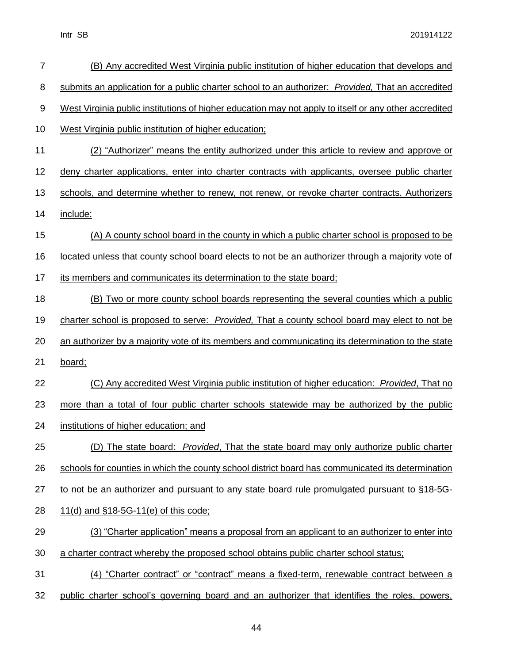| $\overline{7}$   | (B) Any accredited West Virginia public institution of higher education that develops and             |
|------------------|-------------------------------------------------------------------------------------------------------|
| 8                | submits an application for a public charter school to an authorizer: Provided, That an accredited     |
| $\boldsymbol{9}$ | West Virginia public institutions of higher education may not apply to itself or any other accredited |
| 10               | West Virginia public institution of higher education;                                                 |
| 11               | (2) "Authorizer" means the entity authorized under this article to review and approve or              |
| 12               | deny charter applications, enter into charter contracts with applicants, oversee public charter       |
| 13               | schools, and determine whether to renew, not renew, or revoke charter contracts. Authorizers          |
| 14               | include:                                                                                              |
| 15               | (A) A county school board in the county in which a public charter school is proposed to be            |
| 16               | located unless that county school board elects to not be an authorizer through a majority vote of     |
| 17               | its members and communicates its determination to the state board;                                    |
| 18               | (B) Two or more county school boards representing the several counties which a public                 |
| 19               | charter school is proposed to serve: Provided, That a county school board may elect to not be         |
| 20               | an authorizer by a majority vote of its members and communicating its determination to the state      |
| 21               | board;                                                                                                |
| 22               | (C) Any accredited West Virginia public institution of higher education: Provided, That no            |
| 23               | more than a total of four public charter schools statewide may be authorized by the public            |
| 24               | institutions of higher education; and                                                                 |
| 25               | (D) The state board: <i>Provided</i> , That the state board may only authorize public charter         |
| 26               | schools for counties in which the county school district board has communicated its determination     |
| 27               | to not be an authorizer and pursuant to any state board rule promulgated pursuant to §18-5G-          |
| 28               | 11(d) and §18-5G-11(e) of this code;                                                                  |
| 29               | (3) "Charter application" means a proposal from an applicant to an authorizer to enter into           |
| 30               | a charter contract whereby the proposed school obtains public charter school status;                  |
| 31               | (4) "Charter contract" or "contract" means a fixed-term, renewable contract between a                 |
| 32               | public charter school's governing board and an authorizer that identifies the roles, powers,          |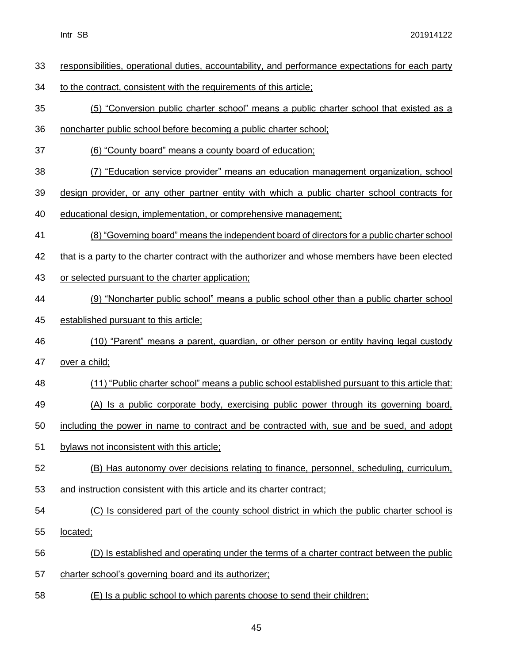| 33 | responsibilities, operational duties, accountability, and performance expectations for each party |
|----|---------------------------------------------------------------------------------------------------|
| 34 | to the contract, consistent with the requirements of this article;                                |
| 35 | (5) "Conversion public charter school" means a public charter school that existed as a            |
| 36 | noncharter public school before becoming a public charter school;                                 |
| 37 | (6) "County board" means a county board of education;                                             |
| 38 | (7) "Education service provider" means an education management organization, school               |
| 39 | design provider, or any other partner entity with which a public charter school contracts for     |
| 40 | educational design, implementation, or comprehensive management;                                  |
| 41 | (8) "Governing board" means the independent board of directors for a public charter school        |
| 42 | that is a party to the charter contract with the authorizer and whose members have been elected   |
| 43 | or selected pursuant to the charter application;                                                  |
| 44 | (9) "Noncharter public school" means a public school other than a public charter school           |
| 45 | established pursuant to this article;                                                             |
| 46 | (10) "Parent" means a parent, guardian, or other person or entity having legal custody            |
| 47 | over a child;                                                                                     |
| 48 | (11) "Public charter school" means a public school established pursuant to this article that:     |
| 49 | (A) Is a public corporate body, exercising public power through its governing board,              |
| 50 | including the power in name to contract and be contracted with, sue and be sued, and adopt        |
| 51 | bylaws not inconsistent with this article;                                                        |
| 52 | (B) Has autonomy over decisions relating to finance, personnel, scheduling, curriculum,           |
| 53 | and instruction consistent with this article and its charter contract;                            |
| 54 | (C) Is considered part of the county school district in which the public charter school is        |
| 55 | located;                                                                                          |
| 56 | (D) Is established and operating under the terms of a charter contract between the public         |
| 57 | charter school's governing board and its authorizer;                                              |
| 58 | (E) Is a public school to which parents choose to send their children;                            |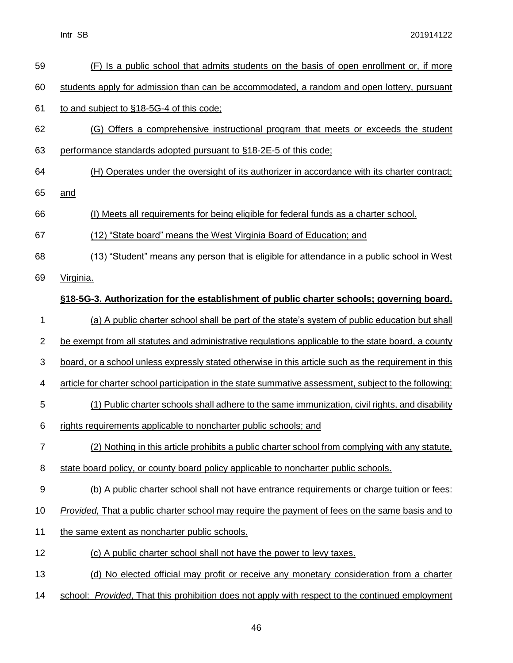| 59             | (F) Is a public school that admits students on the basis of open enrollment or, if more               |
|----------------|-------------------------------------------------------------------------------------------------------|
| 60             | students apply for admission than can be accommodated, a random and open lottery, pursuant            |
| 61             | to and subject to §18-5G-4 of this code;                                                              |
| 62             | (G) Offers a comprehensive instructional program that meets or exceeds the student                    |
| 63             | performance standards adopted pursuant to §18-2E-5 of this code;                                      |
| 64             | (H) Operates under the oversight of its authorizer in accordance with its charter contract;           |
| 65             | and                                                                                                   |
| 66             | (I) Meets all requirements for being eligible for federal funds as a charter school.                  |
| 67             | (12) "State board" means the West Virginia Board of Education; and                                    |
| 68             | (13) "Student" means any person that is eligible for attendance in a public school in West            |
| 69             | Virginia.                                                                                             |
|                | §18-5G-3. Authorization for the establishment of public charter schools; governing board.             |
| 1              | (a) A public charter school shall be part of the state's system of public education but shall         |
| $\overline{c}$ | be exempt from all statutes and administrative regulations applicable to the state board, a county    |
| 3              | board, or a school unless expressly stated otherwise in this article such as the requirement in this  |
| 4              | article for charter school participation in the state summative assessment, subject to the following: |
| 5              | (1) Public charter schools shall adhere to the same immunization, civil rights, and disability        |
| 6              | rights requirements applicable to noncharter public schools; and                                      |
| $\overline{7}$ | (2) Nothing in this article prohibits a public charter school from complying with any statute,        |
| 8              | state board policy, or county board policy applicable to noncharter public schools.                   |
| 9              | (b) A public charter school shall not have entrance requirements or charge tuition or fees:           |
| 10             | Provided, That a public charter school may require the payment of fees on the same basis and to       |
| 11             | the same extent as noncharter public schools.                                                         |
| 12             | (c) A public charter school shall not have the power to levy taxes.                                   |
| 13             | (d) No elected official may profit or receive any monetary consideration from a charter               |
| 14             | school: Provided, That this prohibition does not apply with respect to the continued employment       |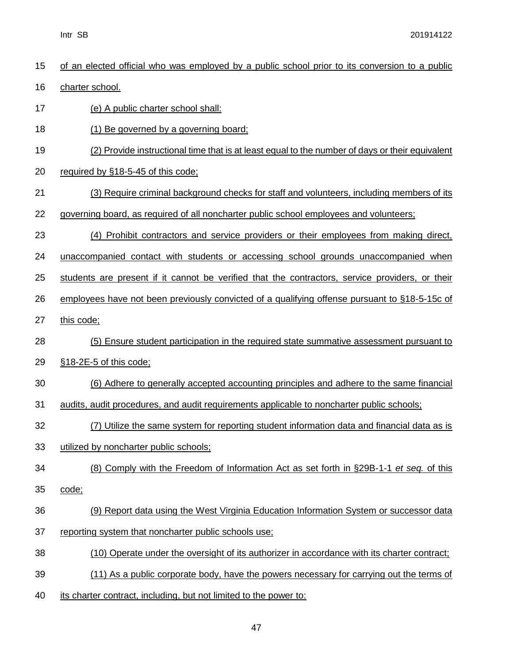| 15 | of an elected official who was employed by a public school prior to its conversion to a public  |
|----|-------------------------------------------------------------------------------------------------|
| 16 | charter school.                                                                                 |
| 17 | (e) A public charter school shall:                                                              |
| 18 | (1) Be governed by a governing board;                                                           |
| 19 | (2) Provide instructional time that is at least equal to the number of days or their equivalent |
| 20 | required by §18-5-45 of this code;                                                              |
| 21 | (3) Require criminal background checks for staff and volunteers, including members of its       |
| 22 | governing board, as required of all noncharter public school employees and volunteers;          |
| 23 | (4) Prohibit contractors and service providers or their employees from making direct,           |
| 24 | unaccompanied contact with students or accessing school grounds unaccompanied when              |
| 25 | students are present if it cannot be verified that the contractors, service providers, or their |
| 26 | employees have not been previously convicted of a qualifying offense pursuant to §18-5-15c of   |
| 27 | this code;                                                                                      |
| 28 | (5) Ensure student participation in the required state summative assessment pursuant to         |
| 29 | §18-2E-5 of this code;                                                                          |
| 30 | (6) Adhere to generally accepted accounting principles and adhere to the same financial         |
| 31 | audits, audit procedures, and audit requirements applicable to noncharter public schools;       |
| 32 | (7) Utilize the same system for reporting student information data and financial data as is     |
| 33 | utilized by noncharter public schools;                                                          |
| 34 | (8) Comply with the Freedom of Information Act as set forth in §29B-1-1 et seq. of this         |
| 35 | code;                                                                                           |
| 36 | (9) Report data using the West Virginia Education Information System or successor data          |
| 37 | reporting system that noncharter public schools use;                                            |
| 38 | (10) Operate under the oversight of its authorizer in accordance with its charter contract;     |
| 39 | (11) As a public corporate body, have the powers necessary for carrying out the terms of        |
| 40 | its charter contract, including, but not limited to the power to:                               |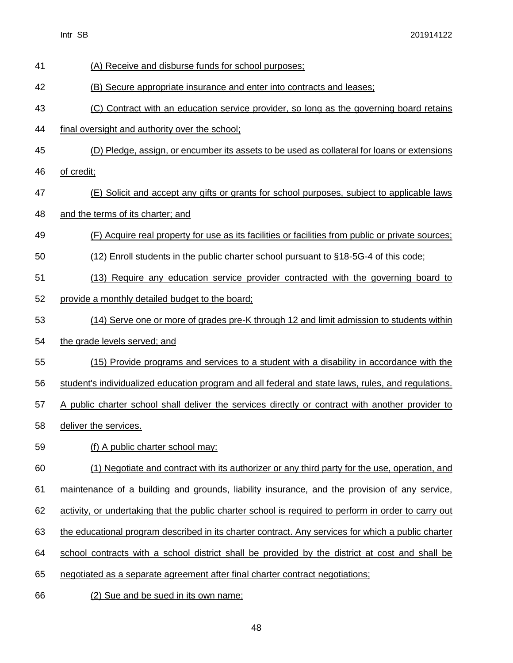- (A) Receive and disburse funds for school purposes; (B) Secure appropriate insurance and enter into contracts and leases; (C) Contract with an education service provider, so long as the governing board retains final oversight and authority over the school; (D) Pledge, assign, or encumber its assets to be used as collateral for loans or extensions of credit; (E) Solicit and accept any gifts or grants for school purposes, subject to applicable laws and the terms of its charter; and (F) Acquire real property for use as its facilities or facilities from public or private sources; (12) Enroll students in the public charter school pursuant to §18-5G-4 of this code; (13) Require any education service provider contracted with the governing board to provide a monthly detailed budget to the board; (14) Serve one or more of grades pre-K through 12 and limit admission to students within the grade levels served; and (15) Provide programs and services to a student with a disability in accordance with the student's individualized education program and all federal and state laws, rules, and regulations. 57 A public charter school shall deliver the services directly or contract with another provider to 58 deliver the services. (f) A public charter school may: (1) Negotiate and contract with its authorizer or any third party for the use, operation, and maintenance of a building and grounds, liability insurance, and the provision of any service, activity, or undertaking that the public charter school is required to perform in order to carry out the educational program described in its charter contract. Any services for which a public charter school contracts with a school district shall be provided by the district at cost and shall be negotiated as a separate agreement after final charter contract negotiations;
- (2) Sue and be sued in its own name;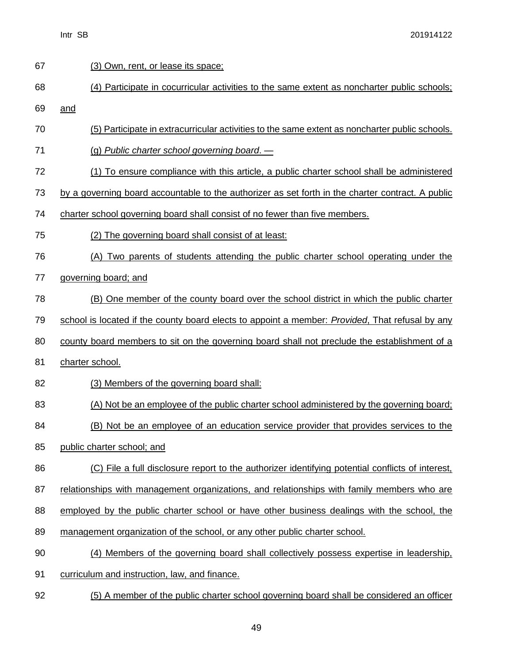| 67 | (3) Own, rent, or lease its space;                                                                      |
|----|---------------------------------------------------------------------------------------------------------|
| 68 | (4) Participate in cocurricular activities to the same extent as noncharter public schools;             |
| 69 | and                                                                                                     |
| 70 | (5) Participate in extracurricular activities to the same extent as noncharter public schools.          |
| 71 | (g) Public charter school governing board. -                                                            |
| 72 | (1) To ensure compliance with this article, a public charter school shall be administered               |
| 73 | by a governing board accountable to the authorizer as set forth in the charter contract. A public       |
| 74 | charter school governing board shall consist of no fewer than five members.                             |
| 75 | (2) The governing board shall consist of at least:                                                      |
| 76 | (A) Two parents of students attending the public charter school operating under the                     |
| 77 | governing board; and                                                                                    |
| 78 | (B) One member of the county board over the school district in which the public charter                 |
| 79 | school is located if the county board elects to appoint a member: <i>Provided</i> , That refusal by any |
| 80 | county board members to sit on the governing board shall not preclude the establishment of a            |
| 81 | charter school.                                                                                         |
| 82 | (3) Members of the governing board shall:                                                               |
| 83 | (A) Not be an employee of the public charter school administered by the governing board;                |
| 84 | (B) Not be an employee of an education service provider that provides services to the                   |
| 85 | public charter school; and                                                                              |
| 86 | (C) File a full disclosure report to the authorizer identifying potential conflicts of interest,        |
| 87 | relationships with management organizations, and relationships with family members who are              |
| 88 | employed by the public charter school or have other business dealings with the school, the              |
| 89 | management organization of the school, or any other public charter school.                              |
| 90 | (4) Members of the governing board shall collectively possess expertise in leadership,                  |
| 91 | curriculum and instruction, law, and finance.                                                           |
| 92 | (5) A member of the public charter school governing board shall be considered an officer                |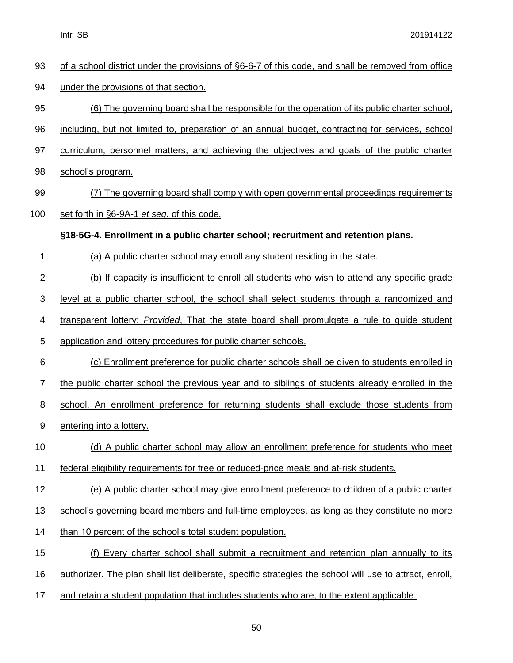| 93             | of a school district under the provisions of §6-6-7 of this code, and shall be removed from office      |
|----------------|---------------------------------------------------------------------------------------------------------|
| 94             | under the provisions of that section.                                                                   |
| 95             | <u>(6) The governing board shall be responsible for the operation of its public charter school,</u>     |
| 96             | including, but not limited to, preparation of an annual budget, contracting for services, school        |
| 97             | curriculum, personnel matters, and achieving the objectives and goals of the public charter             |
| 98             | school's program.                                                                                       |
| 99             | (7) The governing board shall comply with open governmental proceedings requirements                    |
| 100            | set forth in §6-9A-1 et seq. of this code.                                                              |
|                | §18-5G-4. Enrollment in a public charter school; recruitment and retention plans.                       |
| 1              | (a) A public charter school may enroll any student residing in the state.                               |
| $\overline{2}$ | (b) If capacity is insufficient to enroll all students who wish to attend any specific grade            |
| 3              | level at a public charter school, the school shall select students through a randomized and             |
| 4              | transparent lottery: Provided, That the state board shall promulgate a rule to quide student            |
| 5              | application and lottery procedures for public charter schools.                                          |
| 6              | (c) Enrollment preference for public charter schools shall be given to students enrolled in             |
| 7              | the public charter school the previous year and to siblings of students already enrolled in the         |
| 8              | school. An enrollment preference for returning students shall exclude those students from               |
| 9              | entering into a lottery.                                                                                |
| 10             | (d) A public charter school may allow an enrollment preference for students who meet                    |
| 11             | federal eligibility requirements for free or reduced-price meals and at-risk students.                  |
| 12             | (e) A public charter school may give enrollment preference to children of a public charter              |
| 13             | school's governing board members and full-time employees, as long as they constitute no more            |
| 14             | than 10 percent of the school's total student population.                                               |
| 15             | (f) Every charter school shall submit a recruitment and retention plan annually to its                  |
| 16             | authorizer. The plan shall list deliberate, specific strategies the school will use to attract, enroll, |
| 17             | and retain a student population that includes students who are, to the extent applicable:               |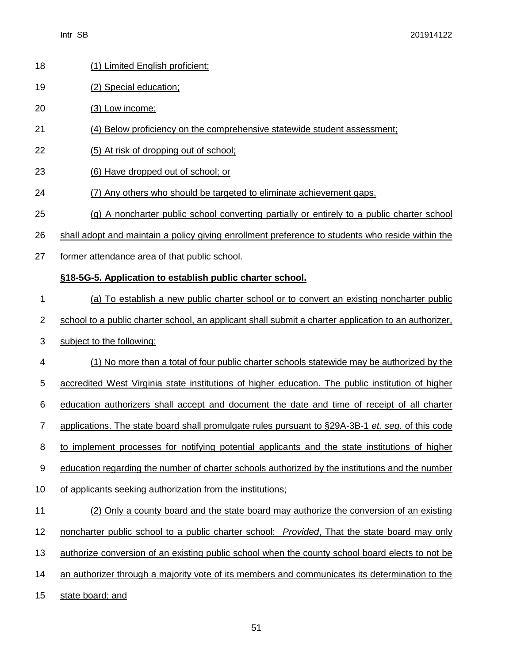| 18             | (1) Limited English proficient;                                                                      |
|----------------|------------------------------------------------------------------------------------------------------|
| 19             | (2) Special education;                                                                               |
| 20             | (3) Low income;                                                                                      |
| 21             | (4) Below proficiency on the comprehensive statewide student assessment;                             |
| 22             | (5) At risk of dropping out of school;                                                               |
| 23             | (6) Have dropped out of school; or                                                                   |
| 24             | (7) Any others who should be targeted to eliminate achievement gaps.                                 |
| 25             | (g) A noncharter public school converting partially or entirely to a public charter school           |
| 26             | shall adopt and maintain a policy giving enrollment preference to students who reside within the     |
| 27             | former attendance area of that public school.                                                        |
|                | §18-5G-5. Application to establish public charter school.                                            |
| 1              | (a) To establish a new public charter school or to convert an existing noncharter public             |
| $\overline{2}$ | school to a public charter school, an applicant shall submit a charter application to an authorizer, |
| 3              | subject to the following:                                                                            |
| 4              | (1) No more than a total of four public charter schools statewide may be authorized by the           |
| 5              | accredited West Virginia state institutions of higher education. The public institution of higher    |
| 6              | education authorizers shall accept and document the date and time of receipt of all charter          |
| $\overline{7}$ | applications. The state board shall promulgate rules pursuant to §29A-3B-1 et. seq. of this code     |
| 8              | to implement processes for notifying potential applicants and the state institutions of higher       |
| 9              | education regarding the number of charter schools authorized by the institutions and the number      |
| 10             | of applicants seeking authorization from the institutions;                                           |
| 11             | (2) Only a county board and the state board may authorize the conversion of an existing              |
| 12             | noncharter public school to a public charter school: Provided, That the state board may only         |
| 13             | authorize conversion of an existing public school when the county school board elects to not be      |
| 14             | an authorizer through a majority vote of its members and communicates its determination to the       |
|                |                                                                                                      |

15 state board; and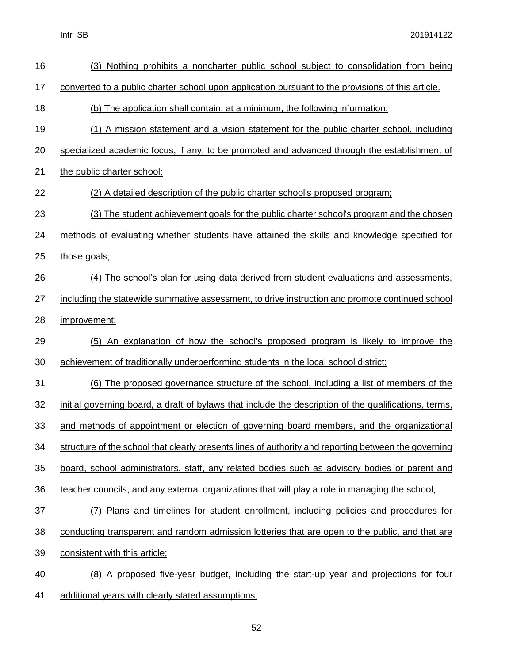| 16 | (3) Nothing prohibits a noncharter public school subject to consolidation from being                  |
|----|-------------------------------------------------------------------------------------------------------|
| 17 | converted to a public charter school upon application pursuant to the provisions of this article.     |
| 18 | (b) The application shall contain, at a minimum, the following information:                           |
| 19 | (1) A mission statement and a vision statement for the public charter school, including               |
| 20 | specialized academic focus, if any, to be promoted and advanced through the establishment of          |
| 21 | the public charter school;                                                                            |
| 22 | (2) A detailed description of the public charter school's proposed program;                           |
| 23 | (3) The student achievement goals for the public charter school's program and the chosen              |
| 24 | methods of evaluating whether students have attained the skills and knowledge specified for           |
| 25 | those goals;                                                                                          |
| 26 | (4) The school's plan for using data derived from student evaluations and assessments,                |
| 27 | including the statewide summative assessment, to drive instruction and promote continued school       |
| 28 | improvement;                                                                                          |
| 29 | (5) An explanation of how the school's proposed program is likely to improve the                      |
| 30 | achievement of traditionally underperforming students in the local school district;                   |
| 31 | (6) The proposed governance structure of the school, including a list of members of the               |
| 32 | initial governing board, a draft of bylaws that include the description of the qualifications, terms, |
| 33 | and methods of appointment or election of governing board members, and the organizational             |
| 34 | structure of the school that clearly presents lines of authority and reporting between the governing  |
| 35 | board, school administrators, staff, any related bodies such as advisory bodies or parent and         |
| 36 | teacher councils, and any external organizations that will play a role in managing the school;        |
| 37 | (7) Plans and timelines for student enrollment, including policies and procedures for                 |
| 38 | conducting transparent and random admission lotteries that are open to the public, and that are       |
| 39 | consistent with this article;                                                                         |
| 40 | (8) A proposed five-year budget, including the start-up year and projections for four                 |
| 41 | additional years with clearly stated assumptions;                                                     |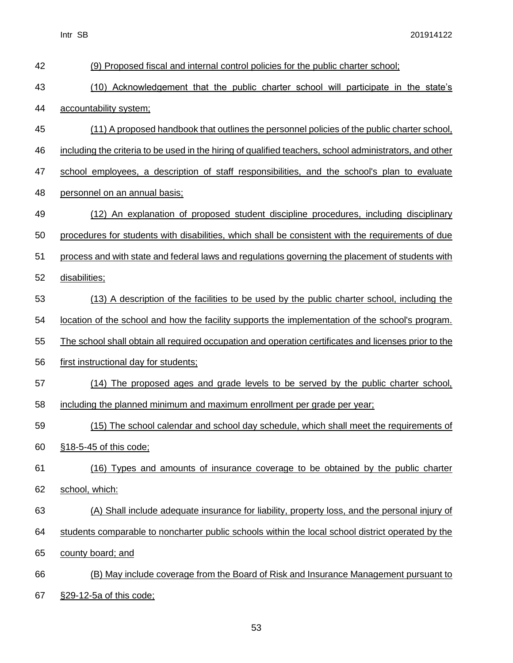| 42 | (9) Proposed fiscal and internal control policies for the public charter school;                        |
|----|---------------------------------------------------------------------------------------------------------|
| 43 | (10) Acknowledgement that the public charter school will participate in the state's                     |
| 44 | accountability system;                                                                                  |
| 45 | (11) A proposed handbook that outlines the personnel policies of the public charter school,             |
| 46 | including the criteria to be used in the hiring of qualified teachers, school administrators, and other |
| 47 | school employees, a description of staff responsibilities, and the school's plan to evaluate            |
| 48 | personnel on an annual basis;                                                                           |
| 49 | (12) An explanation of proposed student discipline procedures, including disciplinary                   |
| 50 | procedures for students with disabilities, which shall be consistent with the requirements of due       |
| 51 | process and with state and federal laws and regulations governing the placement of students with        |
| 52 | disabilities;                                                                                           |
| 53 | (13) A description of the facilities to be used by the public charter school, including the             |
| 54 | location of the school and how the facility supports the implementation of the school's program.        |
| 55 | The school shall obtain all required occupation and operation certificates and licenses prior to the    |
| 56 | first instructional day for students;                                                                   |
| 57 | (14) The proposed ages and grade levels to be served by the public charter school,                      |
| 58 | including the planned minimum and maximum enrollment per grade per year;                                |
| 59 | (15) The school calendar and school day schedule, which shall meet the requirements of                  |
| 60 | §18-5-45 of this code;                                                                                  |
| 61 | (16) Types and amounts of insurance coverage to be obtained by the public charter                       |
| 62 | school, which:                                                                                          |
| 63 | (A) Shall include adequate insurance for liability, property loss, and the personal injury of           |
| 64 | students comparable to noncharter public schools within the local school district operated by the       |
| 65 | county board; and                                                                                       |
| 66 | (B) May include coverage from the Board of Risk and Insurance Management pursuant to                    |
| 67 | §29-12-5a of this code;                                                                                 |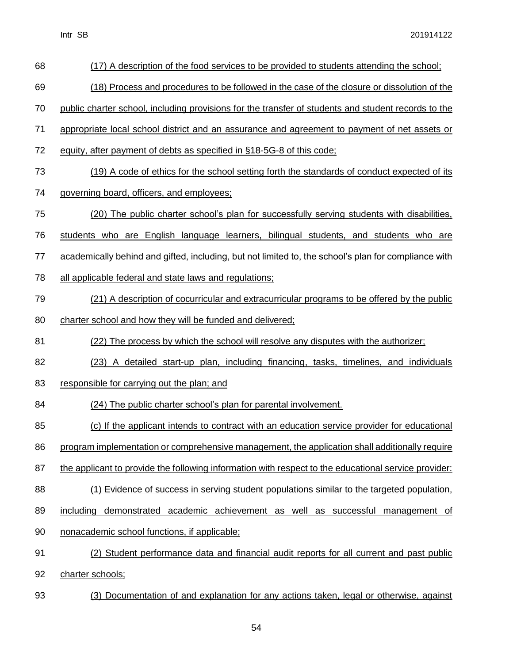| 68 | (17) A description of the food services to be provided to students attending the school;             |
|----|------------------------------------------------------------------------------------------------------|
| 69 | (18) Process and procedures to be followed in the case of the closure or dissolution of the          |
| 70 | public charter school, including provisions for the transfer of students and student records to the  |
| 71 | appropriate local school district and an assurance and agreement to payment of net assets or         |
| 72 | equity, after payment of debts as specified in §18-5G-8 of this code;                                |
| 73 | (19) A code of ethics for the school setting forth the standards of conduct expected of its          |
| 74 | governing board, officers, and employees;                                                            |
| 75 | (20) The public charter school's plan for successfully serving students with disabilities,           |
| 76 | students who are English language learners, bilingual students, and students who are                 |
| 77 | academically behind and gifted, including, but not limited to, the school's plan for compliance with |
| 78 | all applicable federal and state laws and regulations;                                               |
| 79 | (21) A description of cocurricular and extracurricular programs to be offered by the public          |
| 80 | charter school and how they will be funded and delivered;                                            |
| 81 | (22) The process by which the school will resolve any disputes with the authorizer;                  |
| 82 | (23) A detailed start-up plan, including financing, tasks, timelines, and individuals                |
| 83 | responsible for carrying out the plan; and                                                           |
| 84 | (24) The public charter school's plan for parental involvement.                                      |
| 85 | (c) If the applicant intends to contract with an education service provider for educational          |
| 86 |                                                                                                      |
|    | program implementation or comprehensive management, the application shall additionally require       |
| 87 | the applicant to provide the following information with respect to the educational service provider: |
| 88 | (1) Evidence of success in serving student populations similar to the targeted population,           |
| 89 | demonstrated academic achievement as well as successful management of<br>including                   |
| 90 | nonacademic school functions, if applicable;                                                         |
| 91 | (2) Student performance data and financial audit reports for all current and past public             |
| 92 | charter schools;                                                                                     |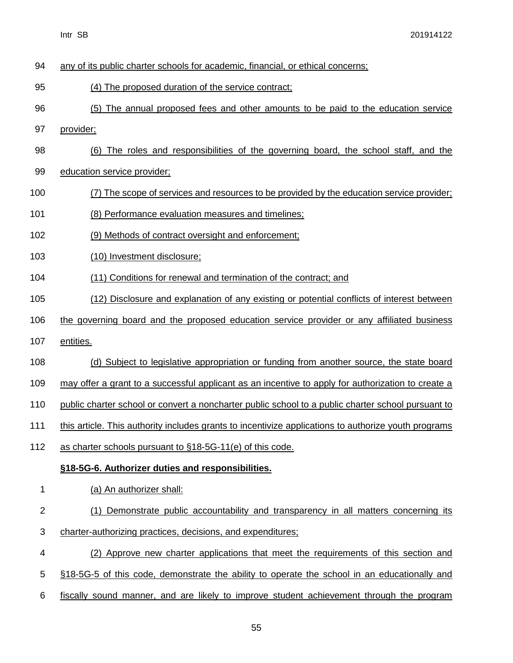| 94          | any of its public charter schools for academic, financial, or ethical concerns;                      |
|-------------|------------------------------------------------------------------------------------------------------|
| 95          | (4) The proposed duration of the service contract;                                                   |
| 96          | (5) The annual proposed fees and other amounts to be paid to the education service                   |
| 97          | provider;                                                                                            |
| 98          | (6) The roles and responsibilities of the governing board, the school staff, and the                 |
| 99          | education service provider;                                                                          |
| 100         | (7) The scope of services and resources to be provided by the education service provider;            |
| 101         | (8) Performance evaluation measures and timelines;                                                   |
| 102         | (9) Methods of contract oversight and enforcement;                                                   |
| 103         | (10) Investment disclosure;                                                                          |
| 104         | (11) Conditions for renewal and termination of the contract; and                                     |
| 105         | (12) Disclosure and explanation of any existing or potential conflicts of interest between           |
| 106         | the governing board and the proposed education service provider or any affiliated business           |
| 107         | entities.                                                                                            |
| 108         | (d) Subject to legislative appropriation or funding from another source, the state board             |
| 109         | may offer a grant to a successful applicant as an incentive to apply for authorization to create a   |
| 110         | public charter school or convert a noncharter public school to a public charter school pursuant to   |
| 111         | this article. This authority includes grants to incentivize applications to authorize youth programs |
| 112         | as charter schools pursuant to §18-5G-11(e) of this code.                                            |
|             | §18-5G-6. Authorizer duties and responsibilities.                                                    |
| 1           | (a) An authorizer shall:                                                                             |
| $\mathbf 2$ | (1) Demonstrate public accountability and transparency in all matters concerning its                 |
| 3           | charter-authorizing practices, decisions, and expenditures;                                          |
| 4           | (2) Approve new charter applications that meet the requirements of this section and                  |
| 5           | §18-5G-5 of this code, demonstrate the ability to operate the school in an educationally and         |
| 6           | fiscally sound manner, and are likely to improve student achievement through the program             |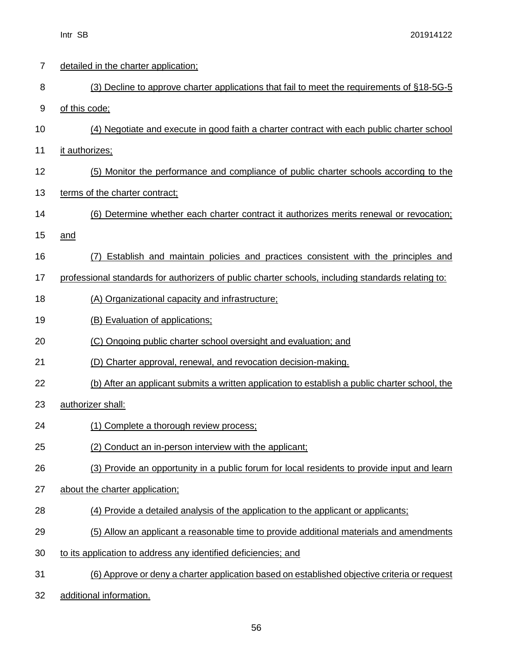| 7  | detailed in the charter application;                                                               |
|----|----------------------------------------------------------------------------------------------------|
| 8  | (3) Decline to approve charter applications that fail to meet the requirements of §18-5G-5         |
| 9  | of this code;                                                                                      |
| 10 | (4) Negotiate and execute in good faith a charter contract with each public charter school         |
| 11 | it authorizes:                                                                                     |
| 12 | (5) Monitor the performance and compliance of public charter schools according to the              |
| 13 | terms of the charter contract;                                                                     |
| 14 | (6) Determine whether each charter contract it authorizes merits renewal or revocation;            |
| 15 | and                                                                                                |
| 16 | Establish and maintain policies and practices consistent with the principles and<br>(7)            |
| 17 | professional standards for authorizers of public charter schools, including standards relating to: |
| 18 | (A) Organizational capacity and infrastructure;                                                    |
| 19 | (B) Evaluation of applications:                                                                    |
| 20 | (C) Ongoing public charter school oversight and evaluation; and                                    |
| 21 | (D) Charter approval, renewal, and revocation decision-making.                                     |
| 22 | (b) After an applicant submits a written application to establish a public charter school, the     |
| 23 | authorizer shall:                                                                                  |
| 24 | (1) Complete a thorough review process;                                                            |
| 25 | (2) Conduct an in-person interview with the applicant;                                             |
| 26 | (3) Provide an opportunity in a public forum for local residents to provide input and learn        |
| 27 | about the charter application;                                                                     |
| 28 | (4) Provide a detailed analysis of the application to the applicant or applicants;                 |
| 29 | (5) Allow an applicant a reasonable time to provide additional materials and amendments            |
| 30 | to its application to address any identified deficiencies; and                                     |
| 31 | (6) Approve or deny a charter application based on established objective criteria or request       |

32 additional information.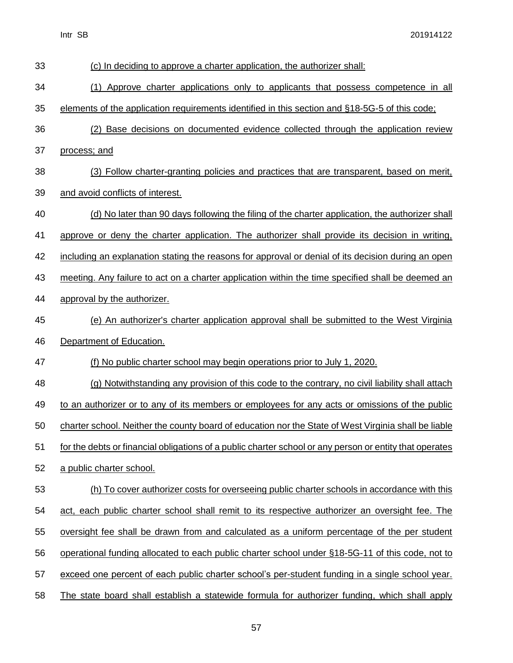| 33 | (c) In deciding to approve a charter application, the authorizer shall:                                 |
|----|---------------------------------------------------------------------------------------------------------|
| 34 | (1) Approve charter applications only to applicants that possess competence in all                      |
| 35 | elements of the application requirements identified in this section and §18-5G-5 of this code;          |
| 36 | (2) Base decisions on documented evidence collected through the application review                      |
| 37 | process; and                                                                                            |
| 38 | (3) Follow charter-granting policies and practices that are transparent, based on merit,                |
| 39 | and avoid conflicts of interest.                                                                        |
| 40 | (d) No later than 90 days following the filing of the charter application, the authorizer shall         |
| 41 | approve or deny the charter application. The authorizer shall provide its decision in writing,          |
| 42 | including an explanation stating the reasons for approval or denial of its decision during an open      |
| 43 | meeting. Any failure to act on a charter application within the time specified shall be deemed an       |
| 44 | approval by the authorizer.                                                                             |
| 45 | (e) An authorizer's charter application approval shall be submitted to the West Virginia                |
| 46 | Department of Education.                                                                                |
| 47 | (f) No public charter school may begin operations prior to July 1, 2020.                                |
| 48 | (g) Notwithstanding any provision of this code to the contrary, no civil liability shall attach         |
| 49 | to an authorizer or to any of its members or employees for any acts or omissions of the public          |
| 50 | charter school. Neither the county board of education nor the State of West Virginia shall be liable    |
| 51 | for the debts or financial obligations of a public charter school or any person or entity that operates |
| 52 | a public charter school.                                                                                |
| 53 | (h) To cover authorizer costs for overseeing public charter schools in accordance with this             |
| 54 | act, each public charter school shall remit to its respective authorizer an oversight fee. The          |
| 55 | oversight fee shall be drawn from and calculated as a uniform percentage of the per student             |
| 56 | operational funding allocated to each public charter school under §18-5G-11 of this code, not to        |
| 57 | exceed one percent of each public charter school's per-student funding in a single school year.         |
| 58 | The state board shall establish a statewide formula for authorizer funding, which shall apply           |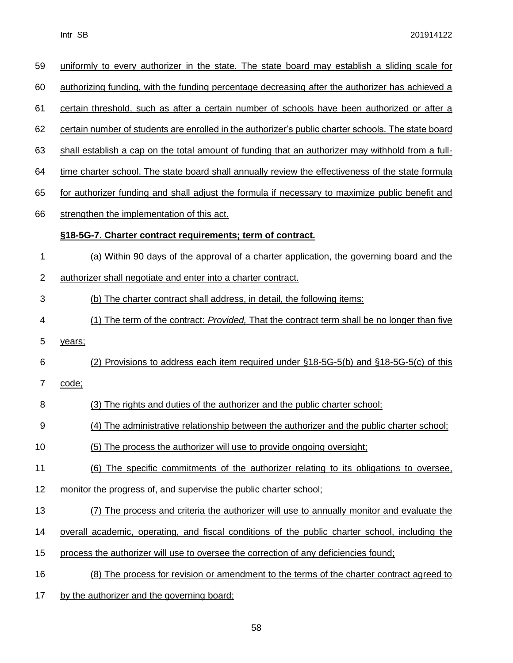| 59             | uniformly to every authorizer in the state. The state board may establish a sliding scale for          |
|----------------|--------------------------------------------------------------------------------------------------------|
| 60             | <u>authorizing funding, with the funding percentage decreasing after the authorizer has achieved a</u> |
| 61             | certain threshold, such as after a certain number of schools have been authorized or after a           |
| 62             | certain number of students are enrolled in the authorizer's public charter schools. The state board    |
| 63             | shall establish a cap on the total amount of funding that an authorizer may withhold from a full-      |
| 64             | time charter school. The state board shall annually review the effectiveness of the state formula      |
| 65             | for authorizer funding and shall adjust the formula if necessary to maximize public benefit and        |
| 66             | strengthen the implementation of this act.                                                             |
|                | §18-5G-7. Charter contract requirements; term of contract.                                             |
| 1              | (a) Within 90 days of the approval of a charter application, the governing board and the               |
| $\overline{2}$ | authorizer shall negotiate and enter into a charter contract.                                          |
| 3              | (b) The charter contract shall address, in detail, the following items:                                |
| 4              | (1) The term of the contract: <i>Provided</i> , That the contract term shall be no longer than five    |
| 5              | years;                                                                                                 |
| 6              | (2) Provisions to address each item required under §18-5G-5(b) and §18-5G-5(c) of this                 |
| 7              | code;                                                                                                  |
| 8              | (3) The rights and duties of the authorizer and the public charter school;                             |
| 9              | (4) The administrative relationship between the authorizer and the public charter school;              |
| 10             | (5) The process the authorizer will use to provide ongoing oversight;                                  |
| 11             | (6) The specific commitments of the authorizer relating to its obligations to oversee.                 |
| 12             | monitor the progress of, and supervise the public charter school;                                      |
| 13             | (7) The process and criteria the authorizer will use to annually monitor and evaluate the              |
| 14             | overall academic, operating, and fiscal conditions of the public charter school, including the         |
| 15             | process the authorizer will use to oversee the correction of any deficiencies found;                   |
| 16             | (8) The process for revision or amendment to the terms of the charter contract agreed to               |
| 17             | by the authorizer and the governing board;                                                             |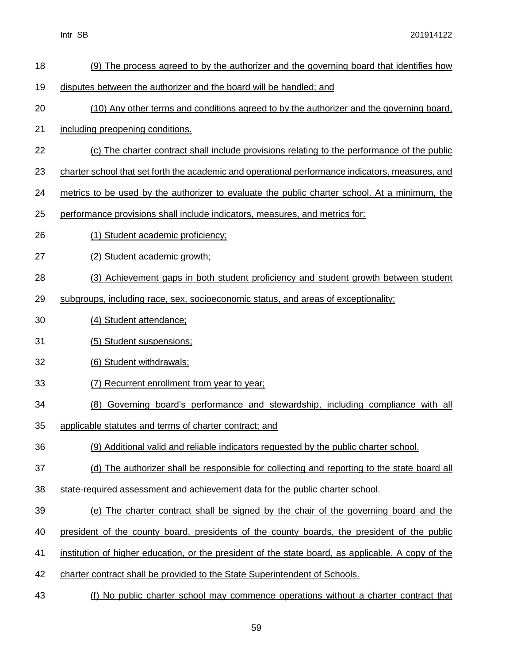| 18 | (9) The process agreed to by the authorizer and the governing board that identifies how            |
|----|----------------------------------------------------------------------------------------------------|
| 19 | disputes between the authorizer and the board will be handled; and                                 |
| 20 | (10) Any other terms and conditions agreed to by the authorizer and the governing board,           |
| 21 | including preopening conditions.                                                                   |
| 22 | (c) The charter contract shall include provisions relating to the performance of the public        |
| 23 | charter school that set forth the academic and operational performance indicators, measures, and   |
| 24 | metrics to be used by the authorizer to evaluate the public charter school. At a minimum, the      |
| 25 | performance provisions shall include indicators, measures, and metrics for:                        |
| 26 | (1) Student academic proficiency;                                                                  |
| 27 | (2) Student academic growth;                                                                       |
| 28 | (3) Achievement gaps in both student proficiency and student growth between student                |
| 29 | subgroups, including race, sex, socioeconomic status, and areas of exceptionality;                 |
| 30 | (4) Student attendance:                                                                            |
| 31 | (5) Student suspensions;                                                                           |
| 32 | (6) Student withdrawals;                                                                           |
| 33 | (7) Recurrent enrollment from year to year;                                                        |
| 34 | (8) Governing board's performance and stewardship, including compliance with all                   |
| 35 | applicable statutes and terms of charter contract; and                                             |
| 36 | (9) Additional valid and reliable indicators requested by the public charter school.               |
| 37 | (d) The authorizer shall be responsible for collecting and reporting to the state board all        |
| 38 | state-required assessment and achievement data for the public charter school.                      |
| 39 | (e) The charter contract shall be signed by the chair of the governing board and the               |
| 40 | president of the county board, presidents of the county boards, the president of the public        |
| 41 | institution of higher education, or the president of the state board, as applicable. A copy of the |
| 42 | charter contract shall be provided to the State Superintendent of Schools.                         |
| 43 | (f) No public charter school may commence operations without a charter contract that               |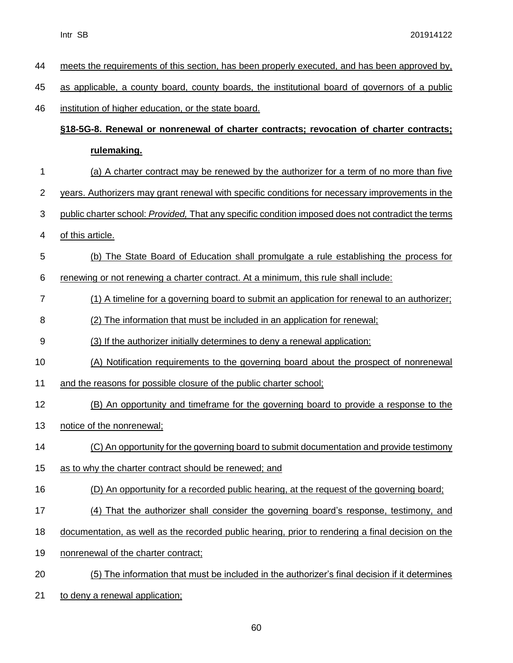| 44             | meets the requirements of this section, has been properly executed, and has been approved by,      |
|----------------|----------------------------------------------------------------------------------------------------|
| 45             | as applicable, a county board, county boards, the institutional board of governors of a public     |
| 46             | institution of higher education, or the state board.                                               |
|                | §18-5G-8. Renewal or nonrenewal of charter contracts; revocation of charter contracts;             |
|                | rulemaking.                                                                                        |
| 1              | (a) A charter contract may be renewed by the authorizer for a term of no more than five            |
| $\overline{2}$ | years. Authorizers may grant renewal with specific conditions for necessary improvements in the    |
| 3              | public charter school: Provided, That any specific condition imposed does not contradict the terms |
| 4              | of this article.                                                                                   |
| 5              | (b) The State Board of Education shall promulgate a rule establishing the process for              |
| 6              | renewing or not renewing a charter contract. At a minimum, this rule shall include:                |
| 7              | (1) A timeline for a governing board to submit an application for renewal to an authorizer;        |
| 8              | (2) The information that must be included in an application for renewal;                           |
| 9              | (3) If the authorizer initially determines to deny a renewal application:                          |
| 10             | (A) Notification requirements to the governing board about the prospect of nonrenewal              |
| 11             | and the reasons for possible closure of the public charter school;                                 |
| 12             | (B) An opportunity and timeframe for the governing board to provide a response to the              |
| 13             | notice of the nonrenewal;                                                                          |
| 14             | (C) An opportunity for the governing board to submit documentation and provide testimony           |
| 15             | as to why the charter contract should be renewed; and                                              |
| 16             | (D) An opportunity for a recorded public hearing, at the request of the governing board;           |
| 17             | (4) That the authorizer shall consider the governing board's response, testimony, and              |
| 18             | documentation, as well as the recorded public hearing, prior to rendering a final decision on the  |
| 19             | nonrenewal of the charter contract;                                                                |
| 20             | (5) The information that must be included in the authorizer's final decision if it determines      |
| 21             | to deny a renewal application;                                                                     |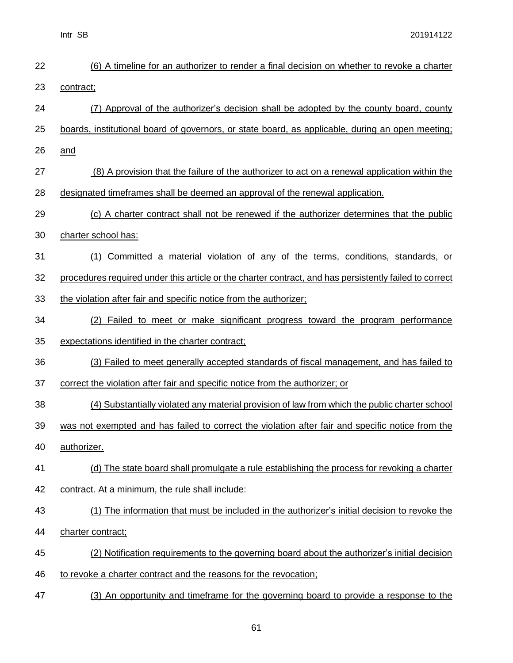| 22 | (6) A timeline for an authorizer to render a final decision on whether to revoke a charter             |
|----|--------------------------------------------------------------------------------------------------------|
| 23 | contract;                                                                                              |
| 24 | (7) Approval of the authorizer's decision shall be adopted by the county board, county                 |
| 25 | boards, institutional board of governors, or state board, as applicable, during an open meeting;       |
| 26 | and                                                                                                    |
| 27 | (8) A provision that the failure of the authorizer to act on a renewal application within the          |
| 28 | designated timeframes shall be deemed an approval of the renewal application.                          |
| 29 | (c) A charter contract shall not be renewed if the authorizer determines that the public               |
| 30 | charter school has:                                                                                    |
| 31 | (1) Committed a material violation of any of the terms, conditions, standards, or                      |
| 32 | procedures required under this article or the charter contract, and has persistently failed to correct |
| 33 | the violation after fair and specific notice from the authorizer;                                      |
| 34 | (2) Failed to meet or make significant progress toward the program performance                         |
| 35 | expectations identified in the charter contract;                                                       |
| 36 | (3) Failed to meet generally accepted standards of fiscal management, and has failed to                |
| 37 | correct the violation after fair and specific notice from the authorizer; or                           |
| 38 | (4) Substantially violated any material provision of law from which the public charter school          |
| 39 | was not exempted and has failed to correct the violation after fair and specific notice from the       |
| 40 | authorizer.                                                                                            |
| 41 | (d) The state board shall promulgate a rule establishing the process for revoking a charter            |
| 42 | contract. At a minimum, the rule shall include:                                                        |
| 43 | (1) The information that must be included in the authorizer's initial decision to revoke the           |
| 44 | charter contract;                                                                                      |
| 45 | (2) Notification requirements to the governing board about the authorizer's initial decision           |
| 46 | to revoke a charter contract and the reasons for the revocation;                                       |
| 47 | (3) An opportunity and timeframe for the governing board to provide a response to the                  |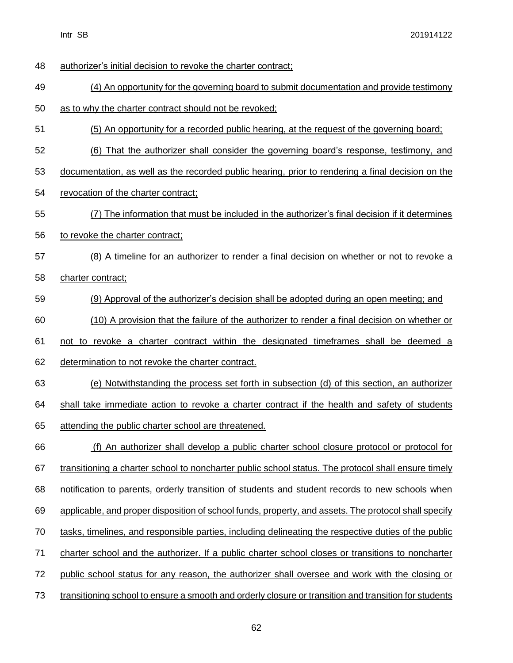authorizer's initial decision to revoke the charter contract; (4) An opportunity for the governing board to submit documentation and provide testimony as to why the charter contract should not be revoked; (5) An opportunity for a recorded public hearing, at the request of the governing board; (6) That the authorizer shall consider the governing board's response, testimony, and documentation, as well as the recorded public hearing, prior to rendering a final decision on the revocation of the charter contract; (7) The information that must be included in the authorizer's final decision if it determines to revoke the charter contract; (8) A timeline for an authorizer to render a final decision on whether or not to revoke a charter contract; (9) Approval of the authorizer's decision shall be adopted during an open meeting; and (10) A provision that the failure of the authorizer to render a final decision on whether or not to revoke a charter contract within the designated timeframes shall be deemed a determination to not revoke the charter contract. (e) Notwithstanding the process set forth in subsection (d) of this section, an authorizer 64 shall take immediate action to revoke a charter contract if the health and safety of students attending the public charter school are threatened. (f) An authorizer shall develop a public charter school closure protocol or protocol for transitioning a charter school to noncharter public school status. The protocol shall ensure timely notification to parents, orderly transition of students and student records to new schools when applicable, and proper disposition of school funds, property, and assets. The protocol shall specify tasks, timelines, and responsible parties, including delineating the respective duties of the public charter school and the authorizer. If a public charter school closes or transitions to noncharter public school status for any reason, the authorizer shall oversee and work with the closing or transitioning school to ensure a smooth and orderly closure or transition and transition for students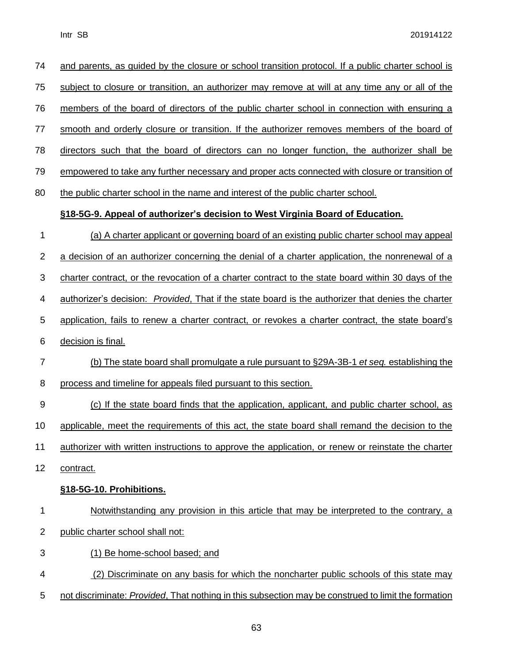| 74             | and parents, as guided by the closure or school transition protocol. If a public charter school is         |
|----------------|------------------------------------------------------------------------------------------------------------|
| 75             | subject to closure or transition, an authorizer may remove at will at any time any or all of the           |
| 76             | members of the board of directors of the public charter school in connection with ensuring a               |
| 77             | smooth and orderly closure or transition. If the authorizer removes members of the board of                |
| 78             | directors such that the board of directors can no longer function, the authorizer shall be                 |
| 79             | empowered to take any further necessary and proper acts connected with closure or transition of            |
| 80             | the public charter school in the name and interest of the public charter school.                           |
|                | §18-5G-9. Appeal of authorizer's decision to West Virginia Board of Education.                             |
| 1              | (a) A charter applicant or governing board of an existing public charter school may appeal                 |
| 2              | a decision of an authorizer concerning the denial of a charter application, the nonrenewal of a            |
| 3              | charter contract, or the revocation of a charter contract to the state board within 30 days of the         |
| 4              | authorizer's decision: <i>Provided</i> , That if the state board is the authorizer that denies the charter |
| 5              | application, fails to renew a charter contract, or revokes a charter contract, the state board's           |
| 6              | decision is final.                                                                                         |
| $\overline{7}$ | (b) The state board shall promulgate a rule pursuant to §29A-3B-1 et seq. establishing the                 |
| 8              | process and timeline for appeals filed pursuant to this section.                                           |
| 9              | (c) If the state board finds that the application, applicant, and public charter school, as                |
| 10             | applicable, meet the requirements of this act, the state board shall remand the decision to the            |
| 11             | authorizer with written instructions to approve the application, or renew or reinstate the charter         |
| 12             | contract.                                                                                                  |
|                | §18-5G-10. Prohibitions.                                                                                   |
| 1              | Notwithstanding any provision in this article that may be interpreted to the contrary, a                   |
| 2              | public charter school shall not:                                                                           |
| 3              | (1) Be home-school based; and                                                                              |
| 4              | (2) Discriminate on any basis for which the noncharter public schools of this state may                    |
| 5              | not discriminate: Provided, That nothing in this subsection may be construed to limit the formation        |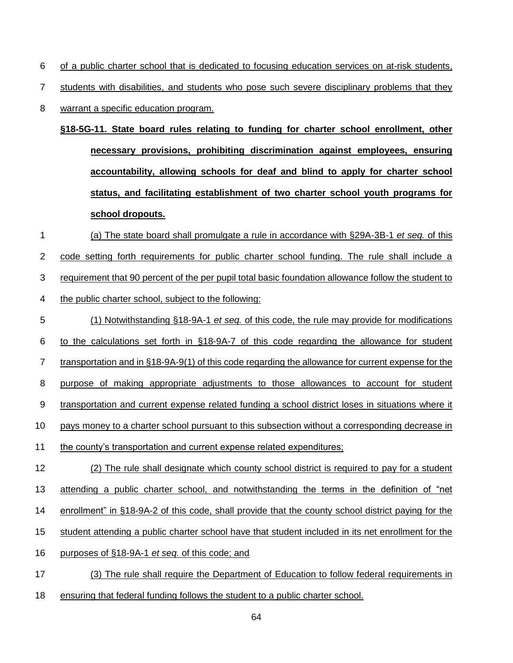of a public charter school that is dedicated to focusing education services on at-risk students,

7 students with disabilities, and students who pose such severe disciplinary problems that they

warrant a specific education program.

**§18-5G-11. State board rules relating to funding for charter school enrollment, other necessary provisions, prohibiting discrimination against employees, ensuring accountability, allowing schools for deaf and blind to apply for charter school status, and facilitating establishment of two charter school youth programs for school dropouts.**

- (a) The state board shall promulgate a rule in accordance with §29A-3B-1 *et seq.* of this code setting forth requirements for public charter school funding. The rule shall include a requirement that 90 percent of the per pupil total basic foundation allowance follow the student to 4 the public charter school, subject to the following:
- (1) Notwithstanding §18-9A-1 *et seq.* of this code, the rule may provide for modifications to the calculations set forth in §18-9A-7 of this code regarding the allowance for student 7 transportation and in §18-9A-9(1) of this code regarding the allowance for current expense for the purpose of making appropriate adjustments to those allowances to account for student 9 transportation and current expense related funding a school district loses in situations where it pays money to a charter school pursuant to this subsection without a corresponding decrease in the county's transportation and current expense related expenditures; 12 (2) The rule shall designate which county school district is required to pay for a student
- attending a public charter school, and notwithstanding the terms in the definition of "net enrollment" in §18-9A-2 of this code, shall provide that the county school district paying for the student attending a public charter school have that student included in its net enrollment for the purposes of §18-9A-1 *et seq.* of this code; and
- (3) The rule shall require the Department of Education to follow federal requirements in
- ensuring that federal funding follows the student to a public charter school.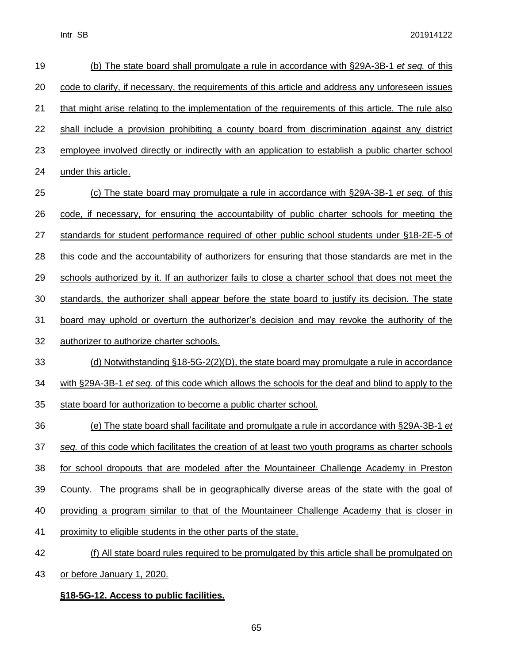| 19 | (b) The state board shall promulgate a rule in accordance with §29A-3B-1 et seq. of this            |
|----|-----------------------------------------------------------------------------------------------------|
| 20 | code to clarify, if necessary, the requirements of this article and address any unforeseen issues   |
| 21 | that might arise relating to the implementation of the requirements of this article. The rule also  |
| 22 | shall include a provision prohibiting a county board from discrimination against any district       |
| 23 | employee involved directly or indirectly with an application to establish a public charter school   |
| 24 | under this article.                                                                                 |
| 25 | (c) The state board may promulgate a rule in accordance with §29A-3B-1 et seq. of this              |
| 26 | code, if necessary, for ensuring the accountability of public charter schools for meeting the       |
| 27 | standards for student performance required of other public school students under §18-2E-5 of        |
| 28 | this code and the accountability of authorizers for ensuring that those standards are met in the    |
| 29 | schools authorized by it. If an authorizer fails to close a charter school that does not meet the   |
| 30 | standards, the authorizer shall appear before the state board to justify its decision. The state    |
| 31 | board may uphold or overturn the authorizer's decision and may revoke the authority of the          |
| 32 | authorizer to authorize charter schools.                                                            |
| 33 | (d) Notwithstanding §18-5G-2(2)(D), the state board may promulgate a rule in accordance             |
| 34 | with §29A-3B-1 et seq. of this code which allows the schools for the deaf and blind to apply to the |
| 35 | state board for authorization to become a public charter school.                                    |
| 36 | (e) The state board shall facilitate and promulgate a rule in accordance with §29A-3B-1 et          |
| 37 | seq. of this code which facilitates the creation of at least two youth programs as charter schools  |
| 38 | for school dropouts that are modeled after the Mountaineer Challenge Academy in Preston             |
| 39 | County. The programs shall be in geographically diverse areas of the state with the goal of         |
| 40 | providing a program similar to that of the Mountaineer Challenge Academy that is closer in          |
| 41 | proximity to eligible students in the other parts of the state.                                     |
| 42 | (f) All state board rules required to be promulgated by this article shall be promulgated on        |
| 43 | or before January 1, 2020.                                                                          |

# **§18-5G-12. Access to public facilities.**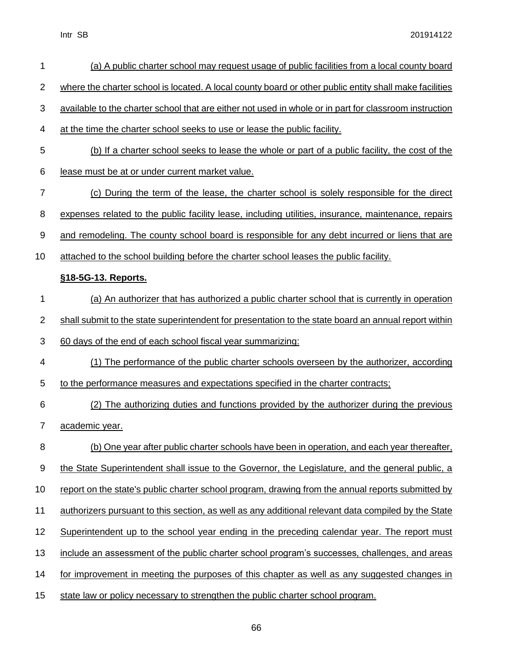| 1              | (a) A public charter school may request usage of public facilities from a local county board           |
|----------------|--------------------------------------------------------------------------------------------------------|
| $\overline{2}$ | where the charter school is located. A local county board or other public entity shall make facilities |
| 3              | available to the charter school that are either not used in whole or in part for classroom instruction |
| 4              | at the time the charter school seeks to use or lease the public facility.                              |
| 5              | (b) If a charter school seeks to lease the whole or part of a public facility, the cost of the         |
| 6              | lease must be at or under current market value.                                                        |
| 7              | (c) During the term of the lease, the charter school is solely responsible for the direct              |
| 8              | expenses related to the public facility lease, including utilities, insurance, maintenance, repairs    |
| 9              | and remodeling. The county school board is responsible for any debt incurred or liens that are         |
| 10             | attached to the school building before the charter school leases the public facility.                  |
|                | §18-5G-13. Reports.                                                                                    |
| 1              | (a) An authorizer that has authorized a public charter school that is currently in operation           |
| 2              | shall submit to the state superintendent for presentation to the state board an annual report within   |
| 3              | 60 days of the end of each school fiscal year summarizing:                                             |
| 4              | (1) The performance of the public charter schools overseen by the authorizer, according                |
| 5              | to the performance measures and expectations specified in the charter contracts;                       |
| 6              | (2) The authorizing duties and functions provided by the authorizer during the previous                |
| 7              | academic year.                                                                                         |
| 8              | (b) One year after public charter schools have been in operation, and each year thereafter,            |
| 9              | the State Superintendent shall issue to the Governor, the Legislature, and the general public, a       |
| 10             | report on the state's public charter school program, drawing from the annual reports submitted by      |
| 11             | authorizers pursuant to this section, as well as any additional relevant data compiled by the State    |
| 12             | Superintendent up to the school year ending in the preceding calendar year. The report must            |
| 13             | include an assessment of the public charter school program's successes, challenges, and areas          |
| 14             | for improvement in meeting the purposes of this chapter as well as any suggested changes in            |
| 15             | state law or policy necessary to strengthen the public charter school program.                         |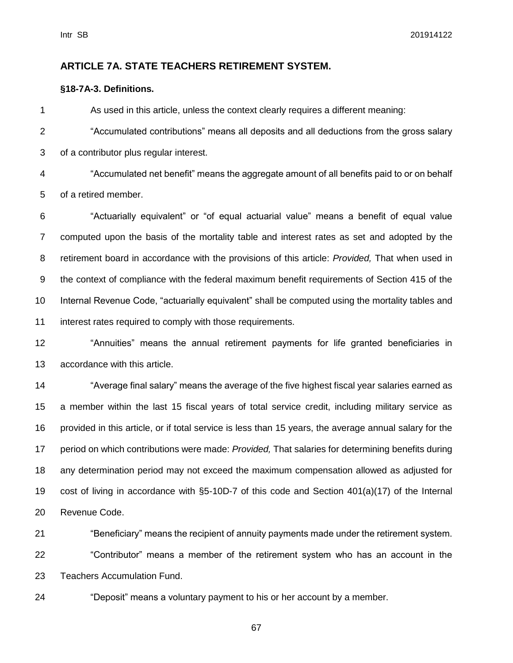### **ARTICLE 7A. STATE TEACHERS RETIREMENT SYSTEM.**

#### **§18-7A-3. Definitions.**

As used in this article, unless the context clearly requires a different meaning:

 "Accumulated contributions" means all deposits and all deductions from the gross salary of a contributor plus regular interest.

 "Accumulated net benefit" means the aggregate amount of all benefits paid to or on behalf of a retired member.

 "Actuarially equivalent" or "of equal actuarial value" means a benefit of equal value computed upon the basis of the mortality table and interest rates as set and adopted by the retirement board in accordance with the provisions of this article: *Provided,* That when used in the context of compliance with the federal maximum benefit requirements of Section 415 of the Internal Revenue Code, "actuarially equivalent" shall be computed using the mortality tables and interest rates required to comply with those requirements.

 "Annuities" means the annual retirement payments for life granted beneficiaries in accordance with this article.

 "Average final salary" means the average of the five highest fiscal year salaries earned as a member within the last 15 fiscal years of total service credit, including military service as provided in this article, or if total service is less than 15 years, the average annual salary for the period on which contributions were made: *Provided,* That salaries for determining benefits during any determination period may not exceed the maximum compensation allowed as adjusted for cost of living in accordance with §5-10D-7 of this code and Section 401(a)(17) of the Internal Revenue Code.

 "Beneficiary" means the recipient of annuity payments made under the retirement system. "Contributor" means a member of the retirement system who has an account in the Teachers Accumulation Fund.

"Deposit" means a voluntary payment to his or her account by a member.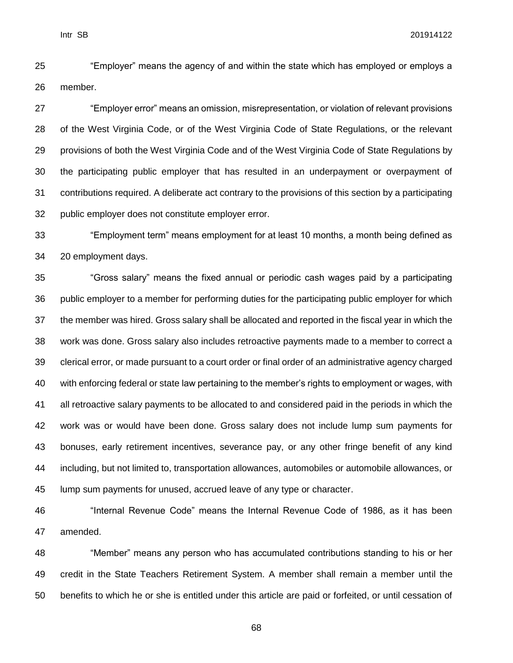"Employer" means the agency of and within the state which has employed or employs a member.

 "Employer error" means an omission, misrepresentation, or violation of relevant provisions of the West Virginia Code, or of the West Virginia Code of State Regulations, or the relevant provisions of both the West Virginia Code and of the West Virginia Code of State Regulations by the participating public employer that has resulted in an underpayment or overpayment of contributions required. A deliberate act contrary to the provisions of this section by a participating public employer does not constitute employer error.

 "Employment term" means employment for at least 10 months, a month being defined as 20 employment days.

 "Gross salary" means the fixed annual or periodic cash wages paid by a participating public employer to a member for performing duties for the participating public employer for which the member was hired. Gross salary shall be allocated and reported in the fiscal year in which the work was done. Gross salary also includes retroactive payments made to a member to correct a clerical error, or made pursuant to a court order or final order of an administrative agency charged with enforcing federal or state law pertaining to the member's rights to employment or wages, with all retroactive salary payments to be allocated to and considered paid in the periods in which the work was or would have been done. Gross salary does not include lump sum payments for bonuses, early retirement incentives, severance pay, or any other fringe benefit of any kind including, but not limited to, transportation allowances, automobiles or automobile allowances, or lump sum payments for unused, accrued leave of any type or character.

 "Internal Revenue Code" means the Internal Revenue Code of 1986, as it has been amended.

 "Member" means any person who has accumulated contributions standing to his or her credit in the State Teachers Retirement System. A member shall remain a member until the benefits to which he or she is entitled under this article are paid or forfeited, or until cessation of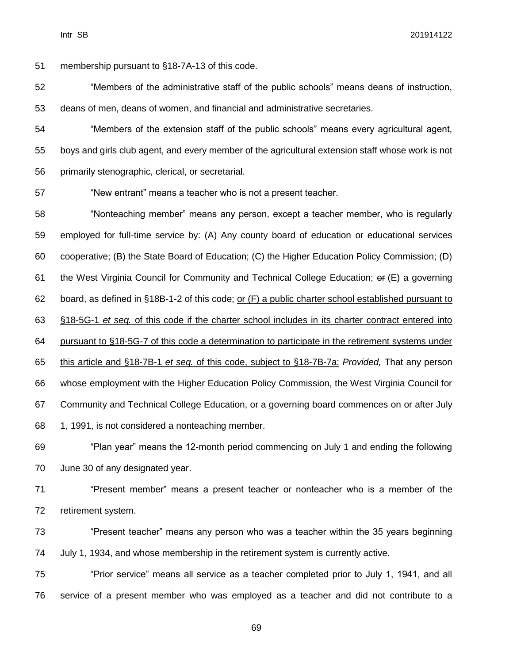membership pursuant to §18-7A-13 of this code. "Members of the administrative staff of the public schools" means deans of instruction, deans of men, deans of women, and financial and administrative secretaries. "Members of the extension staff of the public schools" means every agricultural agent, boys and girls club agent, and every member of the agricultural extension staff whose work is not primarily stenographic, clerical, or secretarial. "New entrant" means a teacher who is not a present teacher. "Nonteaching member" means any person, except a teacher member, who is regularly employed for full-time service by: (A) Any county board of education or educational services cooperative; (B) the State Board of Education; (C) the Higher Education Policy Commission; (D) the West Virginia Council for Community and Technical College Education; or (E) a governing board, as defined in §18B-1-2 of this code; or (F) a public charter school established pursuant to §18-5G-1 *et seq.* of this code if the charter school includes in its charter contract entered into pursuant to §18-5G-7 of this code a determination to participate in the retirement systems under this article and §18-7B-1 *et seq.* of this code, subject to §18-7B-7a: *Provided,* That any person whose employment with the Higher Education Policy Commission, the West Virginia Council for Community and Technical College Education, or a governing board commences on or after July 1, 1991, is not considered a nonteaching member. "Plan year" means the 12-month period commencing on July 1 and ending the following June 30 of any designated year. "Present member" means a present teacher or nonteacher who is a member of the retirement system. "Present teacher" means any person who was a teacher within the 35 years beginning July 1, 1934, and whose membership in the retirement system is currently active. "Prior service" means all service as a teacher completed prior to July 1, 1941, and all service of a present member who was employed as a teacher and did not contribute to a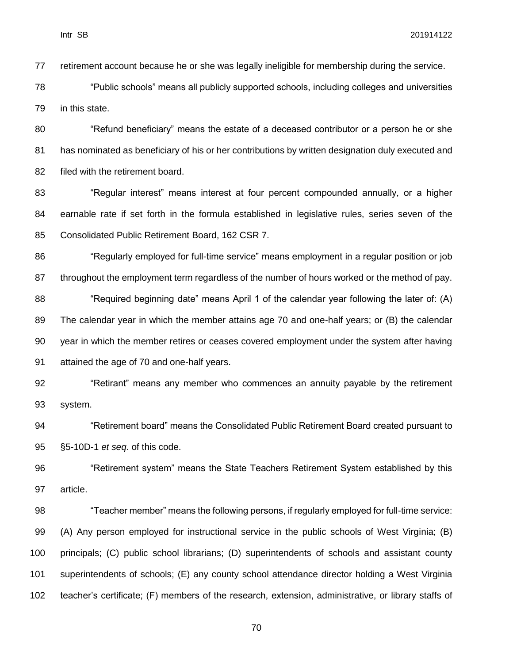retirement account because he or she was legally ineligible for membership during the service.

 "Public schools" means all publicly supported schools, including colleges and universities in this state.

 "Refund beneficiary" means the estate of a deceased contributor or a person he or she has nominated as beneficiary of his or her contributions by written designation duly executed and filed with the retirement board.

83 "Regular interest" means interest at four percent compounded annually, or a higher earnable rate if set forth in the formula established in legislative rules, series seven of the Consolidated Public Retirement Board, 162 CSR 7.

 "Regularly employed for full-time service" means employment in a regular position or job throughout the employment term regardless of the number of hours worked or the method of pay.

88 "Required beginning date" means April 1 of the calendar year following the later of: (A) The calendar year in which the member attains age 70 and one-half years; or (B) the calendar year in which the member retires or ceases covered employment under the system after having attained the age of 70 and one-half years.

 "Retirant" means any member who commences an annuity payable by the retirement system.

 "Retirement board" means the Consolidated Public Retirement Board created pursuant to §5-10D-1 *et seq*. of this code.

 "Retirement system" means the State Teachers Retirement System established by this article.

 "Teacher member" means the following persons, if regularly employed for full-time service: (A) Any person employed for instructional service in the public schools of West Virginia; (B) principals; (C) public school librarians; (D) superintendents of schools and assistant county superintendents of schools; (E) any county school attendance director holding a West Virginia teacher's certificate; (F) members of the research, extension, administrative, or library staffs of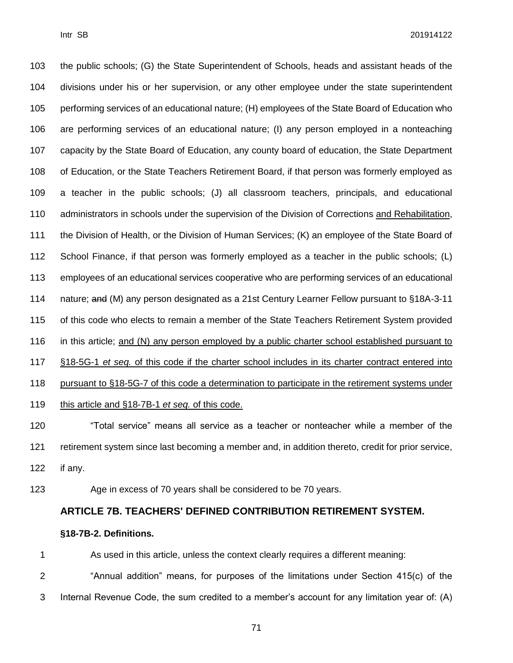the public schools; (G) the State Superintendent of Schools, heads and assistant heads of the divisions under his or her supervision, or any other employee under the state superintendent performing services of an educational nature; (H) employees of the State Board of Education who are performing services of an educational nature; (I) any person employed in a nonteaching capacity by the State Board of Education, any county board of education, the State Department of Education, or the State Teachers Retirement Board, if that person was formerly employed as a teacher in the public schools; (J) all classroom teachers, principals, and educational administrators in schools under the supervision of the Division of Corrections and Rehabilitation, 111 the Division of Health, or the Division of Human Services; (K) an employee of the State Board of School Finance, if that person was formerly employed as a teacher in the public schools; (L) employees of an educational services cooperative who are performing services of an educational 114 nature; and (M) any person designated as a 21st Century Learner Fellow pursuant to §18A-3-11 of this code who elects to remain a member of the State Teachers Retirement System provided 116 in this article; and (N) any person employed by a public charter school established pursuant to §18-5G-1 *et seq.* of this code if the charter school includes in its charter contract entered into pursuant to §18-5G-7 of this code a determination to participate in the retirement systems under this article and §18-7B-1 *et seq.* of this code. "Total service" means all service as a teacher or nonteacher while a member of the

 retirement system since last becoming a member and, in addition thereto, credit for prior service, if any.

Age in excess of 70 years shall be considered to be 70 years.

### **ARTICLE 7B. TEACHERS' DEFINED CONTRIBUTION RETIREMENT SYSTEM.**

#### **§18-7B-2. Definitions.**

As used in this article, unless the context clearly requires a different meaning:

"Annual addition" means, for purposes of the limitations under Section 415(c) of the

Internal Revenue Code, the sum credited to a member's account for any limitation year of: (A)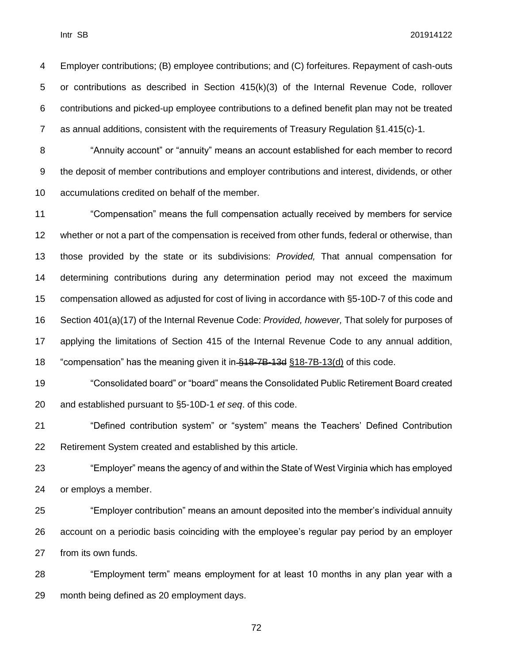Employer contributions; (B) employee contributions; and (C) forfeitures. Repayment of cash-outs or contributions as described in Section 415(k)(3) of the Internal Revenue Code, rollover contributions and picked-up employee contributions to a defined benefit plan may not be treated as annual additions, consistent with the requirements of Treasury Regulation §1.415(c)-1.

 "Annuity account" or "annuity" means an account established for each member to record the deposit of member contributions and employer contributions and interest, dividends, or other accumulations credited on behalf of the member.

 "Compensation" means the full compensation actually received by members for service whether or not a part of the compensation is received from other funds, federal or otherwise, than those provided by the state or its subdivisions: *Provided,* That annual compensation for determining contributions during any determination period may not exceed the maximum compensation allowed as adjusted for cost of living in accordance with §5-10D-7 of this code and Section 401(a)(17) of the Internal Revenue Code: *Provided, however,* That solely for purposes of applying the limitations of Section 415 of the Internal Revenue Code to any annual addition, "compensation" has the meaning given it in §18-7B-13d §18-7B-13(d) of this code.

 "Consolidated board" or "board" means the Consolidated Public Retirement Board created and established pursuant to §5-10D-1 *et seq*. of this code.

 "Defined contribution system" or "system" means the Teachers' Defined Contribution Retirement System created and established by this article.

 "Employer" means the agency of and within the State of West Virginia which has employed or employs a member.

 "Employer contribution" means an amount deposited into the member's individual annuity account on a periodic basis coinciding with the employee's regular pay period by an employer from its own funds.

 "Employment term" means employment for at least 10 months in any plan year with a month being defined as 20 employment days.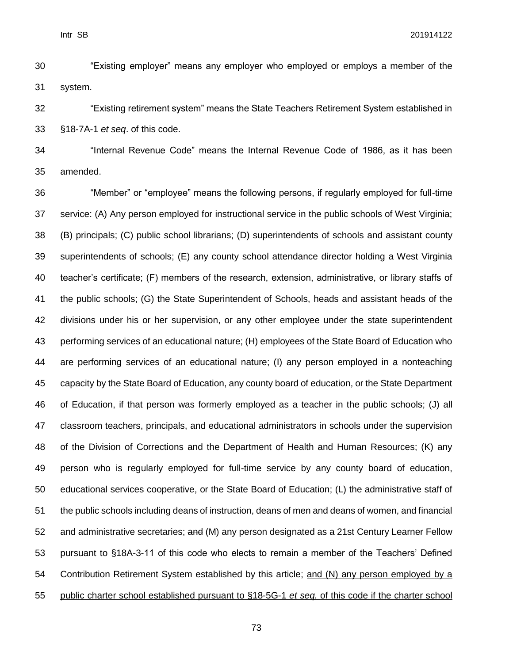"Existing employer" means any employer who employed or employs a member of the system.

 "Existing retirement system" means the State Teachers Retirement System established in §18-7A-1 *et seq*. of this code.

 "Internal Revenue Code" means the Internal Revenue Code of 1986, as it has been amended.

 "Member" or "employee" means the following persons, if regularly employed for full-time service: (A) Any person employed for instructional service in the public schools of West Virginia; (B) principals; (C) public school librarians; (D) superintendents of schools and assistant county superintendents of schools; (E) any county school attendance director holding a West Virginia teacher's certificate; (F) members of the research, extension, administrative, or library staffs of the public schools; (G) the State Superintendent of Schools, heads and assistant heads of the divisions under his or her supervision, or any other employee under the state superintendent performing services of an educational nature; (H) employees of the State Board of Education who are performing services of an educational nature; (I) any person employed in a nonteaching capacity by the State Board of Education, any county board of education, or the State Department of Education, if that person was formerly employed as a teacher in the public schools; (J) all classroom teachers, principals, and educational administrators in schools under the supervision of the Division of Corrections and the Department of Health and Human Resources; (K) any person who is regularly employed for full-time service by any county board of education, educational services cooperative, or the State Board of Education; (L) the administrative staff of the public schools including deans of instruction, deans of men and deans of women, and financial 52 and administrative secretaries; and (M) any person designated as a 21st Century Learner Fellow pursuant to §18A-3-11 of this code who elects to remain a member of the Teachers' Defined Contribution Retirement System established by this article; and (N) any person employed by a public charter school established pursuant to §18-5G-1 *et seq.* of this code if the charter school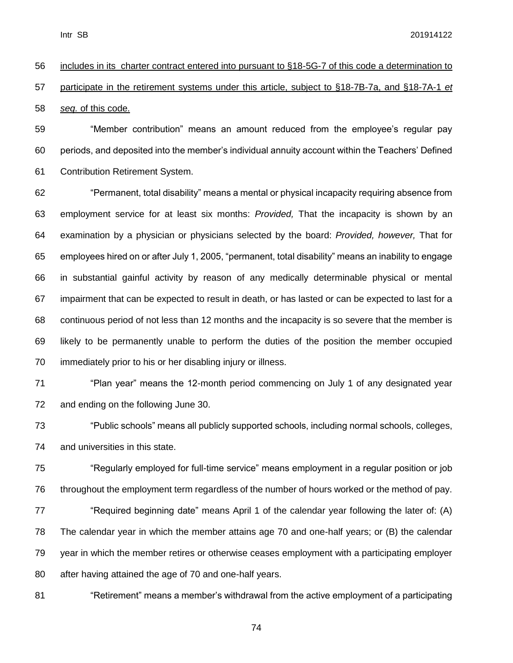# includes in its charter contract entered into pursuant to §18-5G-7 of this code a determination to participate in the retirement systems under this article, subject to §18-7B-7a, and §18-7A-1 *et seq.* of this code.

 "Member contribution" means an amount reduced from the employee's regular pay periods, and deposited into the member's individual annuity account within the Teachers' Defined Contribution Retirement System.

 "Permanent, total disability" means a mental or physical incapacity requiring absence from employment service for at least six months: *Provided,* That the incapacity is shown by an examination by a physician or physicians selected by the board: *Provided, however,* That for employees hired on or after July 1, 2005, "permanent, total disability" means an inability to engage in substantial gainful activity by reason of any medically determinable physical or mental impairment that can be expected to result in death, or has lasted or can be expected to last for a continuous period of not less than 12 months and the incapacity is so severe that the member is likely to be permanently unable to perform the duties of the position the member occupied immediately prior to his or her disabling injury or illness.

 "Plan year" means the 12-month period commencing on July 1 of any designated year and ending on the following June 30.

 "Public schools" means all publicly supported schools, including normal schools, colleges, and universities in this state.

 "Regularly employed for full-time service" means employment in a regular position or job throughout the employment term regardless of the number of hours worked or the method of pay. 77 "Required beginning date" means April 1 of the calendar year following the later of: (A) The calendar year in which the member attains age 70 and one-half years; or (B) the calendar year in which the member retires or otherwise ceases employment with a participating employer after having attained the age of 70 and one-half years.

"Retirement" means a member's withdrawal from the active employment of a participating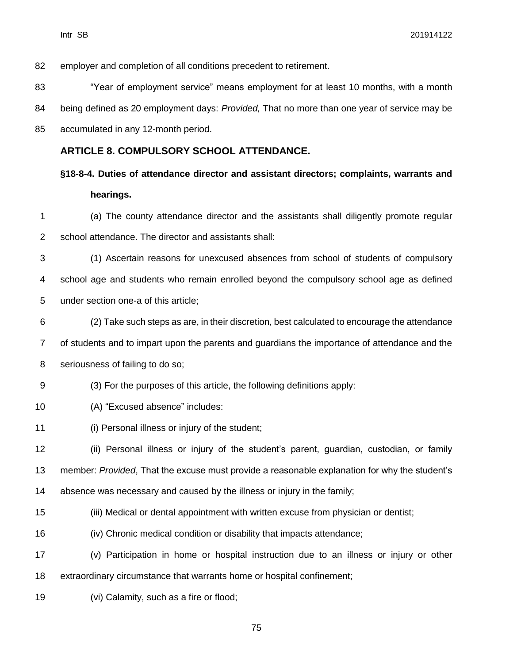employer and completion of all conditions precedent to retirement.

"Year of employment service" means employment for at least 10 months, with a month

being defined as 20 employment days: *Provided,* That no more than one year of service may be

accumulated in any 12-month period.

#### **ARTICLE 8. COMPULSORY SCHOOL ATTENDANCE.**

**§18-8-4. Duties of attendance director and assistant directors; complaints, warrants and hearings.**

 (a) The county attendance director and the assistants shall diligently promote regular school attendance. The director and assistants shall:

- (1) Ascertain reasons for unexcused absences from school of students of compulsory school age and students who remain enrolled beyond the compulsory school age as defined under section one-a of this article;
- (2) Take such steps as are, in their discretion, best calculated to encourage the attendance of students and to impart upon the parents and guardians the importance of attendance and the seriousness of failing to do so;
- (3) For the purposes of this article, the following definitions apply:
- (A) "Excused absence" includes:

(i) Personal illness or injury of the student;

 (ii) Personal illness or injury of the student's parent, guardian, custodian, or family member: *Provided*, That the excuse must provide a reasonable explanation for why the student's absence was necessary and caused by the illness or injury in the family;

- (iii) Medical or dental appointment with written excuse from physician or dentist;
- (iv) Chronic medical condition or disability that impacts attendance;

 (v) Participation in home or hospital instruction due to an illness or injury or other extraordinary circumstance that warrants home or hospital confinement;

(vi) Calamity, such as a fire or flood;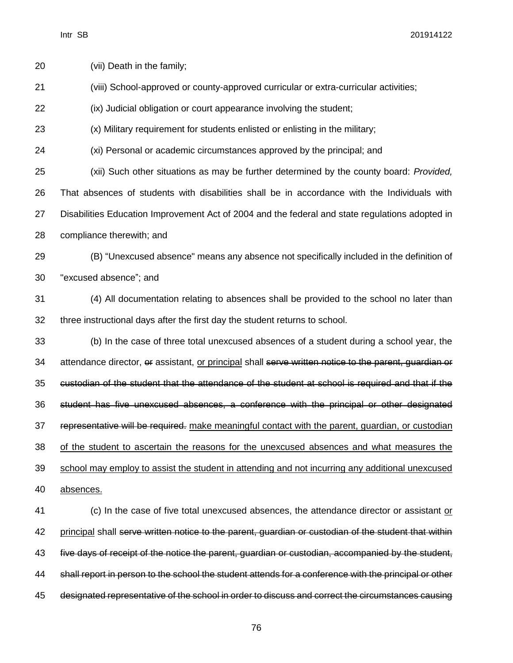| 20 | (vii) Death in the family;                                                                            |
|----|-------------------------------------------------------------------------------------------------------|
| 21 | (viii) School-approved or county-approved curricular or extra-curricular activities;                  |
| 22 | (ix) Judicial obligation or court appearance involving the student;                                   |
| 23 | (x) Military requirement for students enlisted or enlisting in the military;                          |
| 24 | (xi) Personal or academic circumstances approved by the principal; and                                |
| 25 | (xii) Such other situations as may be further determined by the county board: Provided,               |
| 26 | That absences of students with disabilities shall be in accordance with the Individuals with          |
| 27 | Disabilities Education Improvement Act of 2004 and the federal and state regulations adopted in       |
| 28 | compliance therewith; and                                                                             |
| 29 | (B) "Unexcused absence" means any absence not specifically included in the definition of              |
| 30 | "excused absence"; and                                                                                |
| 31 | (4) All documentation relating to absences shall be provided to the school no later than              |
| 32 | three instructional days after the first day the student returns to school.                           |
| 33 | (b) In the case of three total unexcused absences of a student during a school year, the              |
| 34 | attendance director, or assistant, or principal shall serve written notice to the parent, guardian or |
| 35 | custodian of the student that the attendance of the student at school is required and that if the     |
| 36 | student has five unexcused absences, a conference with the principal or other designated              |
| 37 | representative will be required. make meaningful contact with the parent, quardian, or custodian      |
| 38 | of the student to ascertain the reasons for the unexcused absences and what measures the              |
| 39 | school may employ to assist the student in attending and not incurring any additional unexcused       |
| 40 | absences.                                                                                             |
| 41 | (c) In the case of five total unexcused absences, the attendance director or assistant or             |
| 42 | principal shall serve written notice to the parent, quardian or custodian of the student that within  |
| 43 | five days of receipt of the notice the parent, guardian or custodian, accompanied by the student,     |
| 44 | shall report in person to the school the student attends for a conference with the principal or other |
| 45 | designated representative of the school in order to discuss and correct the circumstances causing     |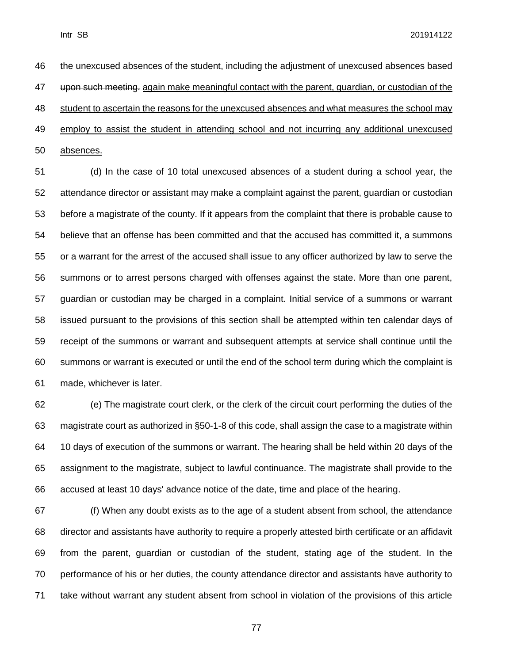the unexcused absences of the student, including the adjustment of unexcused absences based 47 upon such meeting. again make meaningful contact with the parent, guardian, or custodian of the student to ascertain the reasons for the unexcused absences and what measures the school may employ to assist the student in attending school and not incurring any additional unexcused absences.

 (d) In the case of 10 total unexcused absences of a student during a school year, the attendance director or assistant may make a complaint against the parent, guardian or custodian before a magistrate of the county. If it appears from the complaint that there is probable cause to believe that an offense has been committed and that the accused has committed it, a summons or a warrant for the arrest of the accused shall issue to any officer authorized by law to serve the summons or to arrest persons charged with offenses against the state. More than one parent, guardian or custodian may be charged in a complaint. Initial service of a summons or warrant issued pursuant to the provisions of this section shall be attempted within ten calendar days of receipt of the summons or warrant and subsequent attempts at service shall continue until the summons or warrant is executed or until the end of the school term during which the complaint is made, whichever is later.

 (e) The magistrate court clerk, or the clerk of the circuit court performing the duties of the magistrate court as authorized in §50-1-8 of this code, shall assign the case to a magistrate within 10 days of execution of the summons or warrant. The hearing shall be held within 20 days of the assignment to the magistrate, subject to lawful continuance. The magistrate shall provide to the accused at least 10 days' advance notice of the date, time and place of the hearing.

 (f) When any doubt exists as to the age of a student absent from school, the attendance director and assistants have authority to require a properly attested birth certificate or an affidavit from the parent, guardian or custodian of the student, stating age of the student. In the performance of his or her duties, the county attendance director and assistants have authority to take without warrant any student absent from school in violation of the provisions of this article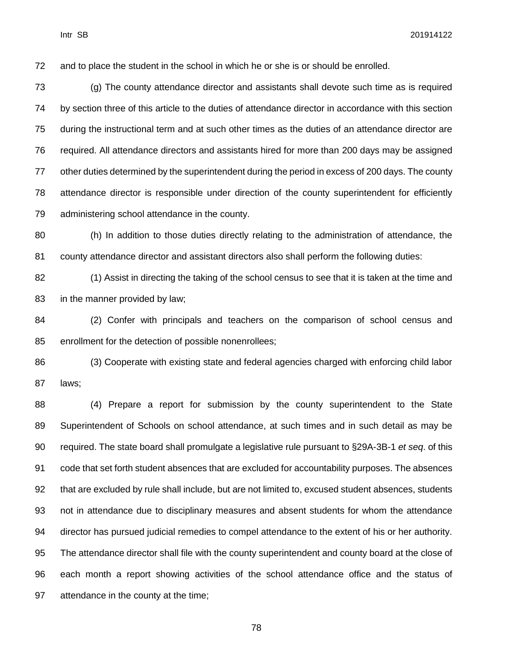and to place the student in the school in which he or she is or should be enrolled.

 (g) The county attendance director and assistants shall devote such time as is required by section three of this article to the duties of attendance director in accordance with this section during the instructional term and at such other times as the duties of an attendance director are required. All attendance directors and assistants hired for more than 200 days may be assigned other duties determined by the superintendent during the period in excess of 200 days. The county attendance director is responsible under direction of the county superintendent for efficiently administering school attendance in the county.

 (h) In addition to those duties directly relating to the administration of attendance, the county attendance director and assistant directors also shall perform the following duties:

 (1) Assist in directing the taking of the school census to see that it is taken at the time and in the manner provided by law;

 (2) Confer with principals and teachers on the comparison of school census and enrollment for the detection of possible nonenrollees;

 (3) Cooperate with existing state and federal agencies charged with enforcing child labor laws;

 (4) Prepare a report for submission by the county superintendent to the State Superintendent of Schools on school attendance, at such times and in such detail as may be required. The state board shall promulgate a legislative rule pursuant to §29A-3B-1 *et seq*. of this code that set forth student absences that are excluded for accountability purposes. The absences that are excluded by rule shall include, but are not limited to, excused student absences, students not in attendance due to disciplinary measures and absent students for whom the attendance director has pursued judicial remedies to compel attendance to the extent of his or her authority. The attendance director shall file with the county superintendent and county board at the close of each month a report showing activities of the school attendance office and the status of attendance in the county at the time;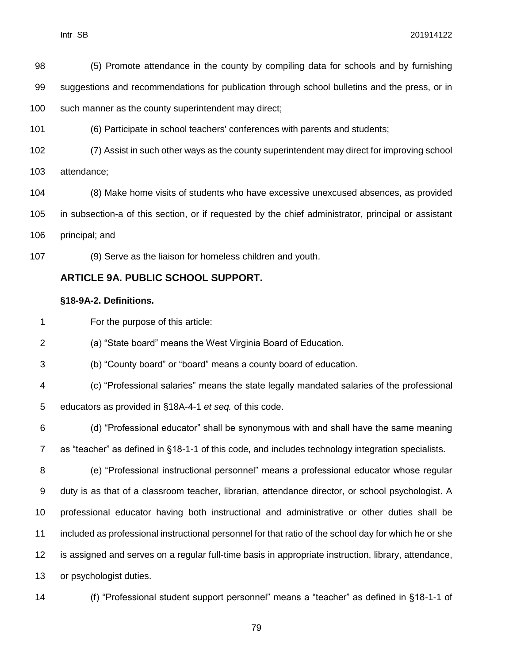(5) Promote attendance in the county by compiling data for schools and by furnishing suggestions and recommendations for publication through school bulletins and the press, or in such manner as the county superintendent may direct;

(6) Participate in school teachers' conferences with parents and students;

(7) Assist in such other ways as the county superintendent may direct for improving school

attendance;

 (8) Make home visits of students who have excessive unexcused absences, as provided in subsection-a of this section, or if requested by the chief administrator, principal or assistant principal; and

(9) Serve as the liaison for homeless children and youth.

#### **ARTICLE 9A. PUBLIC SCHOOL SUPPORT.**

#### **§18-9A-2. Definitions.**

For the purpose of this article:

(a) "State board" means the West Virginia Board of Education.

(b) "County board" or "board" means a county board of education.

 (c) "Professional salaries" means the state legally mandated salaries of the professional educators as provided in §18A-4-1 *et seq.* of this code.

 (d) "Professional educator" shall be synonymous with and shall have the same meaning as "teacher" as defined in §18-1-1 of this code, and includes technology integration specialists.

 (e) "Professional instructional personnel" means a professional educator whose regular duty is as that of a classroom teacher, librarian, attendance director, or school psychologist. A professional educator having both instructional and administrative or other duties shall be included as professional instructional personnel for that ratio of the school day for which he or she is assigned and serves on a regular full-time basis in appropriate instruction, library, attendance, or psychologist duties.



(f) "Professional student support personnel" means a "teacher" as defined in §18-1-1 of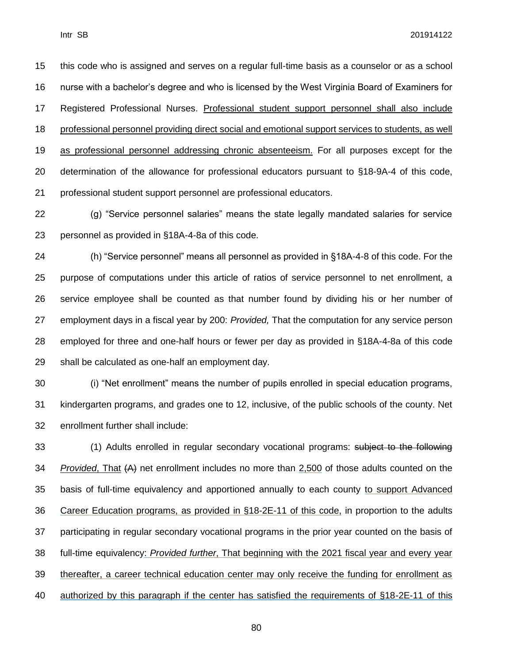this code who is assigned and serves on a regular full-time basis as a counselor or as a school nurse with a bachelor's degree and who is licensed by the West Virginia Board of Examiners for Registered Professional Nurses. Professional student support personnel shall also include professional personnel providing direct social and emotional support services to students, as well as professional personnel addressing chronic absenteeism. For all purposes except for the determination of the allowance for professional educators pursuant to §18-9A-4 of this code, professional student support personnel are professional educators.

 (g) "Service personnel salaries" means the state legally mandated salaries for service personnel as provided in §18A-4-8a of this code.

 (h) "Service personnel" means all personnel as provided in §18A-4-8 of this code. For the purpose of computations under this article of ratios of service personnel to net enrollment, a service employee shall be counted as that number found by dividing his or her number of employment days in a fiscal year by 200: *Provided,* That the computation for any service person employed for three and one-half hours or fewer per day as provided in §18A-4-8a of this code shall be calculated as one-half an employment day.

 (i) "Net enrollment" means the number of pupils enrolled in special education programs, kindergarten programs, and grades one to 12, inclusive, of the public schools of the county. Net enrollment further shall include:

 (1) Adults enrolled in regular secondary vocational programs: subject to the following *Provided*, That (A) net enrollment includes no more than 2,500 of those adults counted on the basis of full-time equivalency and apportioned annually to each county to support Advanced Career Education programs, as provided in §18-2E-11 of this code, in proportion to the adults participating in regular secondary vocational programs in the prior year counted on the basis of full-time equivalency: *Provided further*, That beginning with the 2021 fiscal year and every year thereafter, a career technical education center may only receive the funding for enrollment as authorized by this paragraph if the center has satisfied the requirements of §18-2E-11 of this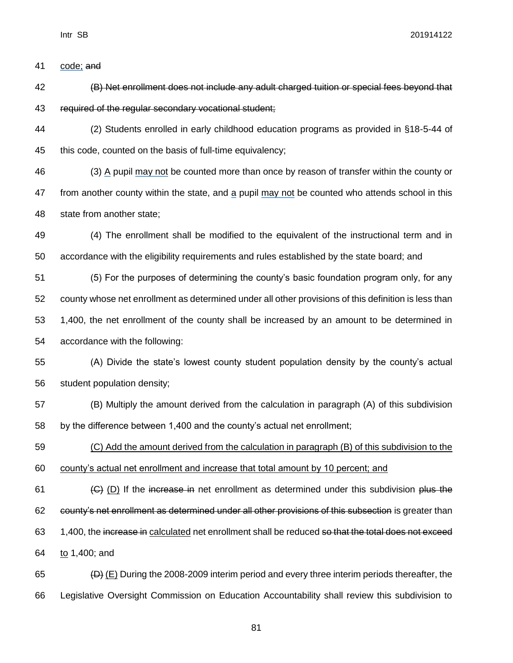41 code: and

- (B) Net enrollment does not include any adult charged tuition or special fees beyond that required of the regular secondary vocational student;
- (2) Students enrolled in early childhood education programs as provided in §18-5-44 of this code, counted on the basis of full-time equivalency;
- (3) A pupil may not be counted more than once by reason of transfer within the county or from another county within the state, and a pupil may not be counted who attends school in this state from another state;
- (4) The enrollment shall be modified to the equivalent of the instructional term and in accordance with the eligibility requirements and rules established by the state board; and
- (5) For the purposes of determining the county's basic foundation program only, for any county whose net enrollment as determined under all other provisions of this definition is less than 1,400, the net enrollment of the county shall be increased by an amount to be determined in accordance with the following:
- (A) Divide the state's lowest county student population density by the county's actual student population density;
- (B) Multiply the amount derived from the calculation in paragraph (A) of this subdivision by the difference between 1,400 and the county's actual net enrollment;
- (C) Add the amount derived from the calculation in paragraph (B) of this subdivision to the county's actual net enrollment and increase that total amount by 10 percent; and
- 61  $(G)$  (D) If the increase in net enrollment as determined under this subdivision plus the county's net enrollment as determined under all other provisions of this subsection is greater than 63 1,400, the increase in calculated net enrollment shall be reduced so that the total does not exceed to 1,400; and
- 65  $\left(\text{D}\right)$  (E) During the 2008-2009 interim period and every three interim periods thereafter, the Legislative Oversight Commission on Education Accountability shall review this subdivision to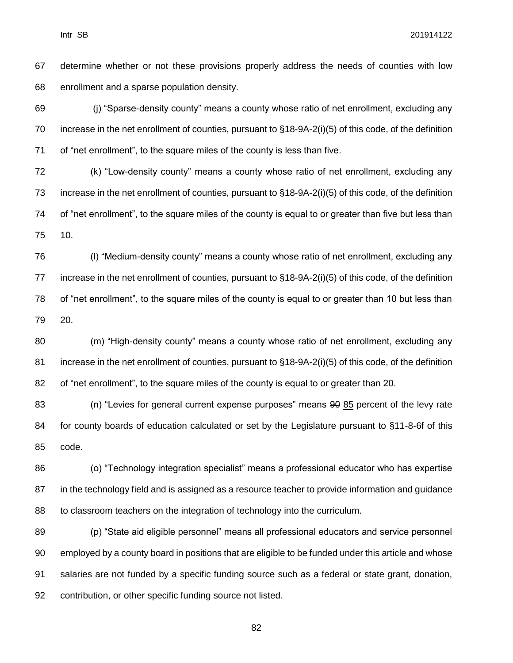67 determine whether or not these provisions properly address the needs of counties with low enrollment and a sparse population density.

 (j) "Sparse-density county" means a county whose ratio of net enrollment, excluding any increase in the net enrollment of counties, pursuant to §18-9A-2(i)(5) of this code, of the definition of "net enrollment", to the square miles of the county is less than five.

 (k) "Low-density county" means a county whose ratio of net enrollment, excluding any increase in the net enrollment of counties, pursuant to §18-9A-2(i)(5) of this code, of the definition of "net enrollment", to the square miles of the county is equal to or greater than five but less than 10.

 (l) "Medium-density county" means a county whose ratio of net enrollment, excluding any increase in the net enrollment of counties, pursuant to §18-9A-2(i)(5) of this code, of the definition of "net enrollment", to the square miles of the county is equal to or greater than 10 but less than 20.

 (m) "High-density county" means a county whose ratio of net enrollment, excluding any increase in the net enrollment of counties, pursuant to §18-9A-2(i)(5) of this code, of the definition of "net enrollment", to the square miles of the county is equal to or greater than 20.

 (n) "Levies for general current expense purposes" means 90 85 percent of the levy rate for county boards of education calculated or set by the Legislature pursuant to §11-8-6f of this code.

 (o) "Technology integration specialist" means a professional educator who has expertise in the technology field and is assigned as a resource teacher to provide information and guidance to classroom teachers on the integration of technology into the curriculum.

 (p) "State aid eligible personnel" means all professional educators and service personnel employed by a county board in positions that are eligible to be funded under this article and whose salaries are not funded by a specific funding source such as a federal or state grant, donation, contribution, or other specific funding source not listed.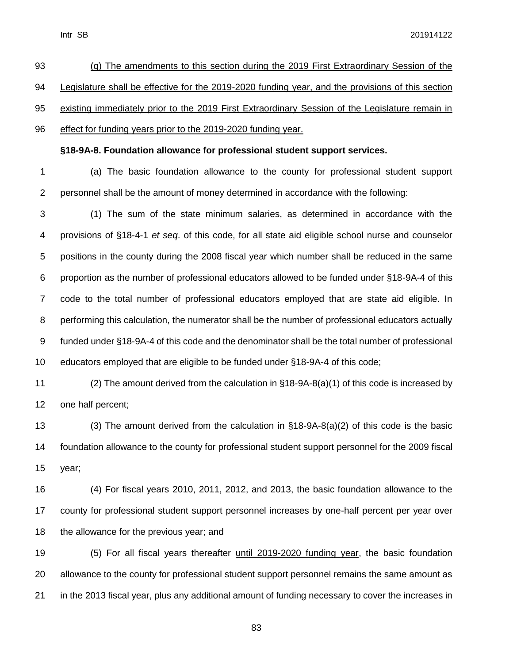| 93 | (q) The amendments to this section during the 2019 First Extraordinary Session of the             |
|----|---------------------------------------------------------------------------------------------------|
| 94 | Legislature shall be effective for the 2019-2020 funding year, and the provisions of this section |
| 95 | existing immediately prior to the 2019 First Extraordinary Session of the Legislature remain in   |
| 96 | effect for funding years prior to the 2019-2020 funding year.                                     |

#### **§18-9A-8. Foundation allowance for professional student support services.**

 (a) The basic foundation allowance to the county for professional student support personnel shall be the amount of money determined in accordance with the following:

 (1) The sum of the state minimum salaries, as determined in accordance with the provisions of §18-4-1 *et seq*. of this code, for all state aid eligible school nurse and counselor positions in the county during the 2008 fiscal year which number shall be reduced in the same proportion as the number of professional educators allowed to be funded under §18-9A-4 of this code to the total number of professional educators employed that are state aid eligible. In performing this calculation, the numerator shall be the number of professional educators actually funded under §18-9A-4 of this code and the denominator shall be the total number of professional educators employed that are eligible to be funded under §18-9A-4 of this code;

 (2) The amount derived from the calculation in §18-9A-8(a)(1) of this code is increased by one half percent;

 (3) The amount derived from the calculation in §18-9A-8(a)(2) of this code is the basic foundation allowance to the county for professional student support personnel for the 2009 fiscal year;

 (4) For fiscal years 2010, 2011, 2012, and 2013, the basic foundation allowance to the county for professional student support personnel increases by one-half percent per year over 18 the allowance for the previous year; and

 (5) For all fiscal years thereafter until 2019-2020 funding year, the basic foundation allowance to the county for professional student support personnel remains the same amount as in the 2013 fiscal year, plus any additional amount of funding necessary to cover the increases in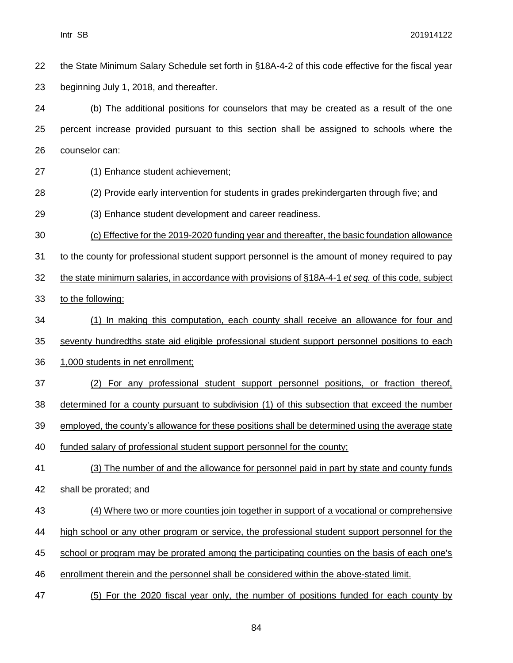the State Minimum Salary Schedule set forth in §18A-4-2 of this code effective for the fiscal year beginning July 1, 2018, and thereafter.

 (b) The additional positions for counselors that may be created as a result of the one percent increase provided pursuant to this section shall be assigned to schools where the counselor can:

- (1) Enhance student achievement;
- (2) Provide early intervention for students in grades prekindergarten through five; and
- (3) Enhance student development and career readiness.
- (c) Effective for the 2019-2020 funding year and thereafter, the basic foundation allowance
- to the county for professional student support personnel is the amount of money required to pay
- the state minimum salaries, in accordance with provisions of §18A-4-1 *et seq.* of this code, subject
- to the following:
- (1) In making this computation, each county shall receive an allowance for four and
- seventy hundredths state aid eligible professional student support personnel positions to each
- 1,000 students in net enrollment;
- (2) For any professional student support personnel positions, or fraction thereof,
- determined for a county pursuant to subdivision (1) of this subsection that exceed the number
- employed, the county's allowance for these positions shall be determined using the average state
- funded salary of professional student support personnel for the county;
- (3) The number of and the allowance for personnel paid in part by state and county funds
- shall be prorated; and
- (4) Where two or more counties join together in support of a vocational or comprehensive
- high school or any other program or service, the professional student support personnel for the
- school or program may be prorated among the participating counties on the basis of each one's
- enrollment therein and the personnel shall be considered within the above-stated limit.
- (5) For the 2020 fiscal year only, the number of positions funded for each county by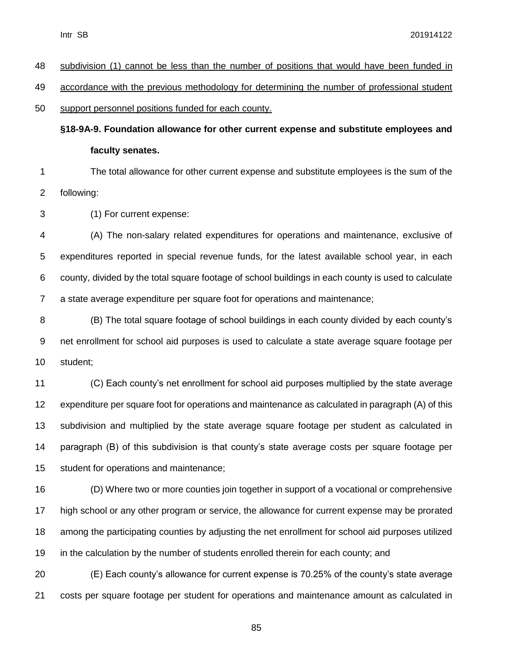| -48 | subdivision (1) cannot be less than the number of positions that would have been funded in  |
|-----|---------------------------------------------------------------------------------------------|
| -49 | accordance with the previous methodology for determining the number of professional student |
|     |                                                                                             |
| -50 | support personnel positions funded for each county.                                         |

**§18-9A-9. Foundation allowance for other current expense and substitute employees and faculty senates.**

 The total allowance for other current expense and substitute employees is the sum of the following:

(1) For current expense:

 (A) The non-salary related expenditures for operations and maintenance, exclusive of expenditures reported in special revenue funds, for the latest available school year, in each county, divided by the total square footage of school buildings in each county is used to calculate a state average expenditure per square foot for operations and maintenance;

 (B) The total square footage of school buildings in each county divided by each county's net enrollment for school aid purposes is used to calculate a state average square footage per student;

 (C) Each county's net enrollment for school aid purposes multiplied by the state average expenditure per square foot for operations and maintenance as calculated in paragraph (A) of this subdivision and multiplied by the state average square footage per student as calculated in paragraph (B) of this subdivision is that county's state average costs per square footage per student for operations and maintenance;

 (D) Where two or more counties join together in support of a vocational or comprehensive high school or any other program or service, the allowance for current expense may be prorated among the participating counties by adjusting the net enrollment for school aid purposes utilized in the calculation by the number of students enrolled therein for each county; and

 (E) Each county's allowance for current expense is 70.25% of the county's state average costs per square footage per student for operations and maintenance amount as calculated in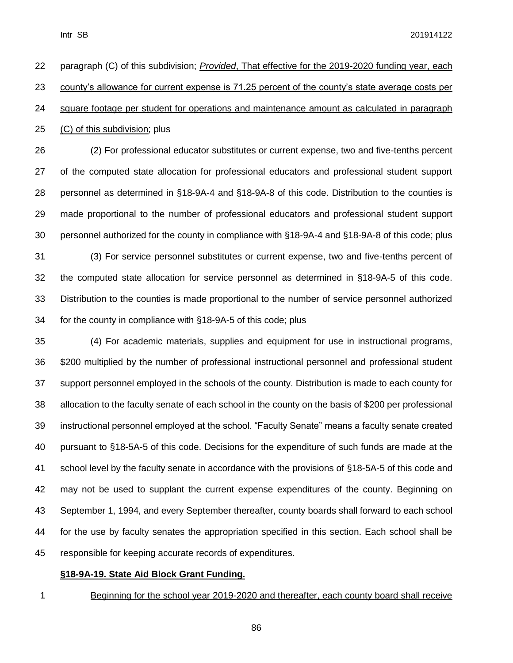paragraph (C) of this subdivision; *Provided*, That effective for the 2019-2020 funding year, each county's allowance for current expense is 71.25 percent of the county's state average costs per square footage per student for operations and maintenance amount as calculated in paragraph (C) of this subdivision; plus (2) For professional educator substitutes or current expense, two and five-tenths percent of the computed state allocation for professional educators and professional student support personnel as determined in §18-9A-4 and §18-9A-8 of this code. Distribution to the counties is made proportional to the number of professional educators and professional student support personnel authorized for the county in compliance with §18-9A-4 and §18-9A-8 of this code; plus

 (3) For service personnel substitutes or current expense, two and five-tenths percent of the computed state allocation for service personnel as determined in §18-9A-5 of this code. Distribution to the counties is made proportional to the number of service personnel authorized for the county in compliance with §18-9A-5 of this code; plus

 (4) For academic materials, supplies and equipment for use in instructional programs, \$200 multiplied by the number of professional instructional personnel and professional student support personnel employed in the schools of the county. Distribution is made to each county for allocation to the faculty senate of each school in the county on the basis of \$200 per professional instructional personnel employed at the school. "Faculty Senate" means a faculty senate created pursuant to §18-5A-5 of this code. Decisions for the expenditure of such funds are made at the school level by the faculty senate in accordance with the provisions of §18-5A-5 of this code and may not be used to supplant the current expense expenditures of the county. Beginning on September 1, 1994, and every September thereafter, county boards shall forward to each school for the use by faculty senates the appropriation specified in this section. Each school shall be responsible for keeping accurate records of expenditures.

#### **§18-9A-19. State Aid Block Grant Funding.**

Beginning for the school year 2019-2020 and thereafter, each county board shall receive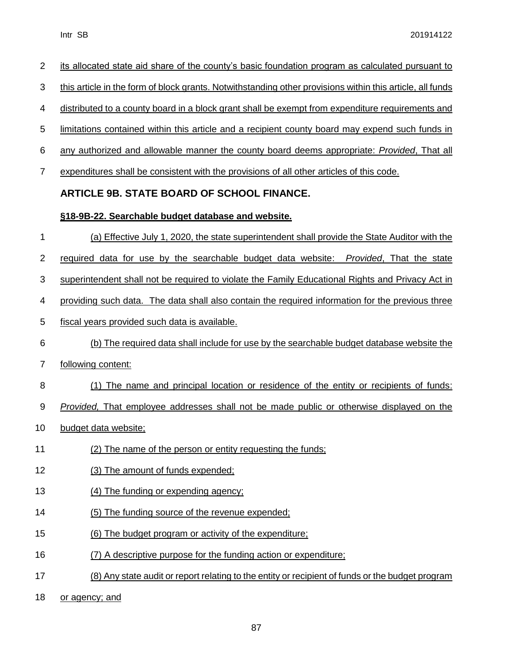| $\overline{2}$ | its allocated state aid share of the county's basic foundation program as calculated pursuant to          |
|----------------|-----------------------------------------------------------------------------------------------------------|
| 3              | this article in the form of block grants. Notwithstanding other provisions within this article, all funds |
| 4              | distributed to a county board in a block grant shall be exempt from expenditure requirements and          |
| 5              | limitations contained within this article and a recipient county board may expend such funds in           |
| 6              | any authorized and allowable manner the county board deems appropriate: Provided, That all                |
| $\overline{7}$ | expenditures shall be consistent with the provisions of all other articles of this code.                  |
|                | ARTICLE 9B. STATE BOARD OF SCHOOL FINANCE.                                                                |
|                | §18-9B-22. Searchable budget database and website.                                                        |
| 1              | (a) Effective July 1, 2020, the state superintendent shall provide the State Auditor with the             |
| 2              | required data for use by the searchable budget data website: Provided, That the state                     |
| 3              | superintendent shall not be required to violate the Family Educational Rights and Privacy Act in          |
| 4              | providing such data. The data shall also contain the required information for the previous three          |
| 5              | fiscal years provided such data is available.                                                             |
| 6              | (b) The required data shall include for use by the searchable budget database website the                 |
| $\overline{7}$ | following content:                                                                                        |
| 8              | (1) The name and principal location or residence of the entity or recipients of funds:                    |
| 9              | <i>Provided</i> , That employee addresses shall not be made public or otherwise displayed on the          |
| 10             | budget data website;                                                                                      |
| 11             | (2) The name of the person or entity requesting the funds:                                                |
| 12             | (3) The amount of funds expended;                                                                         |
| 13             | (4) The funding or expending agency;                                                                      |
| 14             | (5) The funding source of the revenue expended;                                                           |
| 15             | (6) The budget program or activity of the expenditure;                                                    |
| 16             | (7) A descriptive purpose for the funding action or expenditure;                                          |
| 17             | (8) Any state audit or report relating to the entity or recipient of funds or the budget program          |
|                |                                                                                                           |

18 or agency; and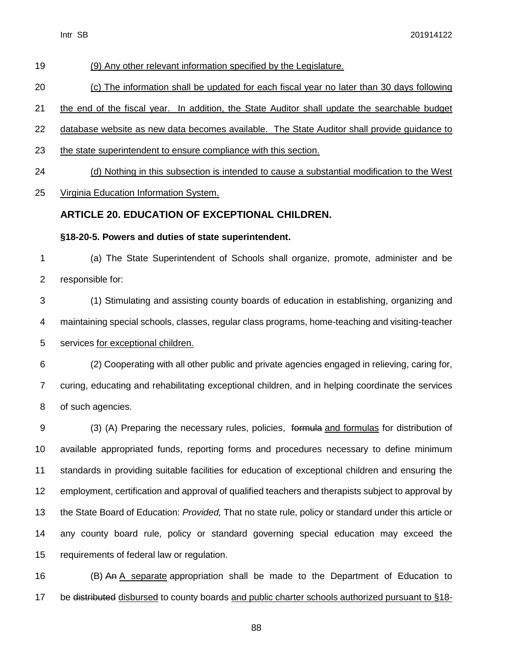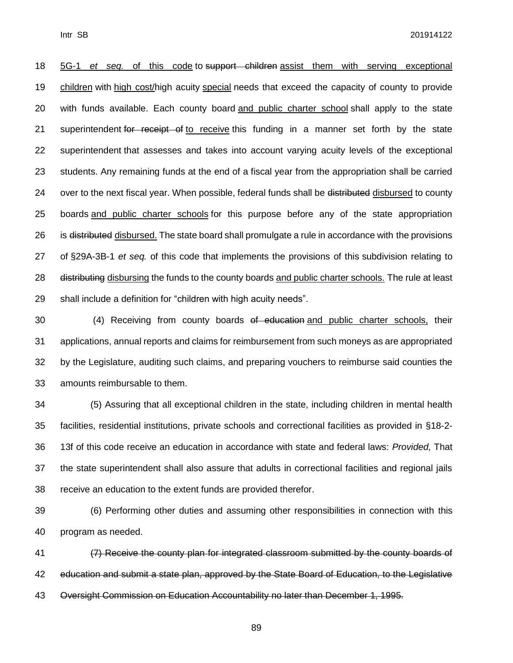5G-1 *et seq.* of this code to support children assist them with serving exceptional children with high cost/high acuity special needs that exceed the capacity of county to provide with funds available. Each county board and public charter school shall apply to the state 21 superintendent for receipt of to receive this funding in a manner set forth by the state superintendent that assesses and takes into account varying acuity levels of the exceptional students. Any remaining funds at the end of a fiscal year from the appropriation shall be carried 24 over to the next fiscal year. When possible, federal funds shall be distributed disbursed to county boards and public charter schools for this purpose before any of the state appropriation 26 is distributed disbursed. The state board shall promulgate a rule in accordance with the provisions of §29A-3B-1 *et seq.* of this code that implements the provisions of this subdivision relating to 28 distributing disbursing the funds to the county boards and public charter schools. The rule at least shall include a definition for "children with high acuity needs".

30 (4) Receiving from county boards of education and public charter schools, their applications, annual reports and claims for reimbursement from such moneys as are appropriated by the Legislature, auditing such claims, and preparing vouchers to reimburse said counties the amounts reimbursable to them.

 (5) Assuring that all exceptional children in the state, including children in mental health facilities, residential institutions, private schools and correctional facilities as provided in §18-2- 13f of this code receive an education in accordance with state and federal laws: *Provided,* That the state superintendent shall also assure that adults in correctional facilities and regional jails receive an education to the extent funds are provided therefor.

 (6) Performing other duties and assuming other responsibilities in connection with this program as needed.

 (7) Receive the county plan for integrated classroom submitted by the county boards of 42 education and submit a state plan, approved by the State Board of Education, to the Legislative Oversight Commission on Education Accountability no later than December 1, 1995.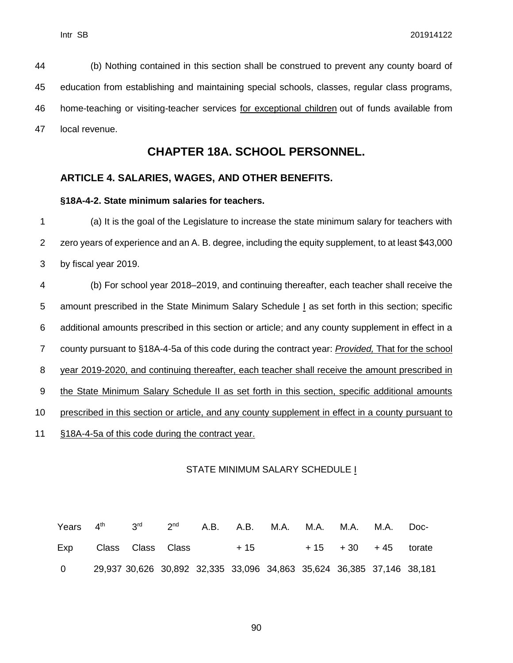(b) Nothing contained in this section shall be construed to prevent any county board of education from establishing and maintaining special schools, classes, regular class programs, home-teaching or visiting-teacher services for exceptional children out of funds available from local revenue.

## **CHAPTER 18A. SCHOOL PERSONNEL.**

#### **ARTICLE 4. SALARIES, WAGES, AND OTHER BENEFITS.**

#### **§18A-4-2. State minimum salaries for teachers.**

1 (a) It is the goal of the Legislature to increase the state minimum salary for teachers with 2 zero years of experience and an A. B. degree, including the equity supplement, to at least \$43,000 3 by fiscal year 2019.

 (b) For school year 2018–2019, and continuing thereafter, each teacher shall receive the 5 amount prescribed in the State Minimum Salary Schedule *I* as set forth in this section; specific additional amounts prescribed in this section or article; and any county supplement in effect in a county pursuant to §18A-4-5a of this code during the contract year: *Provided,* That for the school year 2019-2020, and continuing thereafter, each teacher shall receive the amount prescribed in 9 the State Minimum Salary Schedule II as set forth in this section, specific additional amounts prescribed in this section or article, and any county supplement in effect in a county pursuant to §18A-4-5a of this code during the contract year.

#### STATE MINIMUM SALARY SCHEDULE I

Years Exp  $4<sup>th</sup>$ Class 3 rd Class 2 nd Class A.B. A.B. + 15 M.A. M.A. + 15 M.A. + 30 M.A. + 45 Doctorate 0 29,937 30,626 30,892 32,335 33,096 34,863 35,624 36,385 37,146 38,181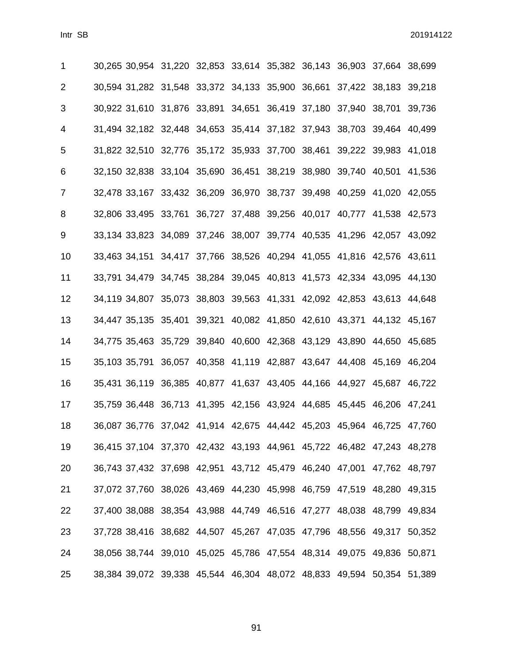| 1              | 30,265 30,954 31,220 32,853 33,614 35,382 36,143 36,903 37,664 38,699 |  |  |  |  |
|----------------|-----------------------------------------------------------------------|--|--|--|--|
| $\overline{2}$ | 30,594 31,282 31,548 33,372 34,133 35,900 36,661 37,422 38,183 39,218 |  |  |  |  |
| 3              | 30,922 31,610 31,876 33,891 34,651 36,419 37,180 37,940 38,701 39,736 |  |  |  |  |
| 4              | 31,494 32,182 32,448 34,653 35,414 37,182 37,943 38,703 39,464 40,499 |  |  |  |  |
| 5              | 31,822 32,510 32,776 35,172 35,933 37,700 38,461 39,222 39,983 41,018 |  |  |  |  |
| 6              | 32,150 32,838 33,104 35,690 36,451 38,219 38,980 39,740 40,501 41,536 |  |  |  |  |
| $\overline{7}$ | 32,478 33,167 33,432 36,209 36,970 38,737 39,498 40,259 41,020 42,055 |  |  |  |  |
| 8              | 32,806 33,495 33,761 36,727 37,488 39,256 40,017 40,777 41,538 42,573 |  |  |  |  |
| 9              | 33,134 33,823 34,089 37,246 38,007 39,774 40,535 41,296 42,057 43,092 |  |  |  |  |
| 10             | 33,463 34,151 34,417 37,766 38,526 40,294 41,055 41,816 42,576 43,611 |  |  |  |  |
| 11             | 33,791 34,479 34,745 38,284 39,045 40,813 41,573 42,334 43,095 44,130 |  |  |  |  |
| 12             | 34,119 34,807 35,073 38,803 39,563 41,331 42,092 42,853 43,613 44,648 |  |  |  |  |
| 13             | 34,447 35,135 35,401 39,321 40,082 41,850 42,610 43,371 44,132 45,167 |  |  |  |  |
| 14             | 34,775 35,463 35,729 39,840 40,600 42,368 43,129 43,890 44,650 45,685 |  |  |  |  |
| 15             | 35,103 35,791 36,057 40,358 41,119 42,887 43,647 44,408 45,169 46,204 |  |  |  |  |
| 16             | 35,431 36,119 36,385 40,877 41,637 43,405 44,166 44,927 45,687 46,722 |  |  |  |  |
| 17             | 35,759 36,448 36,713 41,395 42,156 43,924 44,685 45,445 46,206 47,241 |  |  |  |  |
| 18             | 36,087 36,776 37,042 41,914 42,675 44,442 45,203 45,964 46,725 47,760 |  |  |  |  |
| 19             | 36,415 37,104 37,370 42,432 43,193 44,961 45,722 46,482 47,243 48,278 |  |  |  |  |
| 20             | 36,743 37,432 37,698 42,951 43,712 45,479 46,240 47,001 47,762 48,797 |  |  |  |  |
| 21             | 37,072 37,760 38,026 43,469 44,230 45,998 46,759 47,519 48,280 49,315 |  |  |  |  |
| 22             | 37,400 38,088 38,354 43,988 44,749 46,516 47,277 48,038 48,799 49,834 |  |  |  |  |
| 23             | 37,728 38,416 38,682 44,507 45,267 47,035 47,796 48,556 49,317 50,352 |  |  |  |  |
| 24             | 38,056 38,744 39,010 45,025 45,786 47,554 48,314 49,075 49,836 50,871 |  |  |  |  |
| 25             | 38,384 39,072 39,338 45,544 46,304 48,072 48,833 49,594 50,354 51,389 |  |  |  |  |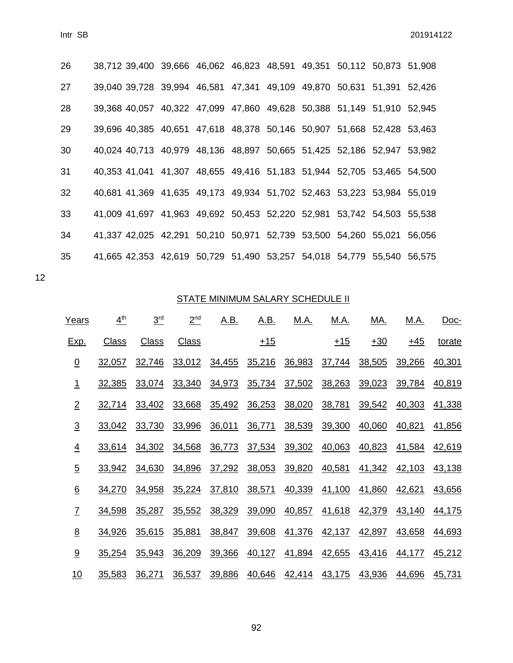| 26 | 38,712 39,400 39,666 46,062 46,823 48,591 49,351 50,112 50,873 51,908 |  |  |  |        |
|----|-----------------------------------------------------------------------|--|--|--|--------|
| 27 | 39,040 39,728 39,994 46,581 47,341 49,109 49,870 50,631 51,391 52,426 |  |  |  |        |
| 28 | 39,368 40,057 40,322 47,099 47,860 49,628 50,388 51,149 51,910 52,945 |  |  |  |        |
| 29 | 39,696 40,385 40,651 47,618 48,378 50,146 50,907 51,668 52,428 53,463 |  |  |  |        |
| 30 | 40,024 40,713 40,979 48,136 48,897 50,665 51,425 52,186 52,947 53,982 |  |  |  |        |
| 31 | 40,353 41,041 41,307 48,655 49,416 51,183 51,944 52,705 53,465 54,500 |  |  |  |        |
| 32 | 40,681 41,369 41,635 49,173 49,934 51,702 52,463 53,223 53,984 55,019 |  |  |  |        |
| 33 | 41,009 41,697 41,963 49,692 50,453 52,220 52,981 53,742 54,503 55,538 |  |  |  |        |
| 34 | 41,337 42,025 42,291 50,210 50,971 52,739 53,500 54,260 55,021        |  |  |  | 56,056 |
| 35 | 41,665 42,353 42,619 50,729 51,490 53,257 54,018 54,779 55,540 56,575 |  |  |  |        |

12

## STATE MINIMUM SALARY SCHEDULE II

| Years           | 4 <sup>th</sup> | 3 <sup>rd</sup> | 2 <sup>nd</sup> | <u>A.B.</u> | <u>A.B.</u> | <u>M.A.</u> | <u>M.A.</u> | <u>MA.</u> | <u>M.A.</u> | Doc-   |
|-----------------|-----------------|-----------------|-----------------|-------------|-------------|-------------|-------------|------------|-------------|--------|
| <u>Exp.</u>     | <b>Class</b>    | <b>Class</b>    | <b>Class</b>    |             | $+15$       |             | $+15$       | $+30$      | $+45$       | torate |
| $\overline{0}$  | 32,057          | 32,746          | 33,012          | 34,455      | 35,216      | 36,983      | 37,744      | 38,505     | 39,266      | 40,301 |
| <u> 1</u>       | 32,385          | 33,074          | 33,340          | 34,973      | 35,734      | 37,502      | 38,263      | 39,023     | 39,784      | 40,819 |
| $\overline{2}$  | 32,714          | 33,402          | 33,668          | 35,492      | 36,253      | 38,020      | 38,781      | 39,542     | 40,303      | 41,338 |
| $\overline{3}$  | 33,042          | 33,730          | 33,996          | 36,011      | 36,771      | 38,539      | 39,300      | 40,060     | 40,821      | 41,856 |
| $\overline{4}$  | 33,614          | 34,302          | 34,568          | 36,773      | 37,534      | 39,302      | 40,063      | 40,823     | 41,584      | 42,619 |
| $\overline{5}$  | 33,942          | 34,630          | 34,896          | 37,292      | 38,053      | 39,820      | 40,581      | 41,342     | 42,103      | 43,138 |
| $\underline{6}$ | 34,270          | 34,958          | 35,224          | 37,810      | 38,571      | 40,339      | 41,100      | 41,860     | 42,621      | 43,656 |
| $\overline{L}$  | 34,598          | 35,287          | 35,552          | 38,329      | 39,090      | 40,857      | 41,618      | 42,379     | 43,140      | 44,175 |
| $\underline{8}$ | 34,926          | 35,615          | 35,881          | 38,847      | 39,608      | 41,376      | 42,137      | 42,897     | 43,658      | 44,693 |
| 9               | 35,254          | 35,943          | 36,209          | 39,366      | 40,127      | 41,894      | 42,655      | 43,416     | 44,177      | 45,212 |
| 10              | 35,583          | 36,271          | 36,537          | 39,886      | 40,646      | 42,414      | 43,175      | 43,936     | 44,696      | 45,731 |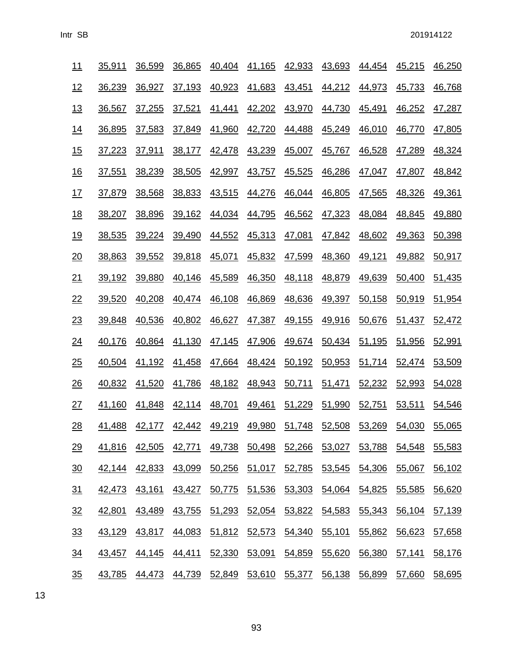| <u> 11</u>       | <u>35,911</u> | 36,599        | 36,865                                                                | 40,404        | 41,165        | 42,933        | 43,693        | 44,454        | 45,215        | 46,250 |
|------------------|---------------|---------------|-----------------------------------------------------------------------|---------------|---------------|---------------|---------------|---------------|---------------|--------|
| <u>12</u>        | 36,239        | 36,927        | 37,193                                                                | 40,923        | 41,683        | 43,451        | 44,212        | 44,973        | 45,733        | 46,768 |
| <u>13</u>        | 36,567        | 37,255        | 37,521                                                                | <u>41,441</u> | 42,202        | <u>43,970</u> | 44,730        | <u>45,491</u> | 46,252        | 47,287 |
| <u>14</u>        | 36,895        | 37,583        | 37,849                                                                | <u>41,960</u> | 42,720        | <u>44,488</u> | 45,249        | 46,010        | 46,770        | 47,805 |
| 15               | 37,223        | 37,911        | 38,177                                                                | 42,478        | 43,239        | <u>45,007</u> | 45,767        | 46,528        | 47,289        | 48,324 |
| <u>16</u>        | 37,551        | 38,239        | 38,505                                                                | 42,997        | 43,757        | 45,525        | 46,286        | 47,047        | 47,807        | 48,842 |
| <u> 17</u>       | 37,879        | 38,568        | 38,833                                                                | 43,515        | 44,276        | 46,044        | 46,805        | 47,565        | 48,326        | 49,361 |
| <u> 18</u>       | 38,207        | 38,896        | 39,162                                                                | 44,034        | 44,795        | 46,562        | 47,323        | 48,084        | 48,845        | 49,880 |
| <u>19</u>        | 38,535        | 39,224        | 39,490                                                                | 44,552        | 45,313        | 47,081        | 47,842        | 48,602        | 49,363        | 50,398 |
| 20               | 38,863        | 39,552        | 39,818                                                                | 45,071        | 45,832        | 47,599        | 48,360        | 49,121        | 49,882        | 50,917 |
| <u>21</u>        | 39,192        | 39,880        | 40,146                                                                | 45,589        | 46,350        | 48,118        | 48,879        | 49,639        | 50,400        | 51,435 |
| 22               | 39,520        | 40,208        | 40,474                                                                | 46,108        | 46,869        | 48,636        | 49,397        | 50,158        | 50,919        | 51,954 |
| 23               | <u>39,848</u> | 40,536        | 40,802                                                                | <u>46,627</u> |               | 47,387 49,155 | <u>49,916</u> | <u>50,676</u> | <u>51,437</u> | 52,472 |
| $\frac{24}{1}$   | 40,176        | 40,864        | 41,130                                                                | 47,145        | 47,906        | 49,674        | 50,434 51,195 |               | 51,956        | 52,991 |
| 25               | 40,504        | 41,192        | 41,458                                                                | 47,664        | 48,424        | 50,192        | 50,953        | 51,714        | 52,474        | 53,509 |
| $\frac{26}{5}$   | 40,832        | 41,520        | 41,786                                                                | 48,182        | 48,943        | 50,711        | 51,471        | 52,232        | 52,993        | 54,028 |
| 27               | 41,160        | 41,848        | <u>42,114</u>                                                         | 48,701        | 49,461        | 51,229        | 51,990        | 52,751        | 53,511        | 54,546 |
| 28               | 41,488        | <u>42,177</u> | <u>42,442</u>                                                         | <u>49,219</u> | <u>49,980</u> | 51,748        | <u>52,508</u> | <u>53,269</u> | 54,030        | 55,065 |
| 29               |               |               | <u>41,816 42,505 42,771 49,738 50,498 52,266 53,027 53,788 54,548</u> |               |               |               |               |               |               | 55,583 |
| $\underline{30}$ | 42,144        | 42,833        | 43,099                                                                | 50,256        | <u>51,017</u> |               | 52,785 53,545 | 54,306        | 55,067        | 56,102 |
| 31               | 42,473        | 43,161        | 43,427                                                                | 50,775        | 51,536        | 53,303        | 54,064        | 54,825        | 55,585        | 56,620 |
| 32               | 42,801        | 43,489        | <u>43,755</u>                                                         | 51,293        | <u>52,054</u> | 53,822 54,583 |               | 55,343        | 56,104        | 57,139 |
| 33               | 43,129        | <u>43,817</u> | 44,083                                                                | 51,812        | <u>52,573</u> | 54,340        | 55,101        | 55,862        | 56,623        | 57,658 |
| $\frac{34}{5}$   | 43,457        | 44,145        | 44,411                                                                | 52,330        | 53,091        | 54,859        | 55,620        | 56,380        | 57,141        | 58,176 |
| $\frac{35}{5}$   | <u>43,785</u> |               | <u>44,473 44,739 52,849 53,610 55,377 56,138 56,899</u>               |               |               |               |               |               | 57,660        | 58,695 |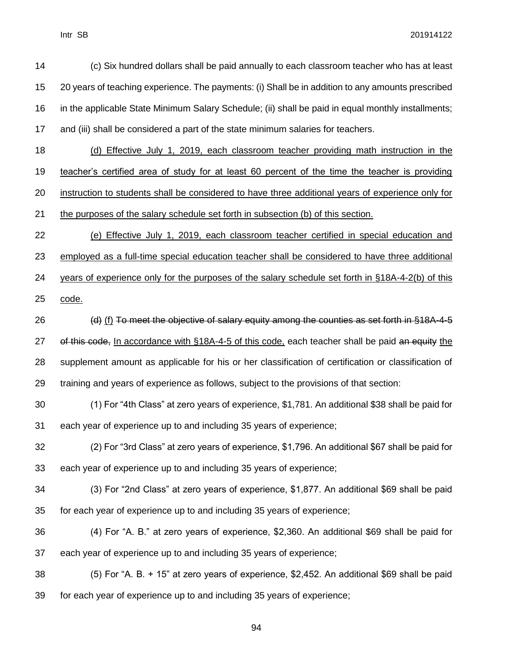(c) Six hundred dollars shall be paid annually to each classroom teacher who has at least 20 years of teaching experience. The payments: (i) Shall be in addition to any amounts prescribed in the applicable State Minimum Salary Schedule; (ii) shall be paid in equal monthly installments; and (iii) shall be considered a part of the state minimum salaries for teachers. (d) Effective July 1, 2019, each classroom teacher providing math instruction in the teacher's certified area of study for at least 60 percent of the time the teacher is providing instruction to students shall be considered to have three additional years of experience only for the purposes of the salary schedule set forth in subsection (b) of this section. (e) Effective July 1, 2019, each classroom teacher certified in special education and employed as a full-time special education teacher shall be considered to have three additional years of experience only for the purposes of the salary schedule set forth in §18A-4-2(b) of this code. 26 (d) (f) To meet the objective of salary equity among the counties as set forth in §18A-4-5 27 of this code, In accordance with §18A-4-5 of this code, each teacher shall be paid an equity the supplement amount as applicable for his or her classification of certification or classification of training and years of experience as follows, subject to the provisions of that section: (1) For "4th Class" at zero years of experience, \$1,781. An additional \$38 shall be paid for each year of experience up to and including 35 years of experience; (2) For "3rd Class" at zero years of experience, \$1,796. An additional \$67 shall be paid for each year of experience up to and including 35 years of experience; (3) For "2nd Class" at zero years of experience, \$1,877. An additional \$69 shall be paid for each year of experience up to and including 35 years of experience; (4) For "A. B." at zero years of experience, \$2,360. An additional \$69 shall be paid for each year of experience up to and including 35 years of experience; (5) For "A. B. + 15" at zero years of experience, \$2,452. An additional \$69 shall be paid for each year of experience up to and including 35 years of experience;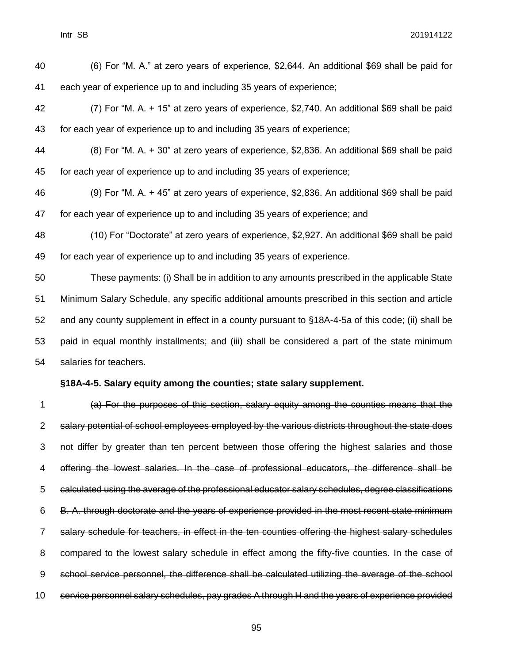(6) For "M. A." at zero years of experience, \$2,644. An additional \$69 shall be paid for each year of experience up to and including 35 years of experience; (7) For "M. A. + 15" at zero years of experience, \$2,740. An additional \$69 shall be paid for each year of experience up to and including 35 years of experience; (8) For "M. A. + 30" at zero years of experience, \$2,836. An additional \$69 shall be paid for each year of experience up to and including 35 years of experience; (9) For "M. A. + 45" at zero years of experience, \$2,836. An additional \$69 shall be paid for each year of experience up to and including 35 years of experience; and (10) For "Doctorate" at zero years of experience, \$2,927. An additional \$69 shall be paid for each year of experience up to and including 35 years of experience. These payments: (i) Shall be in addition to any amounts prescribed in the applicable State Minimum Salary Schedule, any specific additional amounts prescribed in this section and article and any county supplement in effect in a county pursuant to §18A-4-5a of this code; (ii) shall be paid in equal monthly installments; and (iii) shall be considered a part of the state minimum salaries for teachers. **§18A-4-5. Salary equity among the counties; state salary supplement.** (a) For the purposes of this section, salary equity among the counties means that the salary potential of school employees employed by the various districts throughout the state does

 not differ by greater than ten percent between those offering the highest salaries and those offering the lowest salaries. In the case of professional educators, the difference shall be calculated using the average of the professional educator salary schedules, degree classifications B. A. through doctorate and the years of experience provided in the most recent state minimum salary schedule for teachers, in effect in the ten counties offering the highest salary schedules compared to the lowest salary schedule in effect among the fifty-five counties. In the case of school service personnel, the difference shall be calculated utilizing the average of the school service personnel salary schedules, pay grades A through H and the years of experience provided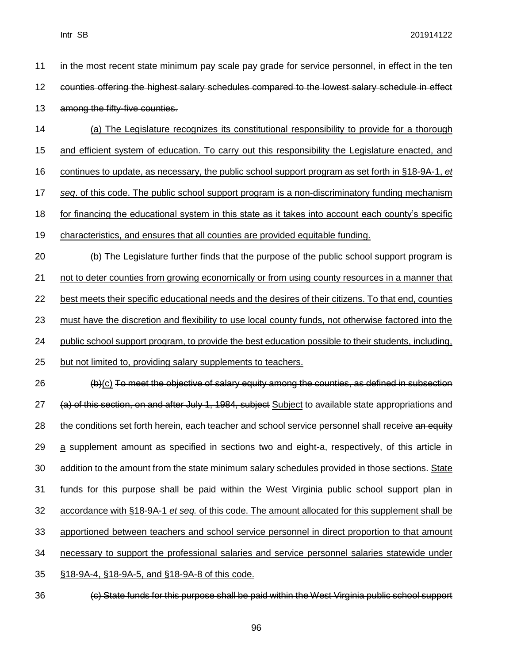| 11 | in the most recent state minimum pay scale pay grade for service personnel, in effect in the ten           |
|----|------------------------------------------------------------------------------------------------------------|
| 12 | counties offering the highest salary schedules compared to the lowest salary schedule in effect            |
| 13 | among the fifty-five counties.                                                                             |
| 14 | (a) The Legislature recognizes its constitutional responsibility to provide for a thorough                 |
| 15 | and efficient system of education. To carry out this responsibility the Legislature enacted, and           |
| 16 | continues to update, as necessary, the public school support program as set forth in §18-9A-1, et          |
| 17 | seq. of this code. The public school support program is a non-discriminatory funding mechanism             |
| 18 | for financing the educational system in this state as it takes into account each county's specific         |
| 19 | characteristics, and ensures that all counties are provided equitable funding.                             |
| 20 | (b) The Legislature further finds that the purpose of the public school support program is                 |
| 21 | not to deter counties from growing economically or from using county resources in a manner that            |
| 22 | best meets their specific educational needs and the desires of their citizens. To that end, counties       |
| 23 | <u>must have the discretion and flexibility to use local county funds, not otherwise factored into the</u> |
| 24 | public school support program, to provide the best education possible to their students, including,        |
| 25 | but not limited to, providing salary supplements to teachers.                                              |
| 26 | (b)(c) To meet the objective of salary equity among the counties, as defined in subsection                 |
| 27 | (a) of this section, on and after July 1, 1984, subject Subject to available state appropriations and      |
| 28 | the conditions set forth herein, each teacher and school service personnel shall receive an equity         |
| 29 | a supplement amount as specified in sections two and eight-a, respectively, of this article in             |
| 30 | addition to the amount from the state minimum salary schedules provided in those sections. State           |
| 31 | funds for this purpose shall be paid within the West Virginia public school support plan in                |
| 32 | accordance with §18-9A-1 et seq. of this code. The amount allocated for this supplement shall be           |
| 33 | apportioned between teachers and school service personnel in direct proportion to that amount              |
| 34 | necessary to support the professional salaries and service personnel salaries statewide under              |
| 35 | §18-9A-4, §18-9A-5, and §18-9A-8 of this code.                                                             |
| 36 | (c) State funds for this purpose shall be paid within the West Virginia public school support              |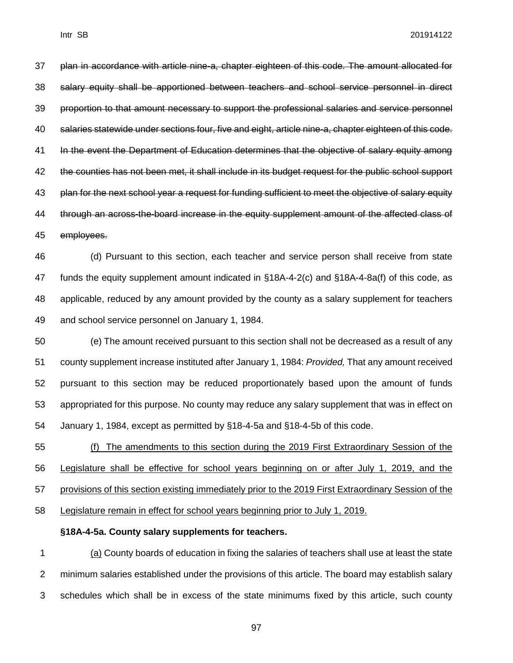plan in accordance with article nine-a, chapter eighteen of this code. The amount allocated for salary equity shall be apportioned between teachers and school service personnel in direct proportion to that amount necessary to support the professional salaries and service personnel salaries statewide under sections four, five and eight, article nine-a, chapter eighteen of this code. In the event the Department of Education determines that the objective of salary equity among the counties has not been met, it shall include in its budget request for the public school support 43 plan for the next school year a request for funding sufficient to meet the objective of salary equity through an across-the-board increase in the equity supplement amount of the affected class of employees.

 (d) Pursuant to this section, each teacher and service person shall receive from state funds the equity supplement amount indicated in §18A-4-2(c) and §18A-4-8a(f) of this code, as applicable, reduced by any amount provided by the county as a salary supplement for teachers and school service personnel on January 1, 1984.

 (e) The amount received pursuant to this section shall not be decreased as a result of any county supplement increase instituted after January 1, 1984: *Provided,* That any amount received pursuant to this section may be reduced proportionately based upon the amount of funds appropriated for this purpose. No county may reduce any salary supplement that was in effect on January 1, 1984, except as permitted by §18-4-5a and §18-4-5b of this code.

 (f) The amendments to this section during the 2019 First Extraordinary Session of the Legislature shall be effective for school years beginning on or after July 1, 2019, and the provisions of this section existing immediately prior to the 2019 First Extraordinary Session of the Legislature remain in effect for school years beginning prior to July 1, 2019.

#### **§18A-4-5a. County salary supplements for teachers.**

 (a) County boards of education in fixing the salaries of teachers shall use at least the state minimum salaries established under the provisions of this article. The board may establish salary schedules which shall be in excess of the state minimums fixed by this article, such county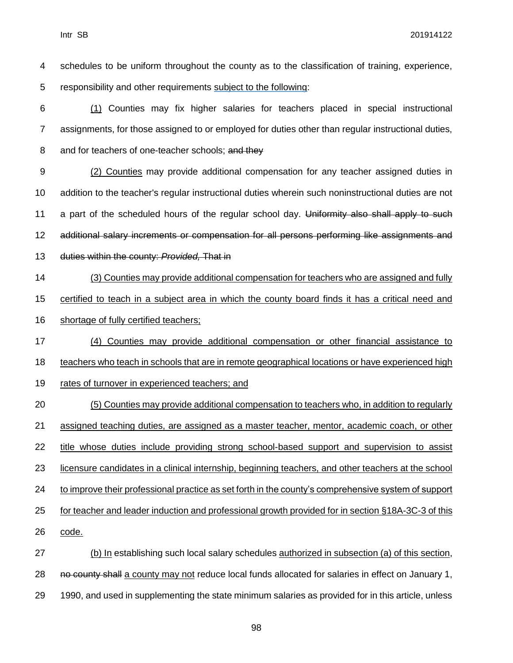| 4  | schedules to be uniform throughout the county as to the classification of training, experience,     |
|----|-----------------------------------------------------------------------------------------------------|
| 5  | responsibility and other requirements subject to the following:                                     |
| 6  | (1) Counties may fix higher salaries for teachers placed in special instructional                   |
| 7  | assignments, for those assigned to or employed for duties other than regular instructional duties,  |
| 8  | and for teachers of one-teacher schools; and they                                                   |
| 9  | (2) Counties may provide additional compensation for any teacher assigned duties in                 |
| 10 | addition to the teacher's regular instructional duties wherein such noninstructional duties are not |
| 11 | a part of the scheduled hours of the regular school day. Uniformity also shall apply to such        |
| 12 | additional salary increments or compensation for all persons performing like assignments and        |
| 13 | duties within the county: Provided, That in                                                         |
| 14 | (3) Counties may provide additional compensation for teachers who are assigned and fully            |
| 15 | certified to teach in a subject area in which the county board finds it has a critical need and     |
| 16 | shortage of fully certified teachers;                                                               |
| 17 | (4) Counties may provide additional compensation or other financial assistance to                   |
| 18 | teachers who teach in schools that are in remote geographical locations or have experienced high    |
|    |                                                                                                     |
| 19 | rates of turnover in experienced teachers; and                                                      |
| 20 | (5) Counties may provide additional compensation to teachers who, in addition to regularly          |
| 21 | assigned teaching duties, are assigned as a master teacher, mentor, academic coach, or other        |
| 22 | title whose duties include providing strong school-based support and supervision to assist          |
| 23 | licensure candidates in a clinical internship, beginning teachers, and other teachers at the school |
| 24 | to improve their professional practice as set forth in the county's comprehensive system of support |
| 25 | for teacher and leader induction and professional growth provided for in section §18A-3C-3 of this  |
| 26 | code.                                                                                               |
| 27 | (b) In establishing such local salary schedules authorized in subsection (a) of this section,       |
| 28 | no county shall a county may not reduce local funds allocated for salaries in effect on January 1,  |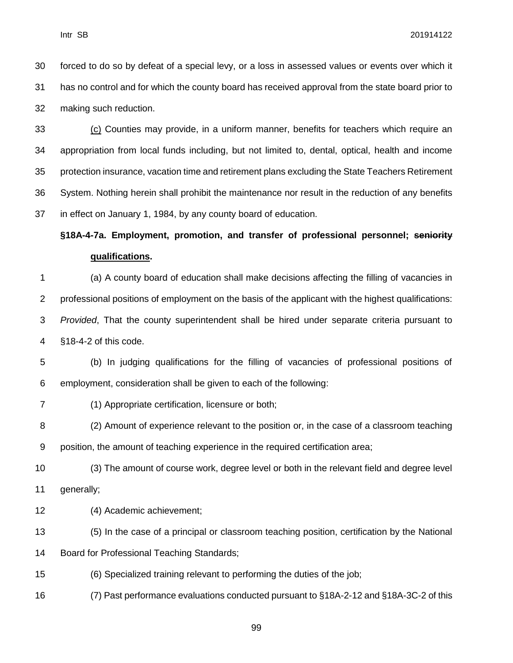forced to do so by defeat of a special levy, or a loss in assessed values or events over which it has no control and for which the county board has received approval from the state board prior to making such reduction.

 (c) Counties may provide, in a uniform manner, benefits for teachers which require an appropriation from local funds including, but not limited to, dental, optical, health and income protection insurance, vacation time and retirement plans excluding the State Teachers Retirement System. Nothing herein shall prohibit the maintenance nor result in the reduction of any benefits in effect on January 1, 1984, by any county board of education.

## **§18A-4-7a. Employment, promotion, and transfer of professional personnel; seniority qualifications.**

 (a) A county board of education shall make decisions affecting the filling of vacancies in professional positions of employment on the basis of the applicant with the highest qualifications: *Provided*, That the county superintendent shall be hired under separate criteria pursuant to §18-4-2 of this code.

 (b) In judging qualifications for the filling of vacancies of professional positions of employment, consideration shall be given to each of the following:

#### (1) Appropriate certification, licensure or both;

 (2) Amount of experience relevant to the position or, in the case of a classroom teaching position, the amount of teaching experience in the required certification area;

 (3) The amount of course work, degree level or both in the relevant field and degree level generally;

(4) Academic achievement;

 (5) In the case of a principal or classroom teaching position, certification by the National Board for Professional Teaching Standards;

(6) Specialized training relevant to performing the duties of the job;

(7) Past performance evaluations conducted pursuant to §18A-2-12 and §18A-3C-2 of this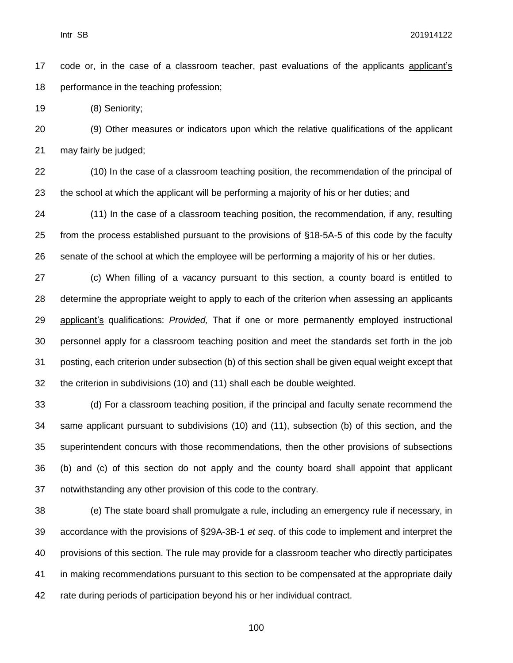17 code or, in the case of a classroom teacher, past evaluations of the applicants applicant's performance in the teaching profession;

(8) Seniority;

 (9) Other measures or indicators upon which the relative qualifications of the applicant may fairly be judged;

 (10) In the case of a classroom teaching position, the recommendation of the principal of the school at which the applicant will be performing a majority of his or her duties; and

 (11) In the case of a classroom teaching position, the recommendation, if any, resulting from the process established pursuant to the provisions of §18-5A-5 of this code by the faculty senate of the school at which the employee will be performing a majority of his or her duties.

 (c) When filling of a vacancy pursuant to this section, a county board is entitled to 28 determine the appropriate weight to apply to each of the criterion when assessing an applicants applicant's qualifications: *Provided,* That if one or more permanently employed instructional personnel apply for a classroom teaching position and meet the standards set forth in the job posting, each criterion under subsection (b) of this section shall be given equal weight except that the criterion in subdivisions (10) and (11) shall each be double weighted.

 (d) For a classroom teaching position, if the principal and faculty senate recommend the same applicant pursuant to subdivisions (10) and (11), subsection (b) of this section, and the superintendent concurs with those recommendations, then the other provisions of subsections (b) and (c) of this section do not apply and the county board shall appoint that applicant notwithstanding any other provision of this code to the contrary.

 (e) The state board shall promulgate a rule, including an emergency rule if necessary, in accordance with the provisions of §29A-3B-1 *et seq*. of this code to implement and interpret the provisions of this section. The rule may provide for a classroom teacher who directly participates in making recommendations pursuant to this section to be compensated at the appropriate daily rate during periods of participation beyond his or her individual contract.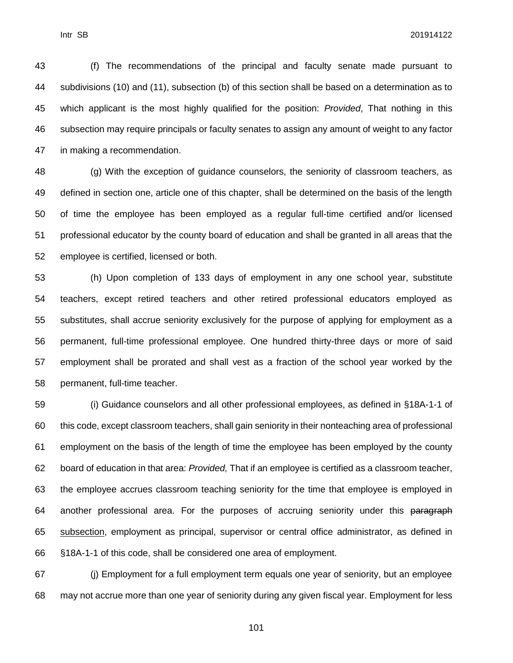(f) The recommendations of the principal and faculty senate made pursuant to subdivisions (10) and (11), subsection (b) of this section shall be based on a determination as to which applicant is the most highly qualified for the position: *Provided*, That nothing in this subsection may require principals or faculty senates to assign any amount of weight to any factor in making a recommendation.

 (g) With the exception of guidance counselors, the seniority of classroom teachers, as defined in section one, article one of this chapter, shall be determined on the basis of the length of time the employee has been employed as a regular full-time certified and/or licensed professional educator by the county board of education and shall be granted in all areas that the employee is certified, licensed or both.

 (h) Upon completion of 133 days of employment in any one school year, substitute teachers, except retired teachers and other retired professional educators employed as substitutes, shall accrue seniority exclusively for the purpose of applying for employment as a permanent, full-time professional employee. One hundred thirty-three days or more of said employment shall be prorated and shall vest as a fraction of the school year worked by the permanent, full-time teacher.

 (i) Guidance counselors and all other professional employees, as defined in §18A-1-1 of this code, except classroom teachers, shall gain seniority in their nonteaching area of professional employment on the basis of the length of time the employee has been employed by the county board of education in that area: *Provided,* That if an employee is certified as a classroom teacher, the employee accrues classroom teaching seniority for the time that employee is employed in 64 another professional area. For the purposes of accruing seniority under this paragraph subsection, employment as principal, supervisor or central office administrator, as defined in §18A-1-1 of this code, shall be considered one area of employment.

 (j) Employment for a full employment term equals one year of seniority, but an employee may not accrue more than one year of seniority during any given fiscal year. Employment for less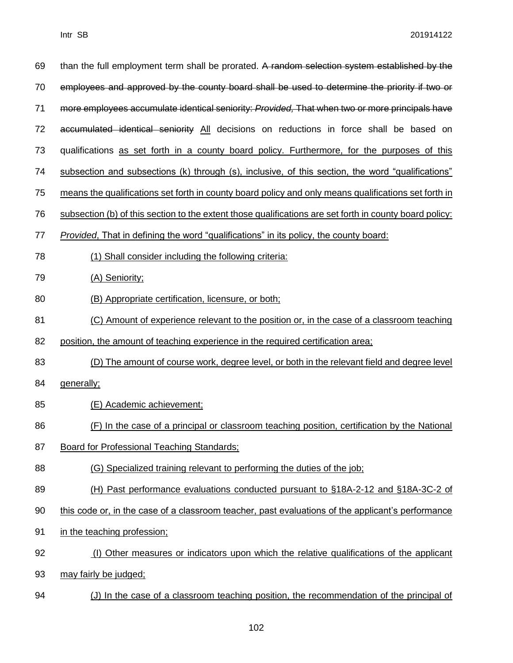| 69 | than the full employment term shall be prorated. A random selection system established by the           |
|----|---------------------------------------------------------------------------------------------------------|
| 70 | employees and approved by the county board shall be used to determine the priority if two or            |
| 71 | more employees accumulate identical seniority: Provided, That when two or more principals have          |
| 72 | accumulated identical seniority All decisions on reductions in force shall be based on                  |
| 73 | qualifications as set forth in a county board policy. Furthermore, for the purposes of this             |
| 74 | subsection and subsections (k) through (s), inclusive, of this section, the word "qualifications"       |
| 75 | means the qualifications set forth in county board policy and only means qualifications set forth in    |
| 76 | subsection (b) of this section to the extent those qualifications are set forth in county board policy: |
| 77 | Provided, That in defining the word "qualifications" in its policy, the county board:                   |
| 78 | (1) Shall consider including the following criteria:                                                    |
| 79 | (A) Seniority;                                                                                          |
| 80 | (B) Appropriate certification, licensure, or both;                                                      |
| 81 | (C) Amount of experience relevant to the position or, in the case of a classroom teaching               |
| 82 | position, the amount of teaching experience in the required certification area;                         |
| 83 | (D) The amount of course work, degree level, or both in the relevant field and degree level             |
| 84 | generally;                                                                                              |
| 85 | (E) Academic achievement;                                                                               |
| 86 | (F) In the case of a principal or classroom teaching position, certification by the National            |
| 87 | Board for Professional Teaching Standards;                                                              |
| 88 | (G) Specialized training relevant to performing the duties of the job:                                  |
| 89 | (H) Past performance evaluations conducted pursuant to §18A-2-12 and §18A-3C-2 of                       |
| 90 | this code or, in the case of a classroom teacher, past evaluations of the applicant's performance       |
| 91 | in the teaching profession;                                                                             |
| 92 | (I) Other measures or indicators upon which the relative qualifications of the applicant                |
| 93 | may fairly be judged;                                                                                   |
| 94 | (J) In the case of a classroom teaching position, the recommendation of the principal of                |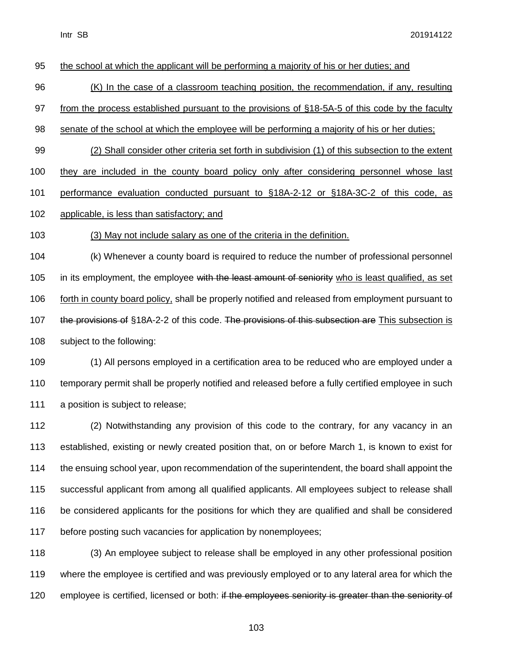(K) In the case of a classroom teaching position, the recommendation, if any, resulting from the process established pursuant to the provisions of §18-5A-5 of this code by the faculty senate of the school at which the employee will be performing a majority of his or her duties; (2) Shall consider other criteria set forth in subdivision (1) of this subsection to the extent they are included in the county board policy only after considering personnel whose last performance evaluation conducted pursuant to §18A-2-12 or §18A-3C-2 of this code, as applicable, is less than satisfactory; and (3) May not include salary as one of the criteria in the definition.

the school at which the applicant will be performing a majority of his or her duties; and

 (k) Whenever a county board is required to reduce the number of professional personnel 105 in its employment, the employee with the least amount of seniority who is least qualified, as set 106 forth in county board policy, shall be properly notified and released from employment pursuant to 107 the provisions of §18A-2-2 of this code. The provisions of this subsection are This subsection is subject to the following:

 (1) All persons employed in a certification area to be reduced who are employed under a temporary permit shall be properly notified and released before a fully certified employee in such 111 a position is subject to release;

 (2) Notwithstanding any provision of this code to the contrary, for any vacancy in an established, existing or newly created position that, on or before March 1, is known to exist for the ensuing school year, upon recommendation of the superintendent, the board shall appoint the successful applicant from among all qualified applicants. All employees subject to release shall be considered applicants for the positions for which they are qualified and shall be considered before posting such vacancies for application by nonemployees;

 (3) An employee subject to release shall be employed in any other professional position where the employee is certified and was previously employed or to any lateral area for which the 120 employee is certified, licensed or both: if the employees seniority is greater than the seniority of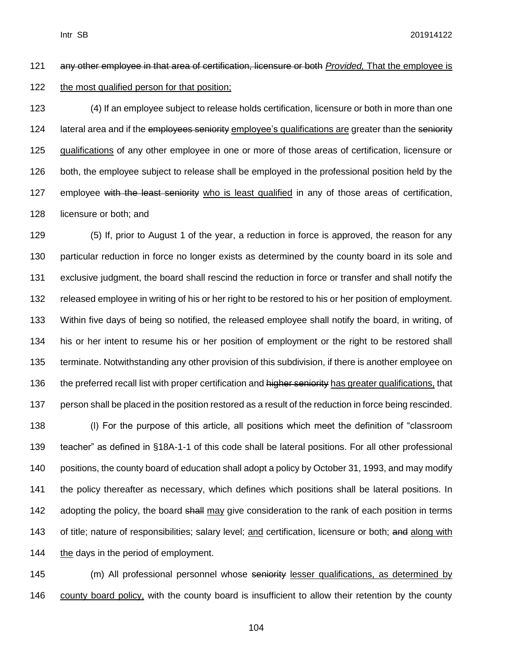any other employee in that area of certification, licensure or both *Provided,* That the employee is the most qualified person for that position;

 (4) If an employee subject to release holds certification, licensure or both in more than one 124 lateral area and if the employees seniority employee's qualifications are greater than the seniority qualifications of any other employee in one or more of those areas of certification, licensure or 126 both, the employee subject to release shall be employed in the professional position held by the 127 employee with the least seniority who is least qualified in any of those areas of certification, licensure or both; and

 (5) If, prior to August 1 of the year, a reduction in force is approved, the reason for any particular reduction in force no longer exists as determined by the county board in its sole and exclusive judgment, the board shall rescind the reduction in force or transfer and shall notify the released employee in writing of his or her right to be restored to his or her position of employment. Within five days of being so notified, the released employee shall notify the board, in writing, of his or her intent to resume his or her position of employment or the right to be restored shall terminate. Notwithstanding any other provision of this subdivision, if there is another employee on 136 the preferred recall list with proper certification and higher seniority has greater qualifications, that 137 person shall be placed in the position restored as a result of the reduction in force being rescinded. (l) For the purpose of this article, all positions which meet the definition of "classroom teacher" as defined in §18A-1-1 of this code shall be lateral positions. For all other professional positions, the county board of education shall adopt a policy by October 31, 1993, and may modify the policy thereafter as necessary, which defines which positions shall be lateral positions. In 142 adopting the policy, the board shall may give consideration to the rank of each position in terms 143 of title; nature of responsibilities; salary level; and certification, licensure or both; and along with 144 the days in the period of employment.

145 (m) All professional personnel whose seniority lesser qualifications, as determined by county board policy, with the county board is insufficient to allow their retention by the county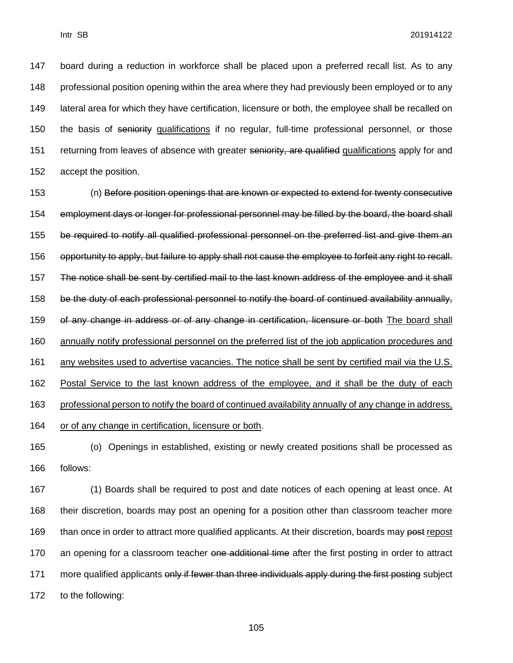147 board during a reduction in workforce shall be placed upon a preferred recall list. As to any 148 professional position opening within the area where they had previously been employed or to any 149 lateral area for which they have certification, licensure or both, the employee shall be recalled on 150 the basis of seniority qualifications if no regular, full-time professional personnel, or those 151 returning from leaves of absence with greater seniority, are qualified qualifications apply for and 152 accept the position.

153 (n) Before position openings that are known or expected to extend for twenty consecutive 154 employment days or longer for professional personnel may be filled by the board, the board shall 155 be required to notify all qualified professional personnel on the preferred list and give them an 156 opportunity to apply, but failure to apply shall not cause the employee to forfeit any right to recall. 157 The notice shall be sent by certified mail to the last known address of the employee and it shall 158 be the duty of each professional personnel to notify the board of continued availability annually, 159 of any change in address or of any change in certification, licensure or both The board shall 160 annually notify professional personnel on the preferred list of the job application procedures and 161 any websites used to advertise vacancies. The notice shall be sent by certified mail via the U.S. 162 Postal Service to the last known address of the employee, and it shall be the duty of each 163 professional person to notify the board of continued availability annually of any change in address, 164 or of any change in certification, licensure or both.

165 (o) Openings in established, existing or newly created positions shall be processed as 166 follows:

167 (1) Boards shall be required to post and date notices of each opening at least once. At 168 their discretion, boards may post an opening for a position other than classroom teacher more 169 than once in order to attract more qualified applicants. At their discretion, boards may post repost 170 an opening for a classroom teacher one additional time after the first posting in order to attract 171 more qualified applicants only if fewer than three individuals apply during the first posting subject 172 to the following: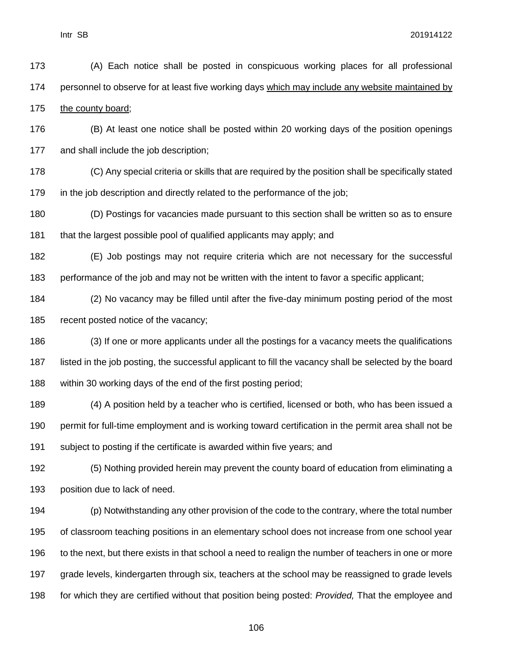(A) Each notice shall be posted in conspicuous working places for all professional personnel to observe for at least five working days which may include any website maintained by the county board;

 (B) At least one notice shall be posted within 20 working days of the position openings and shall include the job description;

 (C) Any special criteria or skills that are required by the position shall be specifically stated in the job description and directly related to the performance of the job;

(D) Postings for vacancies made pursuant to this section shall be written so as to ensure

181 that the largest possible pool of qualified applicants may apply; and

 (E) Job postings may not require criteria which are not necessary for the successful performance of the job and may not be written with the intent to favor a specific applicant;

 (2) No vacancy may be filled until after the five-day minimum posting period of the most recent posted notice of the vacancy;

 (3) If one or more applicants under all the postings for a vacancy meets the qualifications listed in the job posting, the successful applicant to fill the vacancy shall be selected by the board within 30 working days of the end of the first posting period;

 (4) A position held by a teacher who is certified, licensed or both, who has been issued a permit for full-time employment and is working toward certification in the permit area shall not be subject to posting if the certificate is awarded within five years; and

 (5) Nothing provided herein may prevent the county board of education from eliminating a position due to lack of need.

 (p) Notwithstanding any other provision of the code to the contrary, where the total number of classroom teaching positions in an elementary school does not increase from one school year to the next, but there exists in that school a need to realign the number of teachers in one or more grade levels, kindergarten through six, teachers at the school may be reassigned to grade levels for which they are certified without that position being posted: *Provided,* That the employee and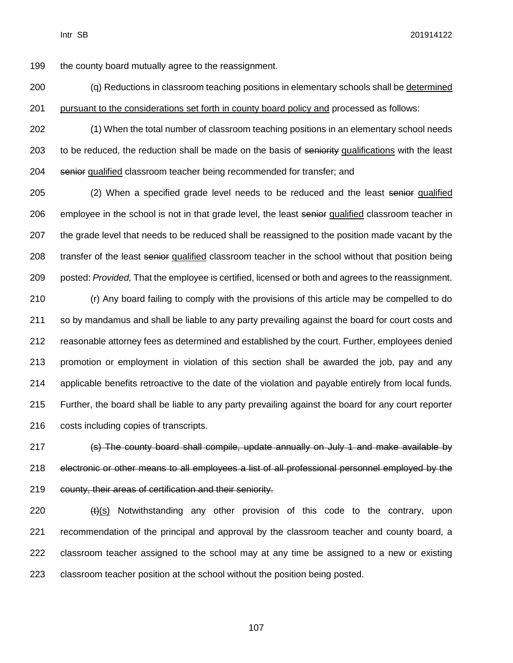the county board mutually agree to the reassignment.

 (q) Reductions in classroom teaching positions in elementary schools shall be determined 201 pursuant to the considerations set forth in county board policy and processed as follows:

 (1) When the total number of classroom teaching positions in an elementary school needs 203 to be reduced, the reduction shall be made on the basis of seniority qualifications with the least 204 senior qualified classroom teacher being recommended for transfer; and

205 (2) When a specified grade level needs to be reduced and the least senior qualified 206 employee in the school is not in that grade level, the least senior qualified classroom teacher in 207 the grade level that needs to be reduced shall be reassigned to the position made vacant by the 208 transfer of the least senior qualified classroom teacher in the school without that position being posted: *Provided,* That the employee is certified, licensed or both and agrees to the reassignment.

 (r) Any board failing to comply with the provisions of this article may be compelled to do so by mandamus and shall be liable to any party prevailing against the board for court costs and reasonable attorney fees as determined and established by the court. Further, employees denied promotion or employment in violation of this section shall be awarded the job, pay and any applicable benefits retroactive to the date of the violation and payable entirely from local funds. Further, the board shall be liable to any party prevailing against the board for any court reporter costs including copies of transcripts.

 (s) The county board shall compile, update annually on July 1 and make available by electronic or other means to all employees a list of all professional personnel employed by the county, their areas of certification and their seniority.

 $(t)(s)$  Notwithstanding any other provision of this code to the contrary, upon recommendation of the principal and approval by the classroom teacher and county board, a classroom teacher assigned to the school may at any time be assigned to a new or existing classroom teacher position at the school without the position being posted.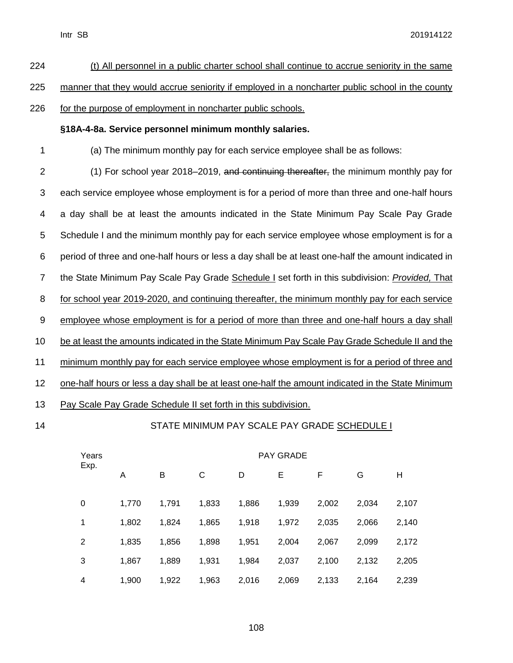| 224              | (t) All personnel in a public charter school shall continue to accrue seniority in the same         |
|------------------|-----------------------------------------------------------------------------------------------------|
| 225              | manner that they would accrue seniority if employed in a noncharter public school in the county     |
| 226              | for the purpose of employment in noncharter public schools.                                         |
|                  | §18A-4-8a. Service personnel minimum monthly salaries.                                              |
| 1                | (a) The minimum monthly pay for each service employee shall be as follows:                          |
| $\overline{2}$   | (1) For school year 2018–2019, and continuing thereafter, the minimum monthly pay for               |
| $\sqrt{3}$       | each service employee whose employment is for a period of more than three and one-half hours        |
| 4                | a day shall be at least the amounts indicated in the State Minimum Pay Scale Pay Grade              |
| $\sqrt{5}$       | Schedule I and the minimum monthly pay for each service employee whose employment is for a          |
| 6                | period of three and one-half hours or less a day shall be at least one-half the amount indicated in |
| $\overline{7}$   | the State Minimum Pay Scale Pay Grade Schedule I set forth in this subdivision: Provided, That      |
| 8                | for school year 2019-2020, and continuing thereafter, the minimum monthly pay for each service      |
| $\boldsymbol{9}$ | employee whose employment is for a period of more than three and one-half hours a day shall         |
| 10               | be at least the amounts indicated in the State Minimum Pay Scale Pay Grade Schedule II and the      |
| 11               | minimum monthly pay for each service employee whose employment is for a period of three and         |

12 one-half hours or less a day shall be at least one-half the amount indicated in the State Minimum

13 Pay Scale Pay Grade Schedule II set forth in this subdivision.

# 14 STATE MINIMUM PAY SCALE PAY GRADE SCHEDULE I

| Years | <b>PAY GRADE</b> |       |       |       |       |       |       |       |  |  |
|-------|------------------|-------|-------|-------|-------|-------|-------|-------|--|--|
| Exp.  | A                | в     | C     | D     | Ε     | F     | G     | Н     |  |  |
| 0     | 1.770            | 1,791 | 1,833 | 1,886 | 1,939 | 2,002 | 2,034 | 2,107 |  |  |
| 1     | 1,802            | 1,824 | 1,865 | 1,918 | 1,972 | 2,035 | 2,066 | 2,140 |  |  |
| 2     | 1,835            | 1,856 | 1,898 | 1,951 | 2,004 | 2,067 | 2,099 | 2,172 |  |  |
| 3     | 1,867            | 1,889 | 1,931 | 1,984 | 2,037 | 2,100 | 2,132 | 2,205 |  |  |
| 4     | 1,900            | 1,922 | 1,963 | 2,016 | 2,069 | 2,133 | 2,164 | 2,239 |  |  |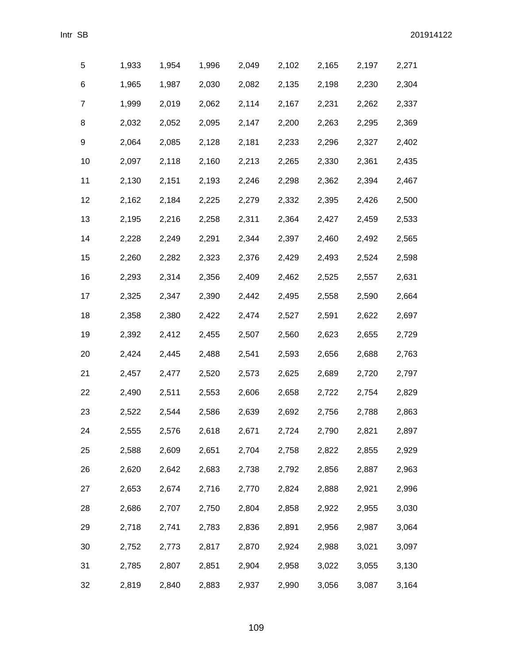| 5  | 1,933 | 1,954 | 1,996 | 2,049 | 2,102 | 2,165 | 2,197 | 2,271 |
|----|-------|-------|-------|-------|-------|-------|-------|-------|
| 6  | 1,965 | 1,987 | 2,030 | 2,082 | 2,135 | 2,198 | 2,230 | 2,304 |
| 7  | 1,999 | 2,019 | 2,062 | 2,114 | 2,167 | 2,231 | 2,262 | 2,337 |
| 8  | 2,032 | 2,052 | 2,095 | 2,147 | 2,200 | 2,263 | 2,295 | 2,369 |
| 9  | 2,064 | 2,085 | 2,128 | 2,181 | 2,233 | 2,296 | 2,327 | 2,402 |
| 10 | 2,097 | 2,118 | 2,160 | 2,213 | 2,265 | 2,330 | 2,361 | 2,435 |
| 11 | 2,130 | 2,151 | 2,193 | 2,246 | 2,298 | 2,362 | 2,394 | 2,467 |
| 12 | 2,162 | 2,184 | 2,225 | 2,279 | 2,332 | 2,395 | 2,426 | 2,500 |
| 13 | 2,195 | 2,216 | 2,258 | 2,311 | 2,364 | 2,427 | 2,459 | 2,533 |
| 14 | 2,228 | 2,249 | 2,291 | 2,344 | 2,397 | 2,460 | 2,492 | 2,565 |
| 15 | 2,260 | 2,282 | 2,323 | 2,376 | 2,429 | 2,493 | 2,524 | 2,598 |
| 16 | 2,293 | 2,314 | 2,356 | 2,409 | 2,462 | 2,525 | 2,557 | 2,631 |
| 17 | 2,325 | 2,347 | 2,390 | 2,442 | 2,495 | 2,558 | 2,590 | 2,664 |
| 18 | 2,358 | 2,380 | 2,422 | 2,474 | 2,527 | 2,591 | 2,622 | 2,697 |
| 19 | 2,392 | 2,412 | 2,455 | 2,507 | 2,560 | 2,623 | 2,655 | 2,729 |
| 20 | 2,424 | 2,445 | 2,488 | 2,541 | 2,593 | 2,656 | 2,688 | 2,763 |
| 21 | 2,457 | 2,477 | 2,520 | 2,573 | 2,625 | 2,689 | 2,720 | 2,797 |
| 22 | 2,490 | 2,511 | 2,553 | 2,606 | 2,658 | 2,722 | 2,754 | 2,829 |
| 23 | 2,522 | 2,544 | 2,586 | 2,639 | 2,692 | 2,756 | 2,788 | 2,863 |
| 24 | 2,555 | 2,576 | 2,618 | 2,671 | 2,724 | 2,790 | 2,821 | 2,897 |
| 25 | 2,588 | 2,609 | 2,651 | 2,704 | 2,758 | 2,822 | 2,855 | 2,929 |
| 26 | 2,620 | 2,642 | 2,683 | 2,738 | 2,792 | 2,856 | 2,887 | 2,963 |
| 27 | 2,653 | 2,674 | 2,716 | 2,770 | 2,824 | 2,888 | 2,921 | 2,996 |
| 28 | 2,686 | 2,707 | 2,750 | 2,804 | 2,858 | 2,922 | 2,955 | 3,030 |
| 29 | 2,718 | 2,741 | 2,783 | 2,836 | 2,891 | 2,956 | 2,987 | 3,064 |
| 30 | 2,752 | 2,773 | 2,817 | 2,870 | 2,924 | 2,988 | 3,021 | 3,097 |
| 31 | 2,785 | 2,807 | 2,851 | 2,904 | 2,958 | 3,022 | 3,055 | 3,130 |
| 32 | 2,819 | 2,840 | 2,883 | 2,937 | 2,990 | 3,056 | 3,087 | 3,164 |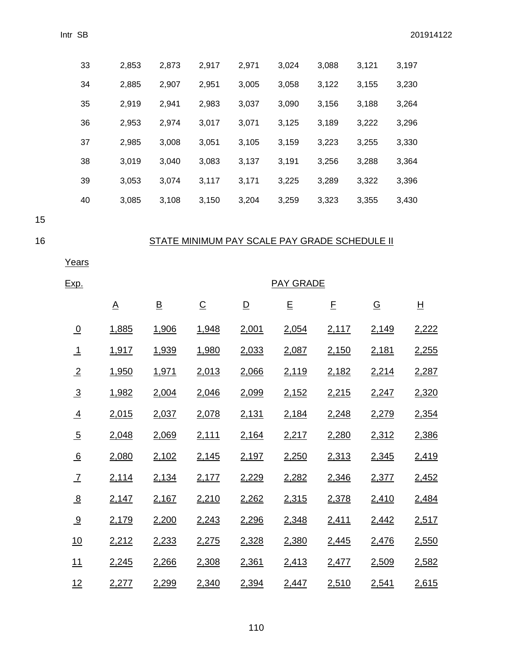|    | 33             | 2,853                    | 2,873                    | 2,917                                         | 2,971                   | 3,024            | 3,088 | 3,121                    | 3,197                    |
|----|----------------|--------------------------|--------------------------|-----------------------------------------------|-------------------------|------------------|-------|--------------------------|--------------------------|
|    | 34             | 2,885                    | 2,907                    | 2,951                                         | 3,005                   | 3,058            | 3,122 | 3,155                    | 3,230                    |
|    | 35             | 2,919                    | 2,941                    | 2,983                                         | 3,037                   | 3,090            | 3,156 | 3,188                    | 3,264                    |
|    | 36             | 2,953                    | 2,974                    | 3,017                                         | 3,071                   | 3,125            | 3,189 | 3,222                    | 3,296                    |
|    | 37             | 2,985                    | 3,008                    | 3,051                                         | 3,105                   | 3,159            | 3,223 | 3,255                    | 3,330                    |
|    | 38             | 3,019                    | 3,040                    | 3,083                                         | 3,137                   | 3,191            | 3,256 | 3,288                    | 3,364                    |
|    | 39             | 3,053                    | 3,074                    | 3,117                                         | 3,171                   | 3,225            | 3,289 | 3,322                    | 3,396                    |
|    | 40             | 3,085                    | 3,108                    | 3,150                                         | 3,204                   | 3,259            | 3,323 | 3,355                    | 3,430                    |
| 15 |                |                          |                          |                                               |                         |                  |       |                          |                          |
| 16 |                |                          |                          | STATE MINIMUM PAY SCALE PAY GRADE SCHEDULE II |                         |                  |       |                          |                          |
|    | Years          |                          |                          |                                               |                         |                  |       |                          |                          |
|    | <u>Exp.</u>    |                          |                          |                                               |                         | <b>PAY GRADE</b> |       |                          |                          |
|    |                | $\underline{\mathsf{A}}$ | $\underline{\mathsf{B}}$ | $\underline{\mathsf{C}}$                      | $\overline{\mathsf{D}}$ | E                | E     | $\underline{\mathsf{G}}$ | $\underline{\mathsf{H}}$ |
|    | $\overline{0}$ | 1,885                    | 1,906                    | 1,948                                         | 2,001                   | 2,054            | 2,117 | 2,149                    | 2,222                    |
|    | $\perp$        | 1,917                    | 1,939                    | 1,980                                         | 2,033                   | 2,087            | 2,150 | 2,181                    | 2,255                    |
|    | $\overline{2}$ | 1,950                    | 1,971                    | 2,013                                         | 2,066                   | 2,119            | 2,182 | 2,214                    | 2,287                    |
|    | $\overline{3}$ | 1,982                    | 2,004                    | 2,046                                         | 2,099                   | 2,152            | 2,215 | 2,247                    | 2,320                    |
|    | $\overline{4}$ | 2,015                    | 2,037                    | 2,078                                         | <u>2,131</u>            | 2,184            | 2,248 | 2,279                    | 2,354                    |
|    | $\overline{5}$ | 2,048                    | 2,069                    | 2,111                                         | 2,164                   | 2,217            | 2,280 | 2,312                    | 2,386                    |
|    | 6              | 2,080                    | 2,102                    | 2,145                                         | 2,197                   | 2,250            | 2,313 | 2,345                    | 2,419                    |
|    | $\overline{1}$ | 2,114                    | 2,134                    | 2,177                                         | 2,229                   | 2,282            | 2,346 | 2,377                    | <u>2,452</u>             |
|    | 8              | 2,147                    | 2,167                    | 2,210                                         | 2,262                   | 2,315            | 2,378 | 2,410                    | <u>2,484</u>             |
|    | 9              | 2,179                    | 2,200                    | 2,243                                         | 2,296                   | 2,348            | 2,411 | 2,442                    | 2,517                    |
|    | 10             | 2,212                    | 2,233                    | 2,275                                         | 2,328                   | 2,380            | 2,445 | 2,476                    | 2,550                    |
|    | 11             | 2,245                    | 2,266                    | 2,308                                         | 2,361                   | 2,413            | 2,477 | 2,509                    | 2,582                    |
|    | 12             | 2,277                    | 2,299                    | 2,340                                         | 2,394                   | 2,447            | 2,510 | 2,541                    | 2,615                    |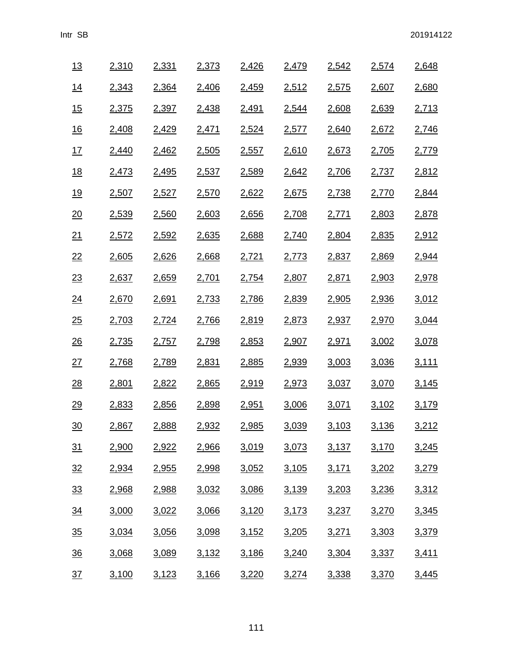| 13               | 2,310        | 2,331        | 2,373 | 2,426 | 2,479        | 2,542        | 2,574        | 2,648        |
|------------------|--------------|--------------|-------|-------|--------------|--------------|--------------|--------------|
| $\underline{14}$ | 2,343        | 2,364        | 2,406 | 2,459 | 2,512        | <u>2,575</u> | 2,607        | 2,680        |
| 15               | <u>2,375</u> | 2,397        | 2,438 | 2,491 | 2,544        | 2,608        | 2,639        | 2,713        |
| $\underline{16}$ | <u>2,408</u> | 2,429        | 2,471 | 2,524 | 2,577        | 2,640        | 2,672        | 2,746        |
| 17               | <u>2,440</u> | 2,462        | 2,505 | 2,557 | 2,610        | 2,673        | 2,705        | 2,779        |
| 18               | 2,473        | <u>2,495</u> | 2,537 | 2,589 | 2,642        | <u>2,706</u> | 2,737        | 2,812        |
| <u>19</u>        | 2,507        | 2,527        | 2,570 | 2,622 | 2,675        | 2,738        | 2,770        | 2,844        |
| $\underline{20}$ | <u>2,539</u> | 2,560        | 2,603 | 2,656 | <u>2,708</u> | <u>2,771</u> | 2,803        | <u>2,878</u> |
| 21               | 2,572        | 2,592        | 2,635 | 2,688 | 2,740        | 2,804        | 2,835        | 2,912        |
| 22               | 2,605        | 2,626        | 2,668 | 2,721 | 2,773        | 2,837        | 2,869        | 2,944        |
| 23               | 2,637        | <u>2,659</u> | 2,701 | 2,754 | 2,807        | 2,871        | 2,903        | 2,978        |
| $\underline{24}$ | 2,670        | 2,691        | 2,733 | 2,786 | 2,839        | 2,905        | 2,936        | 3,012        |
| 25               | <u>2,703</u> | 2,724        | 2,766 | 2,819 | 2,873        | 2,937        | 2,970        | 3,044        |
| 26               | <u>2,735</u> | 2,757        | 2,798 | 2,853 | 2,907        | 2,971        | 3,002        | 3,078        |
| 27               | <u>2,768</u> | <u>2,789</u> | 2,831 | 2,885 | <u>2,939</u> | 3,003        | 3,036        | <u>3,111</u> |
| $\frac{28}{1}$   | 2,801        | 2,822        | 2,865 | 2,919 | 2,973        | <u>3,037</u> | 3,070        | 3,145        |
| 29               | 2,833        | 2,856        | 2,898 | 2,951 | 3,006        | 3,071        | <u>3,102</u> | <u>3,179</u> |
| $\frac{30}{2}$   | 2,867        | 2,888        | 2,932 | 2,985 | 3,039        | 3,103        | 3,136        | 3,212        |
| 31               | 2,900        | 2,922        | 2,966 | 3,019 | 3,073        | 3,137        | 3,170        | 3,245        |
| 32               | 2,934        | <u>2,955</u> | 2,998 | 3,052 | 3,105        | 3,171        | 3,202        | <u>3,279</u> |
| 33               | 2,968        | 2,988        | 3,032 | 3,086 | 3,139        | 3,203        | 3,236        | 3,312        |
| $\underline{34}$ | 3,000        | 3,022        | 3,066 | 3,120 | 3,173        | 3,237        | 3,270        | 3,345        |
| $\frac{35}{5}$   | 3,034        | 3,056        | 3,098 | 3,152 | 3,205        | 3,271        | 3,303        | 3,379        |
| $\frac{36}{5}$   | 3,068        | 3,089        | 3,132 | 3,186 | 3,240        | 3,304        | 3,337        | <u>3,411</u> |
| 37               | 3,100        | <u>3,123</u> | 3,166 | 3,220 | <u>3,274</u> | <u>3,338</u> | 3,370        | 3,445        |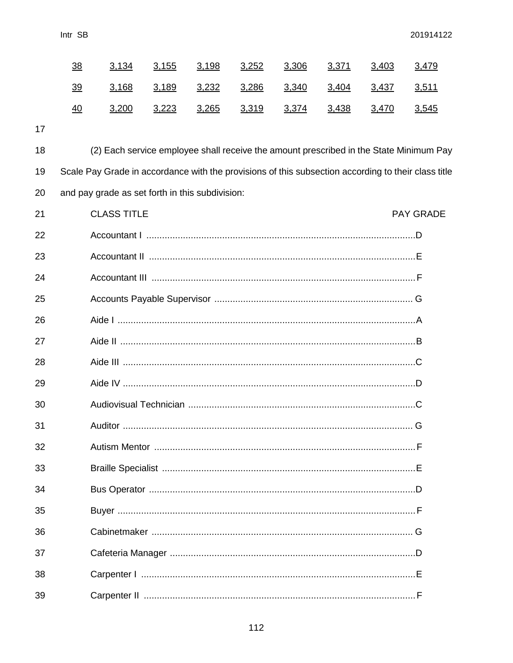|    | <u>38</u> | 3,134                                                                                               | 3,155 | 3,198 | 3,252 | 3,306 | 3,371 | 3,403 | 3,479            |
|----|-----------|-----------------------------------------------------------------------------------------------------|-------|-------|-------|-------|-------|-------|------------------|
|    | <u>39</u> | 3,168                                                                                               | 3,189 | 3,232 | 3,286 | 3,340 | 3,404 | 3,437 | 3,511            |
|    | 40        | 3,200                                                                                               | 3,223 | 3,265 | 3,319 | 3,374 | 3,438 | 3,470 | 3,545            |
| 17 |           |                                                                                                     |       |       |       |       |       |       |                  |
| 18 |           | (2) Each service employee shall receive the amount prescribed in the State Minimum Pay              |       |       |       |       |       |       |                  |
| 19 |           | Scale Pay Grade in accordance with the provisions of this subsection according to their class title |       |       |       |       |       |       |                  |
| 20 |           | and pay grade as set forth in this subdivision:                                                     |       |       |       |       |       |       |                  |
| 21 |           | <b>CLASS TITLE</b>                                                                                  |       |       |       |       |       |       | <b>PAY GRADE</b> |
| 22 |           |                                                                                                     |       |       |       |       |       |       |                  |
| 23 |           |                                                                                                     |       |       |       |       |       |       |                  |
| 24 |           |                                                                                                     |       |       |       |       |       |       |                  |
| 25 |           |                                                                                                     |       |       |       |       |       |       |                  |
| 26 |           |                                                                                                     |       |       |       |       |       |       |                  |
| 27 |           |                                                                                                     |       |       |       |       |       |       |                  |
| 28 |           |                                                                                                     |       |       |       |       |       |       |                  |
| 29 |           |                                                                                                     |       |       |       |       |       |       |                  |
| 30 |           |                                                                                                     |       |       |       |       |       |       |                  |
| 31 |           |                                                                                                     |       |       |       |       |       |       |                  |
| 32 |           |                                                                                                     |       |       |       |       |       |       |                  |
| 33 |           |                                                                                                     |       |       |       |       |       |       |                  |
| 34 |           |                                                                                                     |       |       |       |       |       |       |                  |
| 35 |           |                                                                                                     |       |       |       |       |       |       |                  |
| 36 |           |                                                                                                     |       |       |       |       |       |       |                  |
| 37 |           |                                                                                                     |       |       |       |       |       |       |                  |
| 38 |           |                                                                                                     |       |       |       |       |       |       |                  |
| 39 |           |                                                                                                     |       |       |       |       |       |       |                  |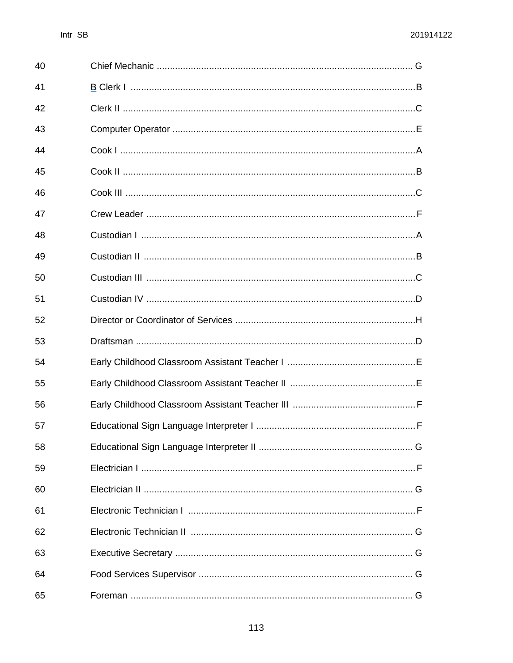| 40 |  |
|----|--|
| 41 |  |
| 42 |  |
| 43 |  |
| 44 |  |
| 45 |  |
| 46 |  |
| 47 |  |
| 48 |  |
| 49 |  |
| 50 |  |
| 51 |  |
| 52 |  |
| 53 |  |
| 54 |  |
| 55 |  |
| 56 |  |
| 57 |  |
| 58 |  |
| 59 |  |
| 60 |  |
| 61 |  |
| 62 |  |
| 63 |  |
| 64 |  |
| 65 |  |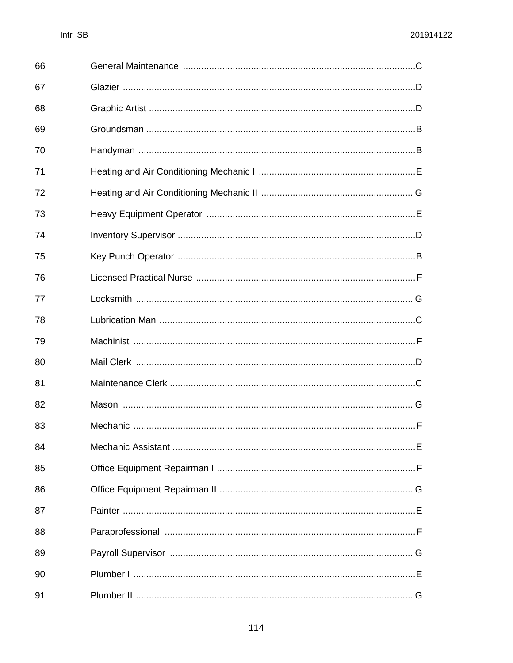| 66 |  |
|----|--|
| 67 |  |
| 68 |  |
| 69 |  |
| 70 |  |
| 71 |  |
| 72 |  |
| 73 |  |
| 74 |  |
| 75 |  |
| 76 |  |
| 77 |  |
| 78 |  |
| 79 |  |
| 80 |  |
| 81 |  |
| 82 |  |
| 83 |  |
| 84 |  |
| 85 |  |
| 86 |  |
| 87 |  |
| 88 |  |
| 89 |  |
| 90 |  |
| 91 |  |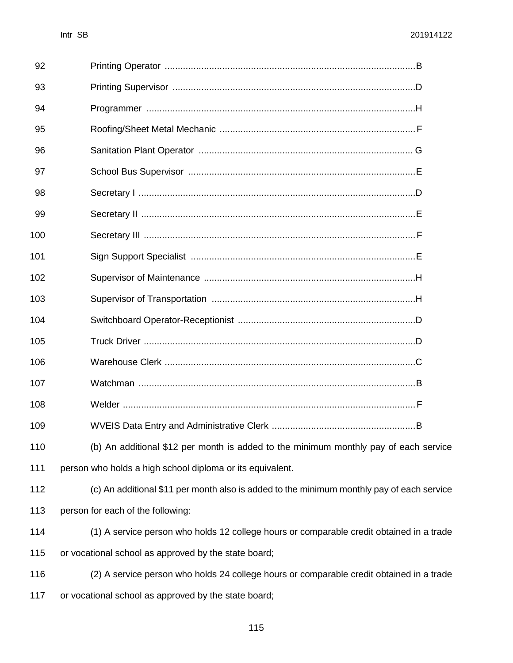| 92  |                                                                                           |
|-----|-------------------------------------------------------------------------------------------|
| 93  |                                                                                           |
| 94  |                                                                                           |
| 95  |                                                                                           |
| 96  |                                                                                           |
| 97  |                                                                                           |
| 98  |                                                                                           |
| 99  |                                                                                           |
| 100 |                                                                                           |
| 101 |                                                                                           |
| 102 |                                                                                           |
| 103 |                                                                                           |
| 104 |                                                                                           |
| 105 |                                                                                           |
| 106 |                                                                                           |
| 107 |                                                                                           |
| 108 |                                                                                           |
| 109 |                                                                                           |
| 110 | (b) An additional \$12 per month is added to the minimum monthly pay of each service      |
| 111 | person who holds a high school diploma or its equivalent.                                 |
| 112 | (c) An additional \$11 per month also is added to the minimum monthly pay of each service |
| 113 | person for each of the following:                                                         |
| 114 | (1) A service person who holds 12 college hours or comparable credit obtained in a trade  |
| 115 | or vocational school as approved by the state board;                                      |
| 116 | (2) A service person who holds 24 college hours or comparable credit obtained in a trade  |

or vocational school as approved by the state board;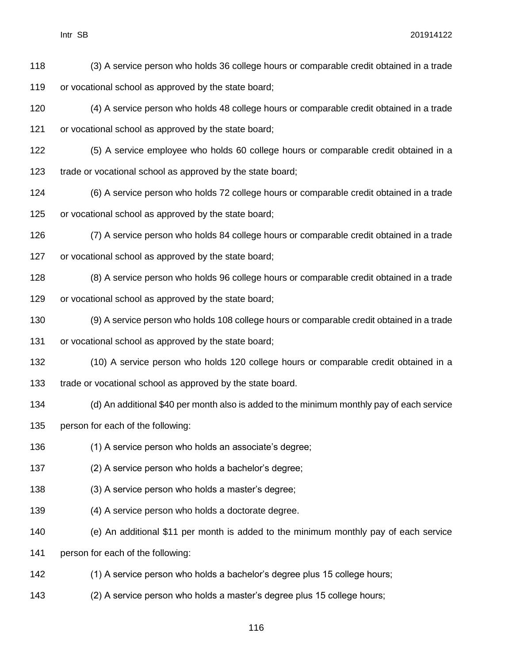(3) A service person who holds 36 college hours or comparable credit obtained in a trade or vocational school as approved by the state board;

 (4) A service person who holds 48 college hours or comparable credit obtained in a trade or vocational school as approved by the state board;

 (5) A service employee who holds 60 college hours or comparable credit obtained in a trade or vocational school as approved by the state board;

 (6) A service person who holds 72 college hours or comparable credit obtained in a trade or vocational school as approved by the state board;

 (7) A service person who holds 84 college hours or comparable credit obtained in a trade or vocational school as approved by the state board;

 (8) A service person who holds 96 college hours or comparable credit obtained in a trade or vocational school as approved by the state board;

 (9) A service person who holds 108 college hours or comparable credit obtained in a trade or vocational school as approved by the state board;

 (10) A service person who holds 120 college hours or comparable credit obtained in a trade or vocational school as approved by the state board.

 (d) An additional \$40 per month also is added to the minimum monthly pay of each service person for each of the following:

(1) A service person who holds an associate's degree;

(2) A service person who holds a bachelor's degree;

(3) A service person who holds a master's degree;

(4) A service person who holds a doctorate degree.

(e) An additional \$11 per month is added to the minimum monthly pay of each service

person for each of the following:

(1) A service person who holds a bachelor's degree plus 15 college hours;

(2) A service person who holds a master's degree plus 15 college hours;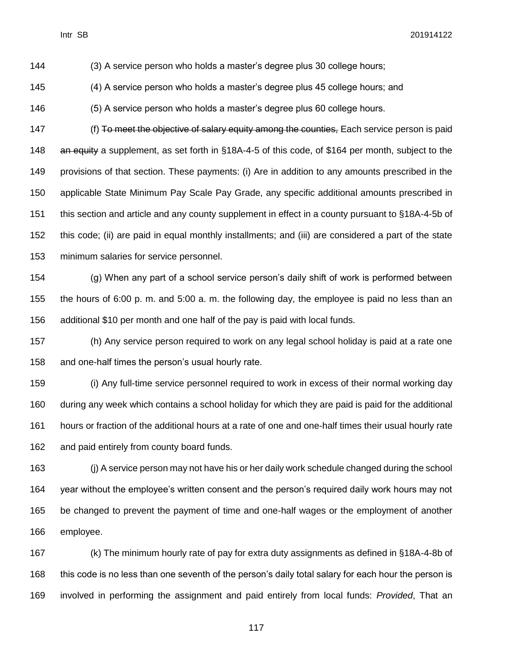(3) A service person who holds a master's degree plus 30 college hours;

(4) A service person who holds a master's degree plus 45 college hours; and

(5) A service person who holds a master's degree plus 60 college hours.

147 (f) To meet the objective of salary equity among the counties, Each service person is paid 148 an equity a supplement, as set forth in §18A-4-5 of this code, of \$164 per month, subject to the provisions of that section. These payments: (i) Are in addition to any amounts prescribed in the applicable State Minimum Pay Scale Pay Grade, any specific additional amounts prescribed in this section and article and any county supplement in effect in a county pursuant to §18A-4-5b of this code; (ii) are paid in equal monthly installments; and (iii) are considered a part of the state minimum salaries for service personnel.

 (g) When any part of a school service person's daily shift of work is performed between the hours of 6:00 p. m. and 5:00 a. m. the following day, the employee is paid no less than an additional \$10 per month and one half of the pay is paid with local funds.

 (h) Any service person required to work on any legal school holiday is paid at a rate one and one-half times the person's usual hourly rate.

 (i) Any full-time service personnel required to work in excess of their normal working day during any week which contains a school holiday for which they are paid is paid for the additional hours or fraction of the additional hours at a rate of one and one-half times their usual hourly rate and paid entirely from county board funds.

 (j) A service person may not have his or her daily work schedule changed during the school year without the employee's written consent and the person's required daily work hours may not be changed to prevent the payment of time and one-half wages or the employment of another employee.

 (k) The minimum hourly rate of pay for extra duty assignments as defined in §18A-4-8b of 168 this code is no less than one seventh of the person's daily total salary for each hour the person is involved in performing the assignment and paid entirely from local funds: *Provided*, That an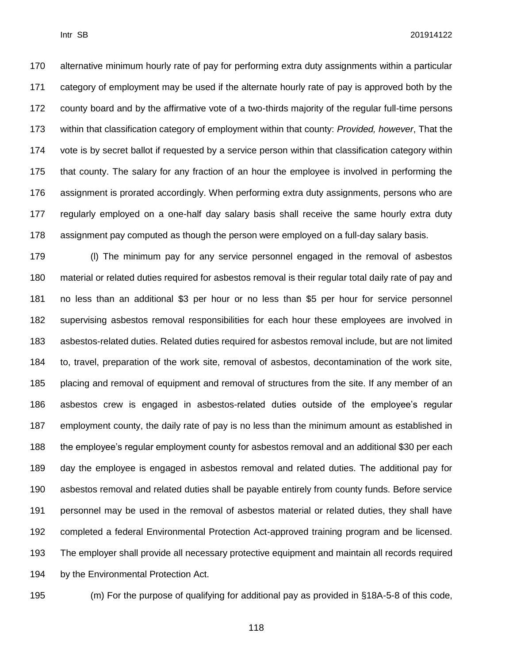alternative minimum hourly rate of pay for performing extra duty assignments within a particular category of employment may be used if the alternate hourly rate of pay is approved both by the county board and by the affirmative vote of a two-thirds majority of the regular full-time persons within that classification category of employment within that county: *Provided, however*, That the vote is by secret ballot if requested by a service person within that classification category within that county. The salary for any fraction of an hour the employee is involved in performing the assignment is prorated accordingly. When performing extra duty assignments, persons who are regularly employed on a one-half day salary basis shall receive the same hourly extra duty assignment pay computed as though the person were employed on a full-day salary basis.

 (l) The minimum pay for any service personnel engaged in the removal of asbestos material or related duties required for asbestos removal is their regular total daily rate of pay and no less than an additional \$3 per hour or no less than \$5 per hour for service personnel supervising asbestos removal responsibilities for each hour these employees are involved in asbestos-related duties. Related duties required for asbestos removal include, but are not limited to, travel, preparation of the work site, removal of asbestos, decontamination of the work site, placing and removal of equipment and removal of structures from the site. If any member of an asbestos crew is engaged in asbestos-related duties outside of the employee's regular employment county, the daily rate of pay is no less than the minimum amount as established in the employee's regular employment county for asbestos removal and an additional \$30 per each day the employee is engaged in asbestos removal and related duties. The additional pay for asbestos removal and related duties shall be payable entirely from county funds. Before service personnel may be used in the removal of asbestos material or related duties, they shall have completed a federal Environmental Protection Act-approved training program and be licensed. The employer shall provide all necessary protective equipment and maintain all records required by the Environmental Protection Act.

(m) For the purpose of qualifying for additional pay as provided in §18A-5-8 of this code,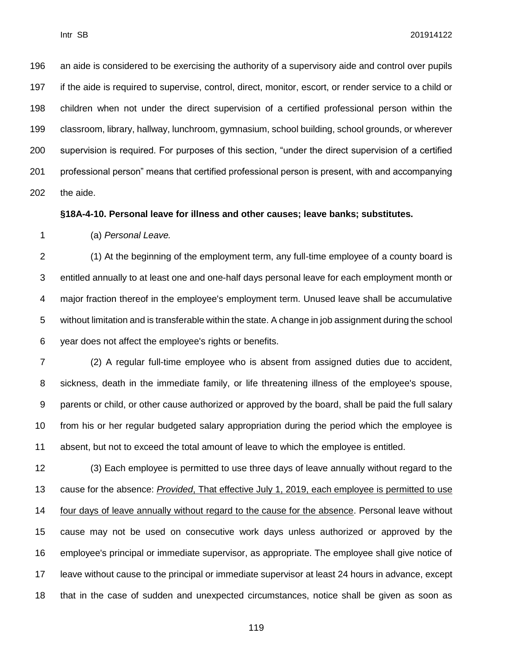an aide is considered to be exercising the authority of a supervisory aide and control over pupils if the aide is required to supervise, control, direct, monitor, escort, or render service to a child or children when not under the direct supervision of a certified professional person within the classroom, library, hallway, lunchroom, gymnasium, school building, school grounds, or wherever supervision is required. For purposes of this section, "under the direct supervision of a certified professional person" means that certified professional person is present, with and accompanying the aide.

**§18A-4-10. Personal leave for illness and other causes; leave banks; substitutes.**

(a) *Personal Leave.*

 (1) At the beginning of the employment term, any full-time employee of a county board is entitled annually to at least one and one-half days personal leave for each employment month or major fraction thereof in the employee's employment term. Unused leave shall be accumulative without limitation and is transferable within the state. A change in job assignment during the school year does not affect the employee's rights or benefits.

 (2) A regular full-time employee who is absent from assigned duties due to accident, sickness, death in the immediate family, or life threatening illness of the employee's spouse, parents or child, or other cause authorized or approved by the board, shall be paid the full salary from his or her regular budgeted salary appropriation during the period which the employee is absent, but not to exceed the total amount of leave to which the employee is entitled.

 (3) Each employee is permitted to use three days of leave annually without regard to the cause for the absence: *Provided*, That effective July 1, 2019, each employee is permitted to use four days of leave annually without regard to the cause for the absence. Personal leave without cause may not be used on consecutive work days unless authorized or approved by the employee's principal or immediate supervisor, as appropriate. The employee shall give notice of leave without cause to the principal or immediate supervisor at least 24 hours in advance, except that in the case of sudden and unexpected circumstances, notice shall be given as soon as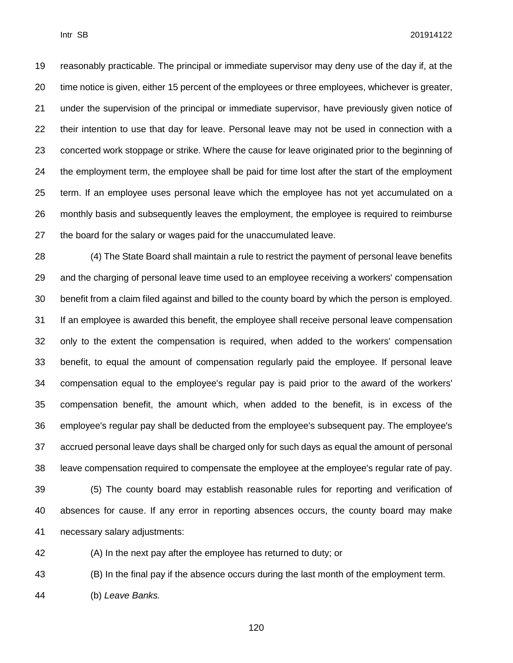reasonably practicable. The principal or immediate supervisor may deny use of the day if, at the

 time notice is given, either 15 percent of the employees or three employees, whichever is greater, under the supervision of the principal or immediate supervisor, have previously given notice of their intention to use that day for leave. Personal leave may not be used in connection with a concerted work stoppage or strike. Where the cause for leave originated prior to the beginning of the employment term, the employee shall be paid for time lost after the start of the employment term. If an employee uses personal leave which the employee has not yet accumulated on a monthly basis and subsequently leaves the employment, the employee is required to reimburse the board for the salary or wages paid for the unaccumulated leave.

 (4) The State Board shall maintain a rule to restrict the payment of personal leave benefits and the charging of personal leave time used to an employee receiving a workers' compensation benefit from a claim filed against and billed to the county board by which the person is employed. If an employee is awarded this benefit, the employee shall receive personal leave compensation only to the extent the compensation is required, when added to the workers' compensation benefit, to equal the amount of compensation regularly paid the employee. If personal leave compensation equal to the employee's regular pay is paid prior to the award of the workers' compensation benefit, the amount which, when added to the benefit, is in excess of the employee's regular pay shall be deducted from the employee's subsequent pay. The employee's accrued personal leave days shall be charged only for such days as equal the amount of personal leave compensation required to compensate the employee at the employee's regular rate of pay. (5) The county board may establish reasonable rules for reporting and verification of

 absences for cause. If any error in reporting absences occurs, the county board may make necessary salary adjustments:

(A) In the next pay after the employee has returned to duty; or

(B) In the final pay if the absence occurs during the last month of the employment term.

(b) *Leave Banks.*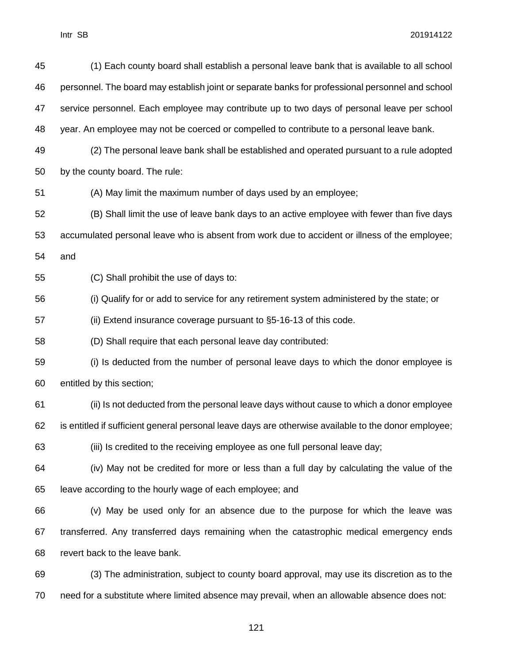| 45 | (1) Each county board shall establish a personal leave bank that is available to all school          |
|----|------------------------------------------------------------------------------------------------------|
| 46 | personnel. The board may establish joint or separate banks for professional personnel and school     |
| 47 | service personnel. Each employee may contribute up to two days of personal leave per school          |
| 48 | year. An employee may not be coerced or compelled to contribute to a personal leave bank.            |
| 49 | (2) The personal leave bank shall be established and operated pursuant to a rule adopted             |
| 50 | by the county board. The rule:                                                                       |
| 51 | (A) May limit the maximum number of days used by an employee;                                        |
| 52 | (B) Shall limit the use of leave bank days to an active employee with fewer than five days           |
| 53 | accumulated personal leave who is absent from work due to accident or illness of the employee;       |
| 54 | and                                                                                                  |
| 55 | (C) Shall prohibit the use of days to:                                                               |
| 56 | (i) Qualify for or add to service for any retirement system administered by the state; or            |
| 57 | (ii) Extend insurance coverage pursuant to §5-16-13 of this code.                                    |
| 58 | (D) Shall require that each personal leave day contributed:                                          |
| 59 | (i) Is deducted from the number of personal leave days to which the donor employee is                |
| 60 | entitled by this section;                                                                            |
| 61 | (ii) Is not deducted from the personal leave days without cause to which a donor employee            |
| 62 | is entitled if sufficient general personal leave days are otherwise available to the donor employee; |
| 63 | (iii) Is credited to the receiving employee as one full personal leave day;                          |
| 64 | (iv) May not be credited for more or less than a full day by calculating the value of the            |
| 65 | leave according to the hourly wage of each employee; and                                             |
| 66 | (v) May be used only for an absence due to the purpose for which the leave was                       |
| 67 | transferred. Any transferred days remaining when the catastrophic medical emergency ends             |
| 68 | revert back to the leave bank.                                                                       |
| 69 | (3) The administration, subject to county board approval, may use its discretion as to the           |
| 70 | need for a substitute where limited absence may prevail, when an allowable absence does not:         |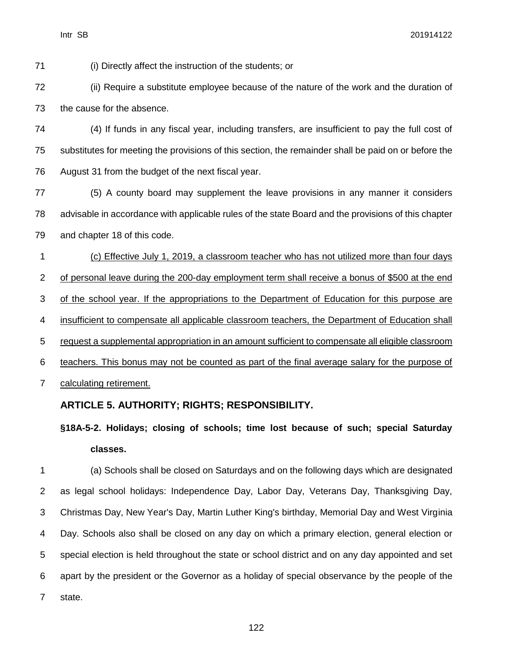(i) Directly affect the instruction of the students; or

 (ii) Require a substitute employee because of the nature of the work and the duration of the cause for the absence.

 (4) If funds in any fiscal year, including transfers, are insufficient to pay the full cost of substitutes for meeting the provisions of this section, the remainder shall be paid on or before the August 31 from the budget of the next fiscal year.

 (5) A county board may supplement the leave provisions in any manner it considers advisable in accordance with applicable rules of the state Board and the provisions of this chapter and chapter 18 of this code.

 (c) Effective July 1, 2019, a classroom teacher who has not utilized more than four days of personal leave during the 200-day employment term shall receive a bonus of \$500 at the end of the school year. If the appropriations to the Department of Education for this purpose are insufficient to compensate all applicable classroom teachers, the Department of Education shall request a supplemental appropriation in an amount sufficient to compensate all eligible classroom teachers. This bonus may not be counted as part of the final average salary for the purpose of calculating retirement.

## **ARTICLE 5. AUTHORITY; RIGHTS; RESPONSIBILITY.**

**§18A-5-2. Holidays; closing of schools; time lost because of such; special Saturday classes.**

 (a) Schools shall be closed on Saturdays and on the following days which are designated as legal school holidays: Independence Day, Labor Day, Veterans Day, Thanksgiving Day, Christmas Day, New Year's Day, Martin Luther King's birthday, Memorial Day and West Virginia Day. Schools also shall be closed on any day on which a primary election, general election or special election is held throughout the state or school district and on any day appointed and set apart by the president or the Governor as a holiday of special observance by the people of the state.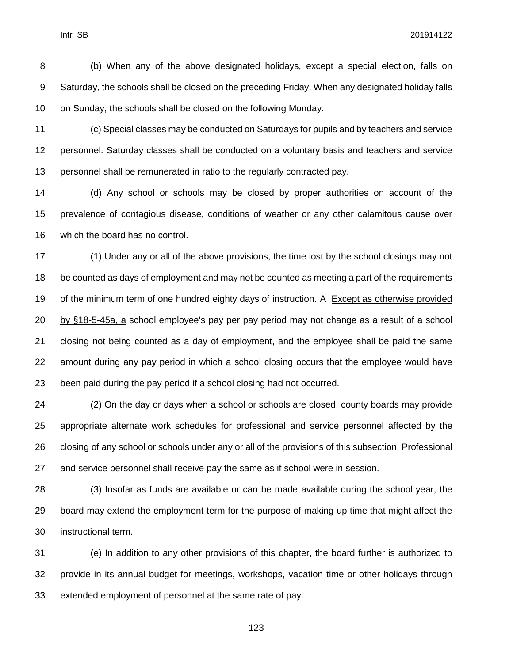(b) When any of the above designated holidays, except a special election, falls on Saturday, the schools shall be closed on the preceding Friday. When any designated holiday falls on Sunday, the schools shall be closed on the following Monday.

 (c) Special classes may be conducted on Saturdays for pupils and by teachers and service personnel. Saturday classes shall be conducted on a voluntary basis and teachers and service personnel shall be remunerated in ratio to the regularly contracted pay.

 (d) Any school or schools may be closed by proper authorities on account of the prevalence of contagious disease, conditions of weather or any other calamitous cause over which the board has no control.

 (1) Under any or all of the above provisions, the time lost by the school closings may not be counted as days of employment and may not be counted as meeting a part of the requirements 19 of the minimum term of one hundred eighty days of instruction. A Except as otherwise provided by §18-5-45a, a school employee's pay per pay period may not change as a result of a school closing not being counted as a day of employment, and the employee shall be paid the same amount during any pay period in which a school closing occurs that the employee would have been paid during the pay period if a school closing had not occurred.

 (2) On the day or days when a school or schools are closed, county boards may provide appropriate alternate work schedules for professional and service personnel affected by the closing of any school or schools under any or all of the provisions of this subsection. Professional and service personnel shall receive pay the same as if school were in session.

 (3) Insofar as funds are available or can be made available during the school year, the 29 board may extend the employment term for the purpose of making up time that might affect the instructional term.

 (e) In addition to any other provisions of this chapter, the board further is authorized to provide in its annual budget for meetings, workshops, vacation time or other holidays through extended employment of personnel at the same rate of pay.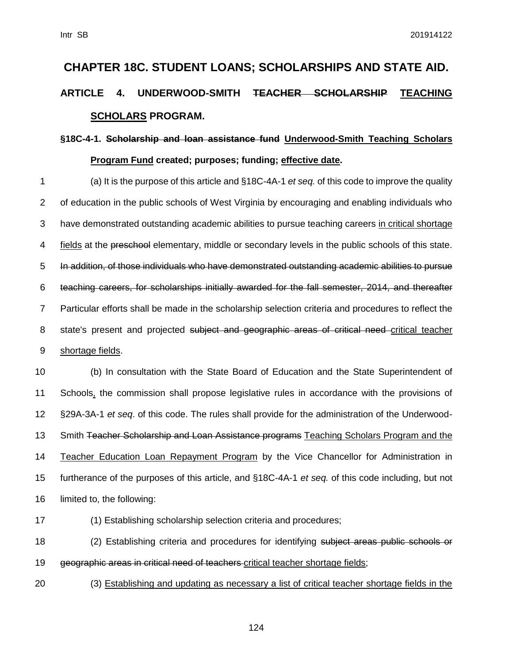# **CHAPTER 18C. STUDENT LOANS; SCHOLARSHIPS AND STATE AID. ARTICLE 4. UNDERWOOD-SMITH TEACHER SCHOLARSHIP TEACHING SCHOLARS PROGRAM.**

# **§18C-4-1. Scholarship and loan assistance fund Underwood-Smith Teaching Scholars Program Fund created; purposes; funding; effective date.**

 (a) It is the purpose of this article and §18C-4A-1 *et seq.* of this code to improve the quality of education in the public schools of West Virginia by encouraging and enabling individuals who have demonstrated outstanding academic abilities to pursue teaching careers in critical shortage fields at the preschool elementary, middle or secondary levels in the public schools of this state. In addition, of those individuals who have demonstrated outstanding academic abilities to pursue teaching careers, for scholarships initially awarded for the fall semester, 2014, and thereafter Particular efforts shall be made in the scholarship selection criteria and procedures to reflect the 8 state's present and projected subject and geographic areas of critical need critical teacher shortage fields.

 (b) In consultation with the State Board of Education and the State Superintendent of Schools, the commission shall propose legislative rules in accordance with the provisions of §29A-3A-1 *et seq*. of this code. The rules shall provide for the administration of the Underwood-13 Smith Teacher Scholarship and Loan Assistance programs Teaching Scholars Program and the Teacher Education Loan Repayment Program by the Vice Chancellor for Administration in furtherance of the purposes of this article, and §18C-4A-1 *et seq.* of this code including, but not limited to, the following:

(1) Establishing scholarship selection criteria and procedures;

18 (2) Establishing criteria and procedures for identifying subject areas public schools or 19 geographic areas in critical need of teachers-critical teacher shortage fields;

(3) Establishing and updating as necessary a list of critical teacher shortage fields in the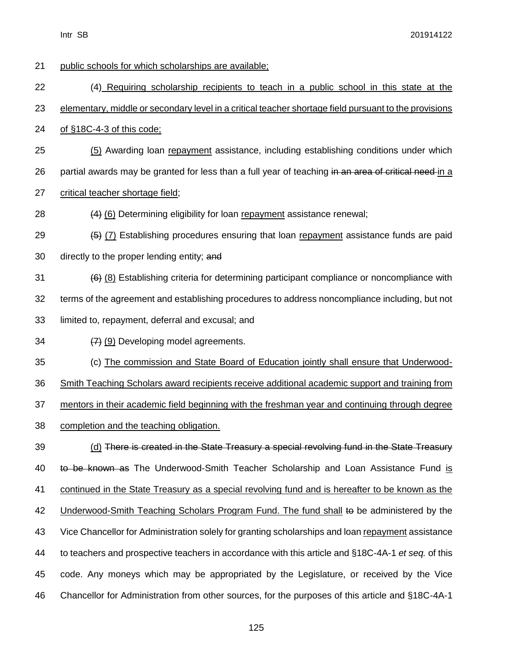public schools for which scholarships are available; (4) Requiring scholarship recipients to teach in a public school in this state at the elementary, middle or secondary level in a critical teacher shortage field pursuant to the provisions of §18C-4-3 of this code; (5) Awarding loan repayment assistance, including establishing conditions under which 26 partial awards may be granted for less than a full year of teaching in an area of critical need in a critical teacher shortage field; (4) (6) Determining eligibility for loan repayment assistance renewal;  $(5)$  (7) Establishing procedures ensuring that loan repayment assistance funds are paid 30 directly to the proper lending entity; and (6) Establishing criteria for determining participant compliance or noncompliance with terms of the agreement and establishing procedures to address noncompliance including, but not limited to, repayment, deferral and excusal; and  $(7)$  (9) Developing model agreements. (c) The commission and State Board of Education jointly shall ensure that Underwood- Smith Teaching Scholars award recipients receive additional academic support and training from mentors in their academic field beginning with the freshman year and continuing through degree completion and the teaching obligation. (d) There is created in the State Treasury a special revolving fund in the State Treasury 40 to be known as The Underwood-Smith Teacher Scholarship and Loan Assistance Fund is continued in the State Treasury as a special revolving fund and is hereafter to be known as the 42 Underwood-Smith Teaching Scholars Program Fund. The fund shall to be administered by the Vice Chancellor for Administration solely for granting scholarships and loan repayment assistance to teachers and prospective teachers in accordance with this article and §18C-4A-1 *et seq.* of this code. Any moneys which may be appropriated by the Legislature, or received by the Vice Chancellor for Administration from other sources, for the purposes of this article and §18C-4A-1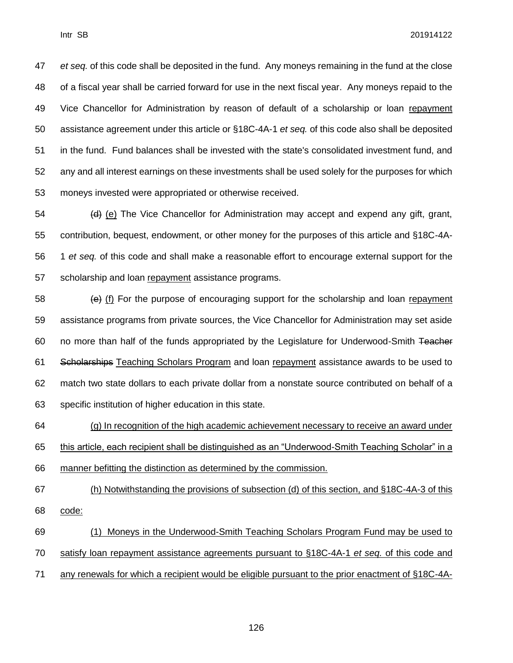*et seq.* of this code shall be deposited in the fund. Any moneys remaining in the fund at the close of a fiscal year shall be carried forward for use in the next fiscal year. Any moneys repaid to the Vice Chancellor for Administration by reason of default of a scholarship or loan repayment assistance agreement under this article or §18C-4A-1 *et seq.* of this code also shall be deposited in the fund. Fund balances shall be invested with the state's consolidated investment fund, and any and all interest earnings on these investments shall be used solely for the purposes for which moneys invested were appropriated or otherwise received.

 $\left(4\right)$  (e) The Vice Chancellor for Administration may accept and expend any gift, grant, contribution, bequest, endowment, or other money for the purposes of this article and §18C-4A- 1 *et seq.* of this code and shall make a reasonable effort to encourage external support for the scholarship and loan repayment assistance programs.

 $\left\{\frac{1}{2} \right\}$  (f) For the purpose of encouraging support for the scholarship and loan repayment assistance programs from private sources, the Vice Chancellor for Administration may set aside 60 no more than half of the funds appropriated by the Legislature for Underwood-Smith Teacher 61 Scholarships Teaching Scholars Program and loan repayment assistance awards to be used to match two state dollars to each private dollar from a nonstate source contributed on behalf of a specific institution of higher education in this state.

 (g) In recognition of the high academic achievement necessary to receive an award under this article, each recipient shall be distinguished as an "Underwood-Smith Teaching Scholar" in a

manner befitting the distinction as determined by the commission.

 (h) Notwithstanding the provisions of subsection (d) of this section, and §18C-4A-3 of this code:

 (1) Moneys in the Underwood-Smith Teaching Scholars Program Fund may be used to satisfy loan repayment assistance agreements pursuant to §18C-4A-1 *et seq.* of this code and

any renewals for which a recipient would be eligible pursuant to the prior enactment of §18C-4A-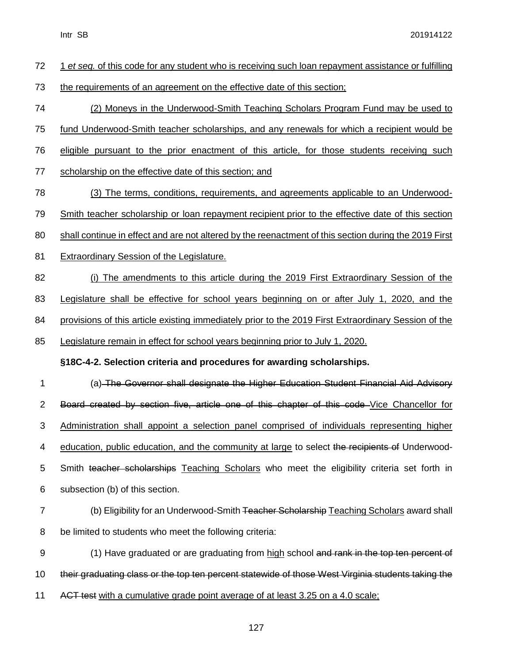| 72               | 1 et seq. of this code for any student who is receiving such loan repayment assistance or fulfilling  |
|------------------|-------------------------------------------------------------------------------------------------------|
| 73               | the requirements of an agreement on the effective date of this section;                               |
| 74               | (2) Moneys in the Underwood-Smith Teaching Scholars Program Fund may be used to                       |
| 75               | fund Underwood-Smith teacher scholarships, and any renewals for which a recipient would be            |
| 76               | eligible pursuant to the prior enactment of this article, for those students receiving such           |
| 77               | scholarship on the effective date of this section; and                                                |
| 78               | (3) The terms, conditions, requirements, and agreements applicable to an Underwood-                   |
| 79               | Smith teacher scholarship or loan repayment recipient prior to the effective date of this section     |
| 80               | shall continue in effect and are not altered by the reenactment of this section during the 2019 First |
| 81               | <b>Extraordinary Session of the Legislature.</b>                                                      |
| 82               | (i) The amendments to this article during the 2019 First Extraordinary Session of the                 |
| 83               | Legislature shall be effective for school years beginning on or after July 1, 2020, and the           |
| 84               | provisions of this article existing immediately prior to the 2019 First Extraordinary Session of the  |
| 85               | Legislature remain in effect for school years beginning prior to July 1, 2020.                        |
|                  | §18C-4-2. Selection criteria and procedures for awarding scholarships.                                |
| 1                | (a) The Governor shall designate the Higher Education Student Financial Aid Advisory                  |
| $\overline{2}$   | Board created by section five, article one of this chapter of this code Vice Chancellor for           |
| 3                | Administration shall appoint a selection panel comprised of individuals representing higher           |
| 4                | education, public education, and the community at large to select the recipients of Underwood-        |
| 5                | Smith teacher scholarships Teaching Scholars who meet the eligibility criteria set forth in           |
| 6                | subsection (b) of this section.                                                                       |
| $\overline{7}$   | (b) Eligibility for an Underwood-Smith Teacher Scholarship Teaching Scholars award shall              |
| 8                | be limited to students who meet the following criteria:                                               |
| $\boldsymbol{9}$ | (1) Have graduated or are graduating from high school and rank in the top ten percent of              |
| 10               | their graduating class or the top ten percent statewide of those West Virginia students taking the    |
| 11               | ACT test with a cumulative grade point average of at least 3.25 on a 4.0 scale;                       |
|                  |                                                                                                       |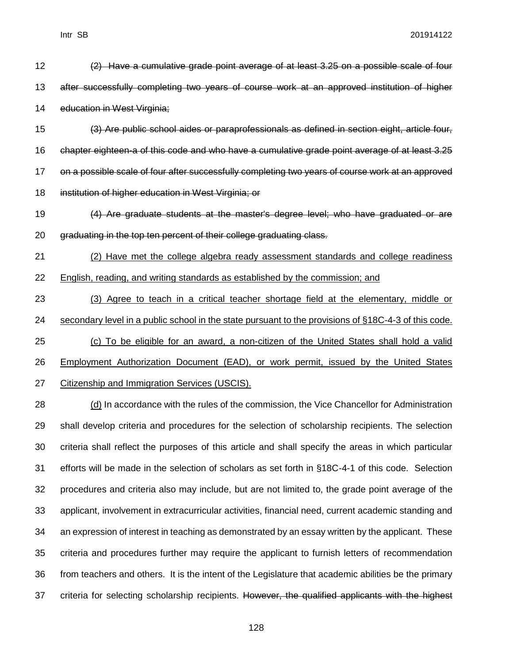| 13 | after successfully completing two years of course work at an approved institution of higher          |
|----|------------------------------------------------------------------------------------------------------|
| 14 | education in West Virginia;                                                                          |
| 15 | (3) Are public school aides or paraprofessionals as defined in section eight, article four,          |
| 16 | chapter eighteen-a of this code and who have a cumulative grade point average of at least 3.25       |
| 17 | on a possible scale of four after successfully completing two years of course work at an approved    |
| 18 | institution of higher education in West Virginia; or                                                 |
| 19 | (4) Are graduate students at the master's degree level; who have graduated or are                    |
| 20 | graduating in the top ten percent of their college graduating class.                                 |
| 21 | (2) Have met the college algebra ready assessment standards and college readiness                    |
| 22 | <b>English, reading, and writing standards as established by the commission; and</b>                 |
| 23 | (3) Agree to teach in a critical teacher shortage field at the elementary, middle or                 |
| 24 | secondary level in a public school in the state pursuant to the provisions of §18C-4-3 of this code. |
| 25 | (c) To be eligible for an award, a non-citizen of the United States shall hold a valid               |
| 26 | <b>Employment Authorization Document (EAD), or work permit, issued by the United States</b>          |
| 27 | Citizenship and Immigration Services (USCIS).                                                        |
| 28 | (d) In accordance with the rules of the commission, the Vice Chancellor for Administration           |
| 29 | shall develop criteria and procedures for the selection of scholarship recipients. The selection     |
| 30 | criteria shall reflect the purposes of this article and shall specify the areas in which particular  |
| 31 | efforts will be made in the selection of scholars as set forth in §18C-4-1 of this code. Selection   |
| 32 | procedures and criteria also may include, but are not limited to, the grade point average of the     |
| 33 | applicant, involvement in extracurricular activities, financial need, current academic standing and  |
| 34 | an expression of interest in teaching as demonstrated by an essay written by the applicant. These    |
| 35 | criteria and procedures further may require the applicant to furnish letters of recommendation       |
| 36 | from teachers and others. It is the intent of the Legislature that academic abilities be the primary |
| 37 | criteria for selecting scholarship recipients. However, the qualified applicants with the highest    |

12 (2) Have a cumulative grade point average of at least 3.25 on a possible scale of four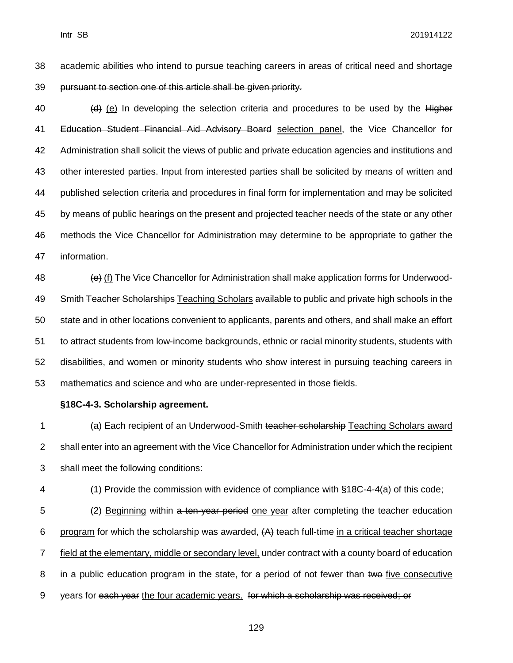academic abilities who intend to pursue teaching careers in areas of critical need and shortage pursuant to section one of this article shall be given priority.

 (e) In developing the selection criteria and procedures to be used by the Higher Education Student Financial Aid Advisory Board selection panel, the Vice Chancellor for Administration shall solicit the views of public and private education agencies and institutions and other interested parties. Input from interested parties shall be solicited by means of written and published selection criteria and procedures in final form for implementation and may be solicited by means of public hearings on the present and projected teacher needs of the state or any other methods the Vice Chancellor for Administration may determine to be appropriate to gather the information.

 $\left\langle \Theta\right\rangle$  (f) The Vice Chancellor for Administration shall make application forms for Underwood-49 Smith Teacher Scholarships Teaching Scholars available to public and private high schools in the state and in other locations convenient to applicants, parents and others, and shall make an effort to attract students from low-income backgrounds, ethnic or racial minority students, students with disabilities, and women or minority students who show interest in pursuing teaching careers in mathematics and science and who are under-represented in those fields.

### **§18C-4-3. Scholarship agreement.**

1 (a) Each recipient of an Underwood-Smith teacher scholarship Teaching Scholars award shall enter into an agreement with the Vice Chancellor for Administration under which the recipient shall meet the following conditions:

(1) Provide the commission with evidence of compliance with §18C-4-4(a) of this code;

5 (2) Beginning within a ten-year period one year after completing the teacher education 6 program for which the scholarship was awarded,  $(A)$  teach full-time in a critical teacher shortage field at the elementary, middle or secondary level, under contract with a county board of education 8 in a public education program in the state, for a period of not fewer than two five consecutive years for each year the four academic years. for which a scholarship was received; or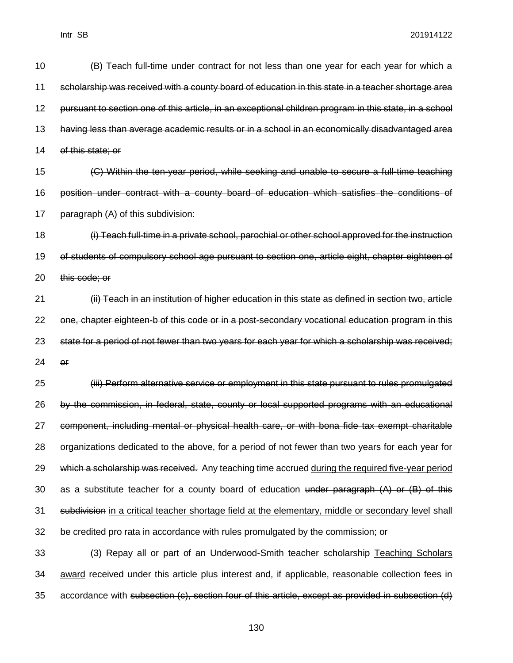(B) Teach full-time under contract for not less than one year for each year for which a scholarship was received with a county board of education in this state in a teacher shortage area pursuant to section one of this article, in an exceptional children program in this state, in a school having less than average academic results or in a school in an economically disadvantaged area of this state; or

 (C) Within the ten-year period, while seeking and unable to secure a full-time teaching position under contract with a county board of education which satisfies the conditions of paragraph (A) of this subdivision:

 (i) Teach full-time in a private school, parochial or other school approved for the instruction of students of compulsory school age pursuant to section one, article eight, chapter eighteen of this code; or

 (ii) Teach in an institution of higher education in this state as defined in section two, article one, chapter eighteen-b of this code or in a post-secondary vocational education program in this state for a period of not fewer than two years for each year for which a scholarship was received; or

 (iii) Perform alternative service or employment in this state pursuant to rules promulgated by the commission, in federal, state, county or local supported programs with an educational component, including mental or physical health care, or with bona fide tax exempt charitable organizations dedicated to the above, for a period of not fewer than two years for each year for 29 which a scholarship was received. Any teaching time accrued during the required five-year period 30 as a substitute teacher for a county board of education under paragraph  $(A)$  or  $(B)$  of this 31 subdivision in a critical teacher shortage field at the elementary, middle or secondary level shall be credited pro rata in accordance with rules promulgated by the commission; or

33 (3) Repay all or part of an Underwood-Smith teacher scholarship Teaching Scholars award received under this article plus interest and, if applicable, reasonable collection fees in accordance with subsection (c), section four of this article, except as provided in subsection (d)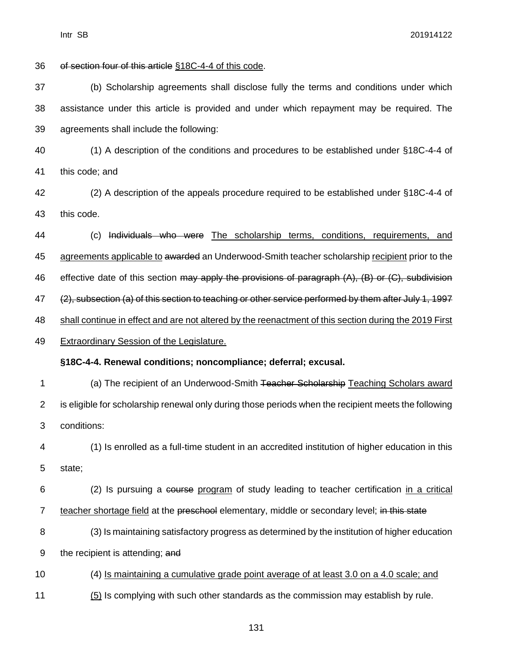of section four of this article §18C-4-4 of this code. (b) Scholarship agreements shall disclose fully the terms and conditions under which assistance under this article is provided and under which repayment may be required. The agreements shall include the following: (1) A description of the conditions and procedures to be established under §18C-4-4 of this code; and (2) A description of the appeals procedure required to be established under §18C-4-4 of this code. (c) Individuals who were The scholarship terms, conditions, requirements, and 45 agreements applicable to a warded an Underwood-Smith teacher scholarship recipient prior to the 46 effective date of this section may apply the provisions of paragraph (A), (B) or (C), subdivision 47 (2), subsection (a) of this section to teaching or other service performed by them after July 1, 1997 shall continue in effect and are not altered by the reenactment of this section during the 2019 First Extraordinary Session of the Legislature. **§18C-4-4. Renewal conditions; noncompliance; deferral; excusal.** 1 (a) The recipient of an Underwood-Smith Teacher Scholarship Teaching Scholars award is eligible for scholarship renewal only during those periods when the recipient meets the following conditions: (1) Is enrolled as a full-time student in an accredited institution of higher education in this state; (2) Is pursuing a course program of study leading to teacher certification in a critical 7 teacher shortage field at the preschool elementary, middle or secondary level; in this state (3) Is maintaining satisfactory progress as determined by the institution of higher education 9 the recipient is attending; and (4) Is maintaining a cumulative grade point average of at least 3.0 on a 4.0 scale; and 11 (5) Is complying with such other standards as the commission may establish by rule.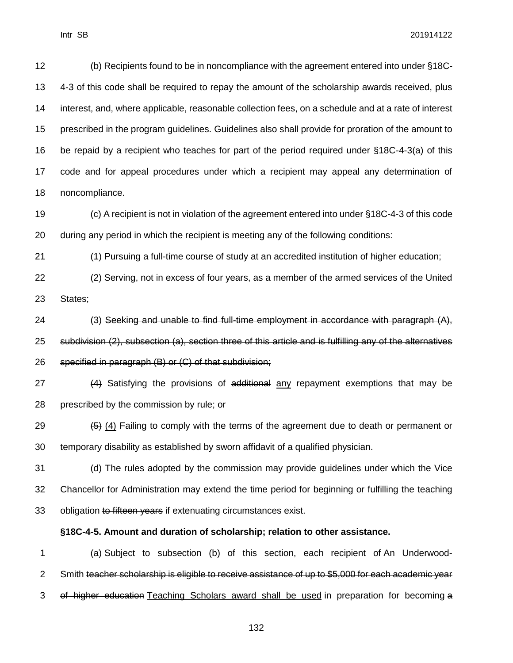(b) Recipients found to be in noncompliance with the agreement entered into under §18C- 4-3 of this code shall be required to repay the amount of the scholarship awards received, plus interest, and, where applicable, reasonable collection fees, on a schedule and at a rate of interest prescribed in the program guidelines. Guidelines also shall provide for proration of the amount to be repaid by a recipient who teaches for part of the period required under §18C-4-3(a) of this code and for appeal procedures under which a recipient may appeal any determination of noncompliance.

 (c) A recipient is not in violation of the agreement entered into under §18C-4-3 of this code during any period in which the recipient is meeting any of the following conditions:

(1) Pursuing a full-time course of study at an accredited institution of higher education;

 (2) Serving, not in excess of four years, as a member of the armed services of the United States;

24 (3) Seeking and unable to find full-time employment in accordance with paragraph  $(A)$ , subdivision (2), subsection (a), section three of this article and is fulfilling any of the alternatives specified in paragraph (B) or (C) of that subdivision;

27 (4) Satisfying the provisions of additional any repayment exemptions that may be prescribed by the commission by rule; or

29  $(5)$  (4) Failing to comply with the terms of the agreement due to death or permanent or temporary disability as established by sworn affidavit of a qualified physician.

 (d) The rules adopted by the commission may provide guidelines under which the Vice Chancellor for Administration may extend the time period for beginning or fulfilling the teaching 33 obligation to fifteen years if extenuating circumstances exist.

### **§18C-4-5. Amount and duration of scholarship; relation to other assistance.**

 (a) Subject to subsection (b) of this section, each recipient of An Underwood-2 Smith teacher scholarship is eligible to receive assistance of up to \$5,000 for each academic year of higher education Teaching Scholars award shall be used in preparation for becoming a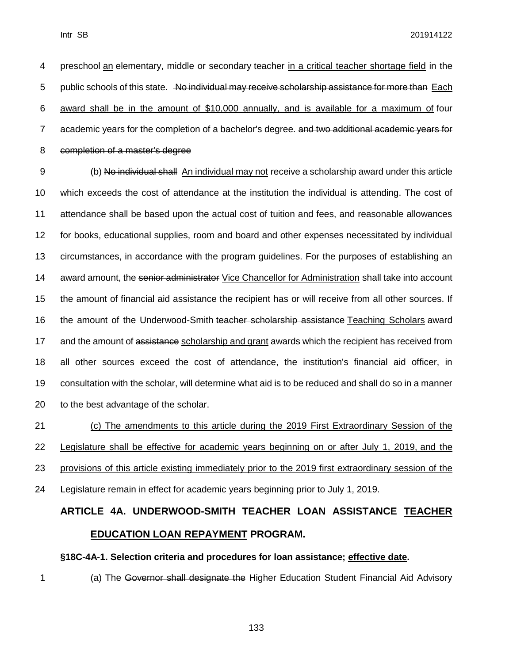preschool an elementary, middle or secondary teacher in a critical teacher shortage field in the 5 public schools of this state. No individual may receive scholarship assistance for more than Each award shall be in the amount of \$10,000 annually, and is available for a maximum of four 7 academic years for the completion of a bachelor's degree. and two additional academic years for completion of a master's degree

9 (b) No individual shall An individual may not receive a scholarship award under this article which exceeds the cost of attendance at the institution the individual is attending. The cost of attendance shall be based upon the actual cost of tuition and fees, and reasonable allowances for books, educational supplies, room and board and other expenses necessitated by individual circumstances, in accordance with the program guidelines. For the purposes of establishing an 14 award amount, the senior administrator Vice Chancellor for Administration shall take into account the amount of financial aid assistance the recipient has or will receive from all other sources. If 16 the amount of the Underwood-Smith teacher scholarship assistance Teaching Scholars award 17 and the amount of assistance scholarship and grant awards which the recipient has received from all other sources exceed the cost of attendance, the institution's financial aid officer, in consultation with the scholar, will determine what aid is to be reduced and shall do so in a manner to the best advantage of the scholar.

 (c) The amendments to this article during the 2019 First Extraordinary Session of the Legislature shall be effective for academic years beginning on or after July 1, 2019, and the provisions of this article existing immediately prior to the 2019 first extraordinary session of the Legislature remain in effect for academic years beginning prior to July 1, 2019.

# **ARTICLE 4A. UNDERWOOD-SMITH TEACHER LOAN ASSISTANCE TEACHER EDUCATION LOAN REPAYMENT PROGRAM.**

#### **§18C-4A-1. Selection criteria and procedures for loan assistance; effective date.**

(a) The Governor shall designate the Higher Education Student Financial Aid Advisory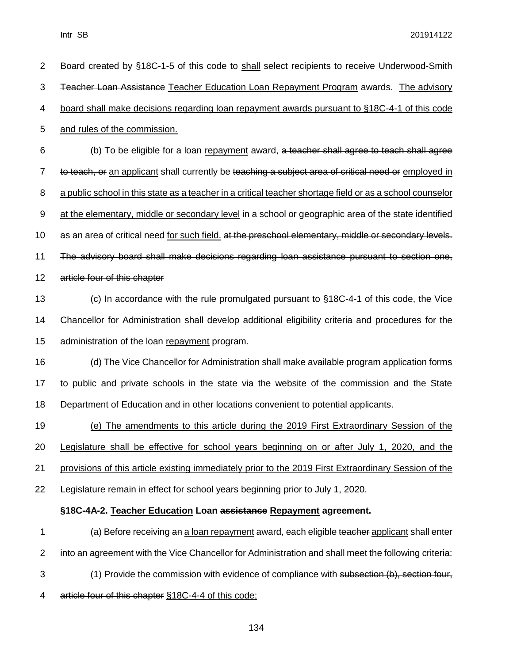| $\overline{2}$ | Board created by §18C-1-5 of this code to shall select recipients to receive Underwood-Smith             |
|----------------|----------------------------------------------------------------------------------------------------------|
| 3              | Teacher Loan Assistance Teacher Education Loan Repayment Program awards. The advisory                    |
| 4              | board shall make decisions regarding loan repayment awards pursuant to §18C-4-1 of this code             |
| 5              | and rules of the commission.                                                                             |
| 6              | (b) To be eligible for a loan repayment award, a teacher shall agree to teach shall agree                |
| $\overline{7}$ | to teach, or an applicant shall currently be teaching a subject area of critical need or employed in     |
| 8              | a public school in this state as a teacher in a critical teacher shortage field or as a school counselor |
| 9              | at the elementary, middle or secondary level in a school or geographic area of the state identified      |
| 10             | as an area of critical need for such field. at the preschool elementary, middle or secondary levels.     |
| 11             | The advisory board shall make decisions regarding loan assistance pursuant to section one,               |
| 12             | article four of this chapter                                                                             |
| 13             | (c) In accordance with the rule promulgated pursuant to §18C-4-1 of this code, the Vice                  |
| 14             | Chancellor for Administration shall develop additional eligibility criteria and procedures for the       |
| 15             | administration of the loan repayment program.                                                            |
| 16             | (d) The Vice Chancellor for Administration shall make available program application forms                |
| 17             | to public and private schools in the state via the website of the commission and the State               |
| 18             | Department of Education and in other locations convenient to potential applicants.                       |
| 19             | (e) The amendments to this article during the 2019 First Extraordinary Session of the                    |
| 20             | Legislature shall be effective for school years beginning on or after July 1, 2020, and the              |
| 21             | provisions of this article existing immediately prior to the 2019 First Extraordinary Session of the     |
| 22             | Legislature remain in effect for school years beginning prior to July 1, 2020.                           |
|                | §18C-4A-2. Teacher Education Loan assistance Repayment agreement.                                        |
| 1              | (a) Before receiving an a loan repayment award, each eligible teacher applicant shall enter              |
| $\overline{2}$ | into an agreement with the Vice Chancellor for Administration and shall meet the following criteria:     |
| 3              | (1) Provide the commission with evidence of compliance with subsection (b), section four,                |
| 4              | article four of this chapter §18C-4-4 of this code;                                                      |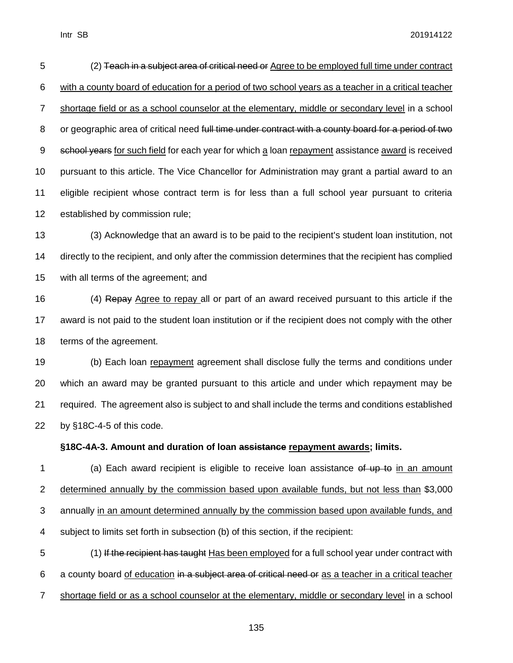(2) Teach in a subject area of critical need or Agree to be employed full time under contract with a county board of education for a period of two school years as a teacher in a critical teacher shortage field or as a school counselor at the elementary, middle or secondary level in a school 8 or geographic area of critical need full time under contract with a county board for a period of two 9 school years for such field for each year for which a loan repayment assistance award is received pursuant to this article. The Vice Chancellor for Administration may grant a partial award to an eligible recipient whose contract term is for less than a full school year pursuant to criteria established by commission rule;

 (3) Acknowledge that an award is to be paid to the recipient's student loan institution, not directly to the recipient, and only after the commission determines that the recipient has complied with all terms of the agreement; and

16 (4) Repay Agree to repay all or part of an award received pursuant to this article if the award is not paid to the student loan institution or if the recipient does not comply with the other terms of the agreement.

 (b) Each loan repayment agreement shall disclose fully the terms and conditions under which an award may be granted pursuant to this article and under which repayment may be required. The agreement also is subject to and shall include the terms and conditions established by §18C-4-5 of this code.

#### **§18C-4A-3. Amount and duration of loan assistance repayment awards; limits.**

1 (a) Each award recipient is eligible to receive loan assistance of up to in an amount determined annually by the commission based upon available funds, but not less than \$3,000 annually in an amount determined annually by the commission based upon available funds, and subject to limits set forth in subsection (b) of this section, if the recipient:

 (1) If the recipient has taught Has been employed for a full school year under contract with a county board of education in a subject area of critical need or as a teacher in a critical teacher shortage field or as a school counselor at the elementary, middle or secondary level in a school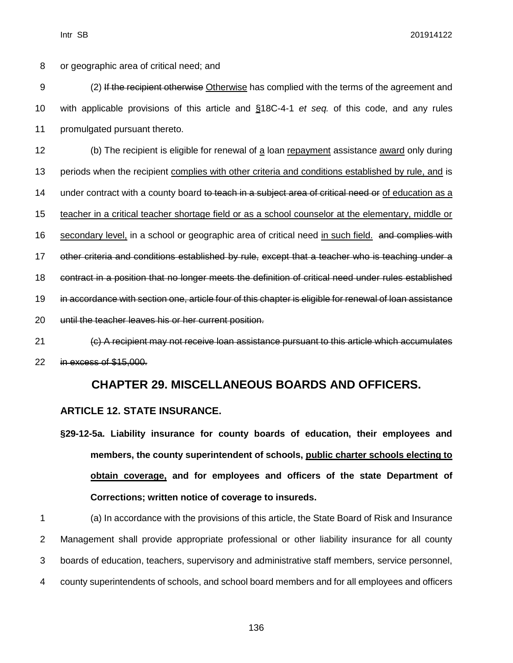8 or geographic area of critical need; and

9 (2) If the recipient otherwise Otherwise has complied with the terms of the agreement and 10 with applicable provisions of this article and §18C-4-1 *et seq.* of this code, and any rules

11 promulgated pursuant thereto.

12 (b) The recipient is eligible for renewal of a loan repayment assistance award only during 13 periods when the recipient complies with other criteria and conditions established by rule, and is 14 under contract with a county board to teach in a subject area of critical need or of education as a 15 teacher in a critical teacher shortage field or as a school counselor at the elementary, middle or 16 secondary level, in a school or geographic area of critical need in such field. and complies with 17 other criteria and conditions established by rule, except that a teacher who is teaching under a 18 contract in a position that no longer meets the definition of critical need under rules established 19 in accordance with section one, article four of this chapter is eligible for renewal of loan assistance 20 until the teacher leaves his or her current position. 21 (c) A recipient may not receive loan assistance pursuant to this article which accumulates

22 in excess of \$15,000.

# **CHAPTER 29. MISCELLANEOUS BOARDS AND OFFICERS.**

### **ARTICLE 12. STATE INSURANCE.**

**§29-12-5a. Liability insurance for county boards of education, their employees and members, the county superintendent of schools, public charter schools electing to obtain coverage, and for employees and officers of the state Department of Corrections; written notice of coverage to insureds.**

 (a) In accordance with the provisions of this article, the State Board of Risk and Insurance Management shall provide appropriate professional or other liability insurance for all county boards of education, teachers, supervisory and administrative staff members, service personnel, county superintendents of schools, and school board members and for all employees and officers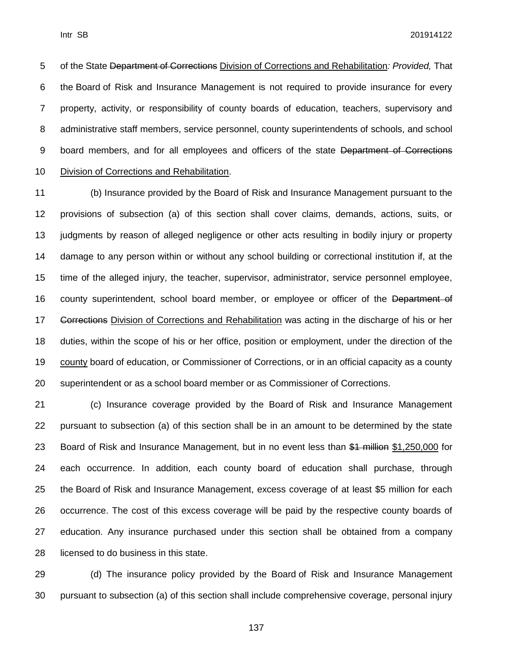of the State Department of Corrections Division of Corrections and Rehabilitation*: Provided,* That the Board of Risk and Insurance Management is not required to provide insurance for every property, activity, or responsibility of county boards of education, teachers, supervisory and administrative staff members, service personnel, county superintendents of schools, and school 9 board members, and for all employees and officers of the state Department of Corrections Division of Corrections and Rehabilitation.

 (b) Insurance provided by the Board of Risk and Insurance Management pursuant to the provisions of subsection (a) of this section shall cover claims, demands, actions, suits, or judgments by reason of alleged negligence or other acts resulting in bodily injury or property damage to any person within or without any school building or correctional institution if, at the time of the alleged injury, the teacher, supervisor, administrator, service personnel employee, 16 county superintendent, school board member, or employee or officer of the Department of **Corrections** Division of Corrections and Rehabilitation was acting in the discharge of his or her duties, within the scope of his or her office, position or employment, under the direction of the county board of education, or Commissioner of Corrections, or in an official capacity as a county superintendent or as a school board member or as Commissioner of Corrections.

 (c) Insurance coverage provided by the Board of Risk and Insurance Management pursuant to subsection (a) of this section shall be in an amount to be determined by the state 23 Board of Risk and Insurance Management, but in no event less than \$1 million \$1,250,000 for each occurrence. In addition, each county board of education shall purchase, through the Board of Risk and Insurance Management, excess coverage of at least \$5 million for each occurrence. The cost of this excess coverage will be paid by the respective county boards of education. Any insurance purchased under this section shall be obtained from a company licensed to do business in this state.

 (d) The insurance policy provided by the Board of Risk and Insurance Management pursuant to subsection (a) of this section shall include comprehensive coverage, personal injury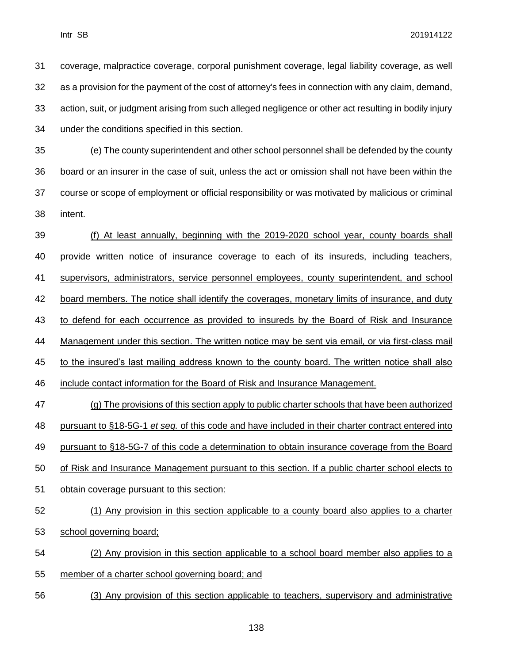coverage, malpractice coverage, corporal punishment coverage, legal liability coverage, as well as a provision for the payment of the cost of attorney's fees in connection with any claim, demand, action, suit, or judgment arising from such alleged negligence or other act resulting in bodily injury under the conditions specified in this section.

 (e) The county superintendent and other school personnel shall be defended by the county board or an insurer in the case of suit, unless the act or omission shall not have been within the course or scope of employment or official responsibility or was motivated by malicious or criminal intent.

 (f) At least annually, beginning with the 2019-2020 school year, county boards shall provide written notice of insurance coverage to each of its insureds, including teachers, supervisors, administrators, service personnel employees, county superintendent, and school 42 board members. The notice shall identify the coverages, monetary limits of insurance, and duty 43 to defend for each occurrence as provided to insureds by the Board of Risk and Insurance Management under this section. The written notice may be sent via email, or via first-class mail 45 to the insured's last mailing address known to the county board. The written notice shall also include contact information for the Board of Risk and Insurance Management. (g) The provisions of this section apply to public charter schools that have been authorized pursuant to §18-5G-1 *et seq.* of this code and have included in their charter contract entered into pursuant to §18-5G-7 of this code a determination to obtain insurance coverage from the Board

of Risk and Insurance Management pursuant to this section. If a public charter school elects to

obtain coverage pursuant to this section:

## (1) Any provision in this section applicable to a county board also applies to a charter

- school governing board;
- (2) Any provision in this section applicable to a school board member also applies to a
- member of a charter school governing board; and
- (3) Any provision of this section applicable to teachers, supervisory and administrative